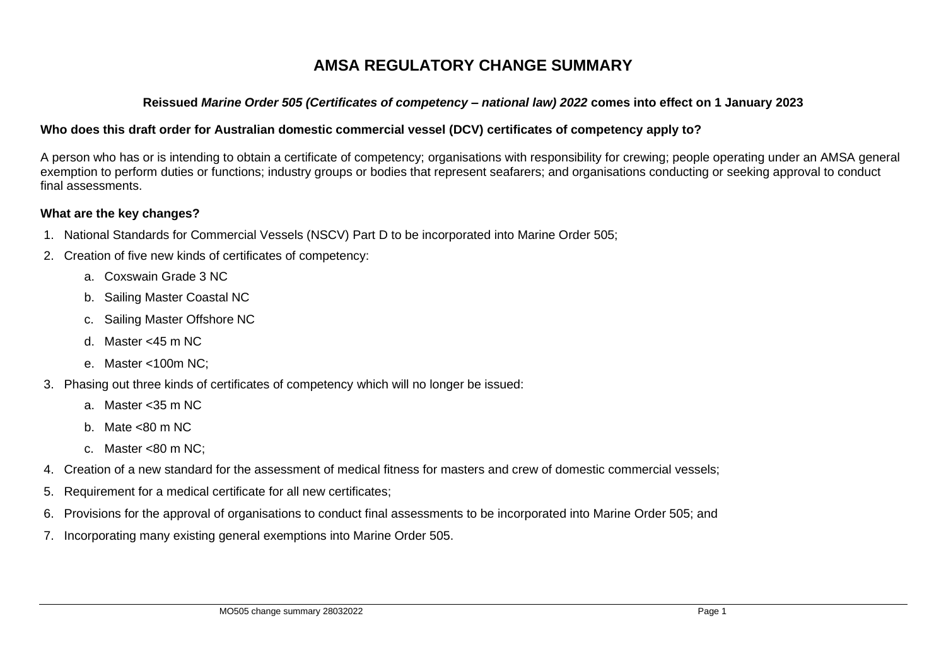# **AMSA REGULATORY CHANGE SUMMARY**

### **Reissued** *Marine Order 505 (Certificates of competency – national law) 2022* **comes into effect on 1 January 2023**

## **Who does this draft order for Australian domestic commercial vessel (DCV) certificates of competency apply to?**

A person who has or is intending to obtain a certificate of competency; organisations with responsibility for crewing; people operating under an AMSA general exemption to perform duties or functions; industry groups or bodies that represent seafarers; and organisations conducting or seeking approval to conduct final assessments.

#### **What are the key changes?**

- 1. National Standards for Commercial Vessels (NSCV) Part D to be incorporated into Marine Order 505;
- 2. Creation of five new kinds of certificates of competency:
	- a. Coxswain Grade 3 NC
	- b. Sailing Master Coastal NC
	- c. Sailing Master Offshore NC
	- d. Master <45 m NC
	- e. Master <100m NC;
- 3. Phasing out three kinds of certificates of competency which will no longer be issued:
	- a. Master <35 m NC
	- b. Mate  $<$ 80 m NC
	- c. Master <80 m NC;
- 4. Creation of a new standard for the assessment of medical fitness for masters and crew of domestic commercial vessels;
- 5. Requirement for a medical certificate for all new certificates;
- 6. Provisions for the approval of organisations to conduct final assessments to be incorporated into Marine Order 505; and
- 7. Incorporating many existing general exemptions into Marine Order 505.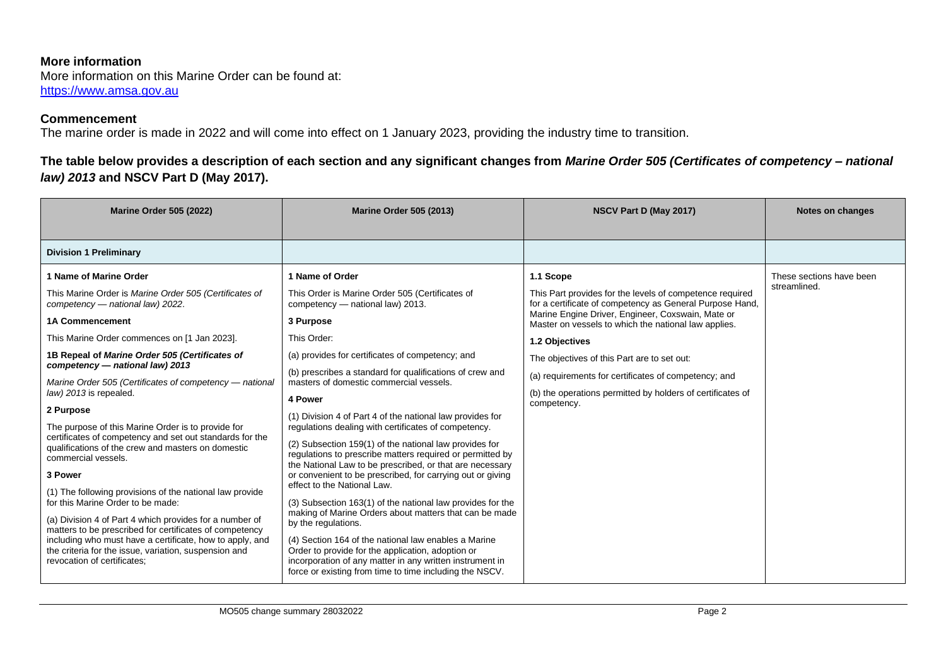#### **More information**

More information on this Marine Order can be found at: [https://www.amsa.gov.au](https://www.amsa.gov.au/)

#### **Commencement**

The marine order is made in 2022 and will come into effect on 1 January 2023, providing the industry time to transition.

# **The table below provides a description of each section and any significant changes from** *Marine Order 505 (Certificates of competency – national law) 2013* **and NSCV Part D (May 2017).**

| <b>Marine Order 505 (2022)</b>                                                                                                                                                                                                                                                                                                                                                                                                                                                                                                                                                                                                                                                                                                                                                                                                                                                                                                                                             | <b>Marine Order 505 (2013)</b>                                                                                                                                                                                                                                                                                                                                                                                                                                                                                                                                                                                                                                                                                                                                                                                                                                                                                                                                                                                                                                                                   | NSCV Part D (May 2017)                                                                                                                                                                                                                                                                                                                                                                                                                               | Notes on changes                         |
|----------------------------------------------------------------------------------------------------------------------------------------------------------------------------------------------------------------------------------------------------------------------------------------------------------------------------------------------------------------------------------------------------------------------------------------------------------------------------------------------------------------------------------------------------------------------------------------------------------------------------------------------------------------------------------------------------------------------------------------------------------------------------------------------------------------------------------------------------------------------------------------------------------------------------------------------------------------------------|--------------------------------------------------------------------------------------------------------------------------------------------------------------------------------------------------------------------------------------------------------------------------------------------------------------------------------------------------------------------------------------------------------------------------------------------------------------------------------------------------------------------------------------------------------------------------------------------------------------------------------------------------------------------------------------------------------------------------------------------------------------------------------------------------------------------------------------------------------------------------------------------------------------------------------------------------------------------------------------------------------------------------------------------------------------------------------------------------|------------------------------------------------------------------------------------------------------------------------------------------------------------------------------------------------------------------------------------------------------------------------------------------------------------------------------------------------------------------------------------------------------------------------------------------------------|------------------------------------------|
| <b>Division 1 Preliminary</b>                                                                                                                                                                                                                                                                                                                                                                                                                                                                                                                                                                                                                                                                                                                                                                                                                                                                                                                                              |                                                                                                                                                                                                                                                                                                                                                                                                                                                                                                                                                                                                                                                                                                                                                                                                                                                                                                                                                                                                                                                                                                  |                                                                                                                                                                                                                                                                                                                                                                                                                                                      |                                          |
| 1 Name of Marine Order<br>This Marine Order is Marine Order 505 (Certificates of<br>competency - national law) 2022.<br><b>1A Commencement</b><br>This Marine Order commences on [1 Jan 2023].<br>1B Repeal of Marine Order 505 (Certificates of<br>competency - national law) 2013<br>Marine Order 505 (Certificates of competency - national<br>law) 2013 is repealed.<br>2 Purpose<br>The purpose of this Marine Order is to provide for<br>certificates of competency and set out standards for the<br>qualifications of the crew and masters on domestic<br>commercial vessels.<br>3 Power<br>(1) The following provisions of the national law provide<br>for this Marine Order to be made:<br>(a) Division 4 of Part 4 which provides for a number of<br>matters to be prescribed for certificates of competency<br>including who must have a certificate, how to apply, and<br>the criteria for the issue, variation, suspension and<br>revocation of certificates; | 1 Name of Order<br>This Order is Marine Order 505 (Certificates of<br>competency - national law) 2013.<br>3 Purpose<br>This Order:<br>(a) provides for certificates of competency; and<br>(b) prescribes a standard for qualifications of crew and<br>masters of domestic commercial vessels.<br>4 Power<br>(1) Division 4 of Part 4 of the national law provides for<br>regulations dealing with certificates of competency.<br>(2) Subsection 159(1) of the national law provides for<br>regulations to prescribe matters required or permitted by<br>the National Law to be prescribed, or that are necessary<br>or convenient to be prescribed, for carrying out or giving<br>effect to the National Law.<br>(3) Subsection 163(1) of the national law provides for the<br>making of Marine Orders about matters that can be made<br>by the regulations.<br>(4) Section 164 of the national law enables a Marine<br>Order to provide for the application, adoption or<br>incorporation of any matter in any written instrument in<br>force or existing from time to time including the NSCV. | 1.1 Scope<br>This Part provides for the levels of competence required<br>for a certificate of competency as General Purpose Hand,<br>Marine Engine Driver, Engineer, Coxswain, Mate or<br>Master on vessels to which the national law applies.<br>1.2 Objectives<br>The objectives of this Part are to set out:<br>(a) requirements for certificates of competency; and<br>(b) the operations permitted by holders of certificates of<br>competency. | These sections have been<br>streamlined. |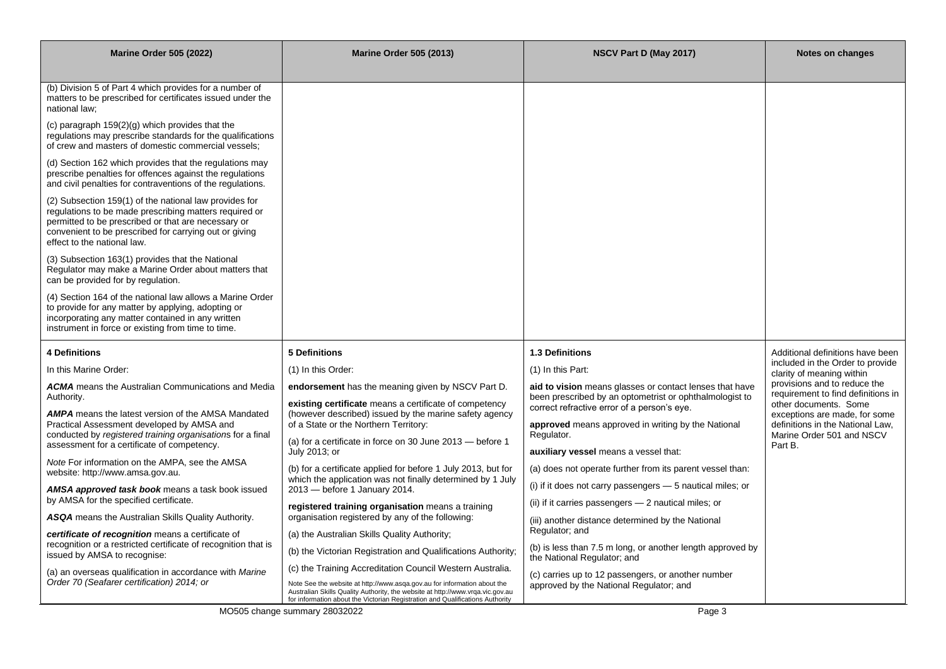| <b>Marine Order 505 (2022)</b>                                                                                                                                                                                                                                   | <b>Marine Order 505 (2013)</b>                                                                                                                                                                                                              | NSCV Part D (May 2017)                                                                                 | Notes on changes                                                   |
|------------------------------------------------------------------------------------------------------------------------------------------------------------------------------------------------------------------------------------------------------------------|---------------------------------------------------------------------------------------------------------------------------------------------------------------------------------------------------------------------------------------------|--------------------------------------------------------------------------------------------------------|--------------------------------------------------------------------|
|                                                                                                                                                                                                                                                                  |                                                                                                                                                                                                                                             |                                                                                                        |                                                                    |
| (b) Division 5 of Part 4 which provides for a number of<br>matters to be prescribed for certificates issued under the<br>national law;                                                                                                                           |                                                                                                                                                                                                                                             |                                                                                                        |                                                                    |
| (c) paragraph $159(2)(g)$ which provides that the<br>regulations may prescribe standards for the qualifications<br>of crew and masters of domestic commercial vessels;                                                                                           |                                                                                                                                                                                                                                             |                                                                                                        |                                                                    |
| (d) Section 162 which provides that the regulations may<br>prescribe penalties for offences against the regulations<br>and civil penalties for contraventions of the regulations.                                                                                |                                                                                                                                                                                                                                             |                                                                                                        |                                                                    |
| (2) Subsection 159(1) of the national law provides for<br>regulations to be made prescribing matters required or<br>permitted to be prescribed or that are necessary or<br>convenient to be prescribed for carrying out or giving<br>effect to the national law. |                                                                                                                                                                                                                                             |                                                                                                        |                                                                    |
| (3) Subsection 163(1) provides that the National<br>Regulator may make a Marine Order about matters that<br>can be provided for by regulation.                                                                                                                   |                                                                                                                                                                                                                                             |                                                                                                        |                                                                    |
| (4) Section 164 of the national law allows a Marine Order<br>to provide for any matter by applying, adopting or<br>incorporating any matter contained in any written<br>instrument in force or existing from time to time.                                       |                                                                                                                                                                                                                                             |                                                                                                        |                                                                    |
| <b>4 Definitions</b>                                                                                                                                                                                                                                             | <b>5 Definitions</b>                                                                                                                                                                                                                        | 1.3 Definitions                                                                                        | Additional definitions have been                                   |
| In this Marine Order:                                                                                                                                                                                                                                            | (1) In this Order:                                                                                                                                                                                                                          | (1) In this Part:                                                                                      | included in the Order to provide<br>clarity of meaning within      |
| <b>ACMA</b> means the Australian Communications and Media                                                                                                                                                                                                        | endorsement has the meaning given by NSCV Part D.                                                                                                                                                                                           | aid to vision means glasses or contact lenses that have                                                | provisions and to reduce the<br>requirement to find definitions in |
| Authority.                                                                                                                                                                                                                                                       | existing certificate means a certificate of competency                                                                                                                                                                                      | been prescribed by an optometrist or ophthalmologist to<br>correct refractive error of a person's eye. | other documents. Some                                              |
| <b>AMPA</b> means the latest version of the AMSA Mandated<br>Practical Assessment developed by AMSA and                                                                                                                                                          | (however described) issued by the marine safety agency<br>of a State or the Northern Territory:                                                                                                                                             | approved means approved in writing by the National                                                     | exceptions are made, for some<br>definitions in the National Law,  |
| conducted by registered training organisations for a final<br>assessment for a certificate of competency.                                                                                                                                                        | (a) for a certificate in force on 30 June 2013 – before 1                                                                                                                                                                                   | Regulator.                                                                                             | Marine Order 501 and NSCV<br>Part B.                               |
| Note For information on the AMPA, see the AMSA                                                                                                                                                                                                                   | July 2013; or                                                                                                                                                                                                                               | auxiliary vessel means a vessel that:                                                                  |                                                                    |
| website: http://www.amsa.gov.au.                                                                                                                                                                                                                                 | (b) for a certificate applied for before 1 July 2013, but for<br>which the application was not finally determined by 1 July                                                                                                                 | (a) does not operate further from its parent vessel than:                                              |                                                                    |
| AMSA approved task book means a task book issued<br>by AMSA for the specified certificate.                                                                                                                                                                       | 2013 – before 1 January 2014.                                                                                                                                                                                                               | $(i)$ if it does not carry passengers $-5$ nautical miles; or                                          |                                                                    |
| <b>ASQA</b> means the Australian Skills Quality Authority.                                                                                                                                                                                                       | registered training organisation means a training<br>organisation registered by any of the following:                                                                                                                                       | (ii) if it carries passengers - 2 nautical miles; or                                                   |                                                                    |
| certificate of recognition means a certificate of                                                                                                                                                                                                                | (a) the Australian Skills Quality Authority;                                                                                                                                                                                                | (iii) another distance determined by the National<br>Regulator; and                                    |                                                                    |
| recognition or a restricted certificate of recognition that is<br>issued by AMSA to recognise:                                                                                                                                                                   | (b) the Victorian Registration and Qualifications Authority;                                                                                                                                                                                | (b) is less than 7.5 m long, or another length approved by                                             |                                                                    |
| (a) an overseas qualification in accordance with Marine                                                                                                                                                                                                          | (c) the Training Accreditation Council Western Australia.                                                                                                                                                                                   | the National Regulator; and                                                                            |                                                                    |
| Order 70 (Seafarer certification) 2014; or                                                                                                                                                                                                                       | Note See the website at http://www.asqa.gov.au for information about the<br>Australian Skills Quality Authority, the website at http://www.vrqa.vic.gov.au<br>for information about the Victorian Registration and Qualifications Authority | (c) carries up to 12 passengers, or another number<br>approved by the National Regulator; and          |                                                                    |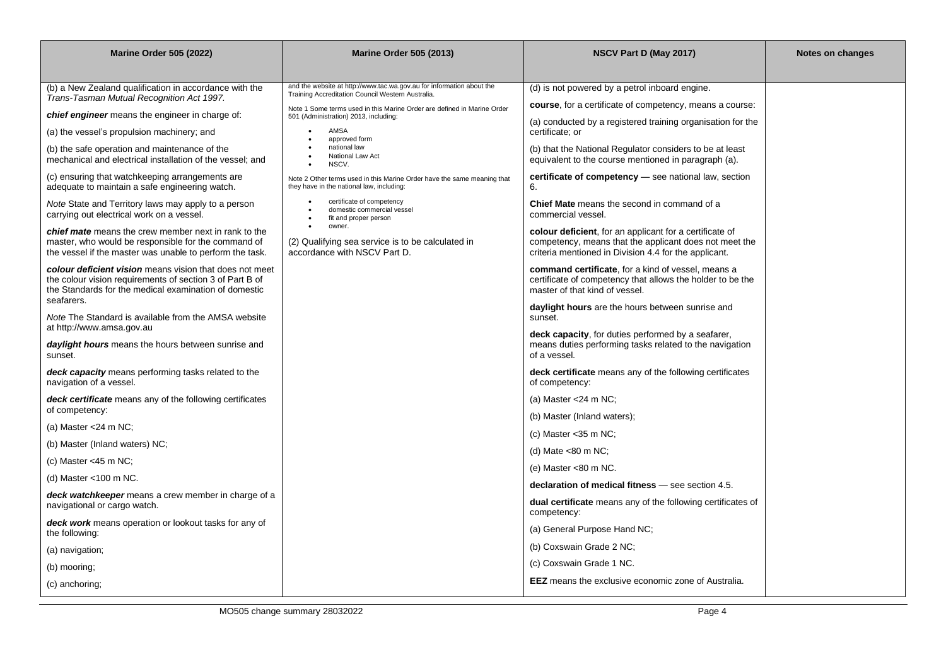| <b>Marine Order 505 (2022)</b>                                                                                                                                               | <b>Marine Order 505 (2013)</b>                                                                                             | NSCV Part D (May 2017)                                                                                                                                                             | Notes on changes |
|------------------------------------------------------------------------------------------------------------------------------------------------------------------------------|----------------------------------------------------------------------------------------------------------------------------|------------------------------------------------------------------------------------------------------------------------------------------------------------------------------------|------------------|
|                                                                                                                                                                              |                                                                                                                            |                                                                                                                                                                                    |                  |
| (b) a New Zealand qualification in accordance with the<br>Trans-Tasman Mutual Recognition Act 1997.                                                                          | and the website at http://www.tac.wa.gov.au for information about the<br>Training Accreditation Council Western Australia. | (d) is not powered by a petrol inboard engine.                                                                                                                                     |                  |
| chief engineer means the engineer in charge of:                                                                                                                              | Note 1 Some terms used in this Marine Order are defined in Marine Order                                                    | course, for a certificate of competency, means a course:                                                                                                                           |                  |
| (a) the vessel's propulsion machinery; and                                                                                                                                   | 501 (Administration) 2013, including:<br>AMSA                                                                              | (a) conducted by a registered training organisation for the<br>certificate; or                                                                                                     |                  |
| (b) the safe operation and maintenance of the                                                                                                                                | approved form<br>national law                                                                                              | (b) that the National Regulator considers to be at least                                                                                                                           |                  |
| mechanical and electrical installation of the vessel; and                                                                                                                    | National Law Act<br>NSCV.                                                                                                  | equivalent to the course mentioned in paragraph (a).                                                                                                                               |                  |
| (c) ensuring that watchkeeping arrangements are<br>adequate to maintain a safe engineering watch.                                                                            | Note 2 Other terms used in this Marine Order have the same meaning that<br>they have in the national law, including:       | certificate of competency - see national law, section<br>6.                                                                                                                        |                  |
| Note State and Territory laws may apply to a person<br>carrying out electrical work on a vessel.                                                                             | certificate of competency<br>domestic commercial vessel<br>$\bullet$<br>fit and proper person                              | <b>Chief Mate</b> means the second in command of a<br>commercial vessel.                                                                                                           |                  |
| chief mate means the crew member next in rank to the<br>master, who would be responsible for the command of<br>the vessel if the master was unable to perform the task.      | $\bullet$<br>owner.<br>(2) Qualifying sea service is to be calculated in<br>accordance with NSCV Part D.                   | <b>colour deficient</b> , for an applicant for a certificate of<br>competency, means that the applicant does not meet the<br>criteria mentioned in Division 4.4 for the applicant. |                  |
| colour deficient vision means vision that does not meet<br>the colour vision requirements of section 3 of Part B of<br>the Standards for the medical examination of domestic |                                                                                                                            | command certificate, for a kind of vessel, means a<br>certificate of competency that allows the holder to be the<br>master of that kind of vessel.                                 |                  |
| seafarers.<br>Note The Standard is available from the AMSA website                                                                                                           |                                                                                                                            | daylight hours are the hours between sunrise and<br>sunset.                                                                                                                        |                  |
| at http://www.amsa.gov.au                                                                                                                                                    |                                                                                                                            | deck capacity, for duties performed by a seafarer,                                                                                                                                 |                  |
| daylight hours means the hours between sunrise and<br>sunset.                                                                                                                |                                                                                                                            | means duties performing tasks related to the navigation<br>of a vessel.                                                                                                            |                  |
| deck capacity means performing tasks related to the<br>navigation of a vessel.                                                                                               |                                                                                                                            | deck certificate means any of the following certificates<br>of competency:                                                                                                         |                  |
| deck certificate means any of the following certificates                                                                                                                     |                                                                                                                            | (a) Master $<$ 24 m NC;                                                                                                                                                            |                  |
| of competency:                                                                                                                                                               |                                                                                                                            | (b) Master (Inland waters);                                                                                                                                                        |                  |
| (a) Master $<$ 24 m NC;                                                                                                                                                      |                                                                                                                            | (c) Master $<$ 35 m NC;                                                                                                                                                            |                  |
| (b) Master (Inland waters) NC;                                                                                                                                               |                                                                                                                            | (d) Mate $<$ 80 m NC;                                                                                                                                                              |                  |
| (c) Master $<$ 45 m NC;                                                                                                                                                      |                                                                                                                            | (e) Master $< 80$ m NC.                                                                                                                                                            |                  |
| (d) Master $<$ 100 m NC.                                                                                                                                                     |                                                                                                                            | declaration of medical fitness - see section 4.5.                                                                                                                                  |                  |
| deck watchkeeper means a crew member in charge of a<br>navigational or cargo watch.                                                                                          |                                                                                                                            | <b>dual certificate</b> means any of the following certificates of<br>competency:                                                                                                  |                  |
| deck work means operation or lookout tasks for any of<br>the following:                                                                                                      |                                                                                                                            | (a) General Purpose Hand NC;                                                                                                                                                       |                  |
| (a) navigation;                                                                                                                                                              |                                                                                                                            | (b) Coxswain Grade 2 NC;                                                                                                                                                           |                  |
| (b) mooring;                                                                                                                                                                 |                                                                                                                            | (c) Coxswain Grade 1 NC.                                                                                                                                                           |                  |
| (c) anchoring;                                                                                                                                                               |                                                                                                                            | <b>EEZ</b> means the exclusive economic zone of Australia.                                                                                                                         |                  |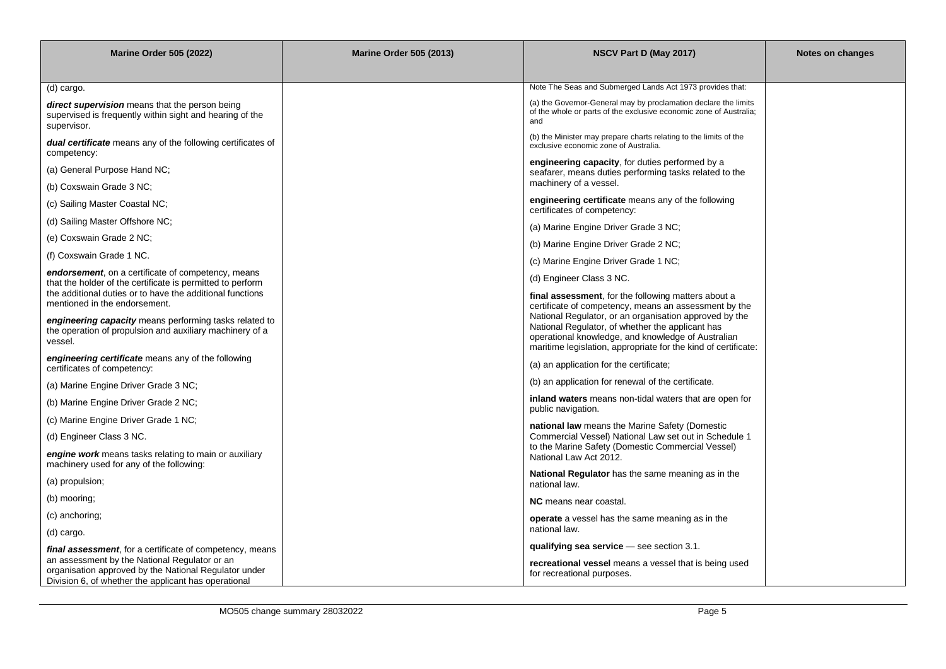| <b>Marine Order 505 (2022)</b>                                                                                                                                     | <b>Marine Order 505 (2013)</b> | NSCV Part D (May 2017)                                                                                                                                                                                                             | Notes on changes |
|--------------------------------------------------------------------------------------------------------------------------------------------------------------------|--------------------------------|------------------------------------------------------------------------------------------------------------------------------------------------------------------------------------------------------------------------------------|------------------|
|                                                                                                                                                                    |                                |                                                                                                                                                                                                                                    |                  |
| (d) cargo.                                                                                                                                                         |                                | Note The Seas and Submerged Lands Act 1973 provides that:                                                                                                                                                                          |                  |
| direct supervision means that the person being<br>supervised is frequently within sight and hearing of the<br>supervisor.                                          |                                | (a) the Governor-General may by proclamation declare the limits<br>of the whole or parts of the exclusive economic zone of Australia;<br>and                                                                                       |                  |
| <b>dual certificate</b> means any of the following certificates of<br>competency:                                                                                  |                                | (b) the Minister may prepare charts relating to the limits of the<br>exclusive economic zone of Australia.                                                                                                                         |                  |
| (a) General Purpose Hand NC;                                                                                                                                       |                                | engineering capacity, for duties performed by a<br>seafarer, means duties performing tasks related to the                                                                                                                          |                  |
| (b) Coxswain Grade 3 NC;                                                                                                                                           |                                | machinery of a vessel.                                                                                                                                                                                                             |                  |
| (c) Sailing Master Coastal NC;                                                                                                                                     |                                | engineering certificate means any of the following<br>certificates of competency:                                                                                                                                                  |                  |
| (d) Sailing Master Offshore NC;                                                                                                                                    |                                | (a) Marine Engine Driver Grade 3 NC;                                                                                                                                                                                               |                  |
| (e) Coxswain Grade 2 NC;                                                                                                                                           |                                | (b) Marine Engine Driver Grade 2 NC;                                                                                                                                                                                               |                  |
| (f) Coxswain Grade 1 NC.                                                                                                                                           |                                | (c) Marine Engine Driver Grade 1 NC;                                                                                                                                                                                               |                  |
| endorsement, on a certificate of competency, means<br>that the holder of the certificate is permitted to perform                                                   |                                | (d) Engineer Class 3 NC.                                                                                                                                                                                                           |                  |
| the additional duties or to have the additional functions<br>mentioned in the endorsement.                                                                         |                                | final assessment, for the following matters about a<br>certificate of competency, means an assessment by the                                                                                                                       |                  |
| engineering capacity means performing tasks related to<br>the operation of propulsion and auxiliary machinery of a<br>vessel.                                      |                                | National Regulator, or an organisation approved by the<br>National Regulator, of whether the applicant has<br>operational knowledge, and knowledge of Australian<br>maritime legislation, appropriate for the kind of certificate: |                  |
| engineering certificate means any of the following<br>certificates of competency:                                                                                  |                                | (a) an application for the certificate;                                                                                                                                                                                            |                  |
| (a) Marine Engine Driver Grade 3 NC;                                                                                                                               |                                | (b) an application for renewal of the certificate.                                                                                                                                                                                 |                  |
| (b) Marine Engine Driver Grade 2 NC;                                                                                                                               |                                | inland waters means non-tidal waters that are open for<br>public navigation.                                                                                                                                                       |                  |
| (c) Marine Engine Driver Grade 1 NC;                                                                                                                               |                                | national law means the Marine Safety (Domestic                                                                                                                                                                                     |                  |
| (d) Engineer Class 3 NC.                                                                                                                                           |                                | Commercial Vessel) National Law set out in Schedule 1                                                                                                                                                                              |                  |
| engine work means tasks relating to main or auxiliary<br>machinery used for any of the following:                                                                  |                                | to the Marine Safety (Domestic Commercial Vessel)<br>National Law Act 2012.                                                                                                                                                        |                  |
| (a) propulsion;                                                                                                                                                    |                                | <b>National Regulator</b> has the same meaning as in the<br>national law.                                                                                                                                                          |                  |
| (b) mooring;                                                                                                                                                       |                                | <b>NC</b> means near coastal.                                                                                                                                                                                                      |                  |
| (c) anchoring;                                                                                                                                                     |                                | <b>operate</b> a vessel has the same meaning as in the                                                                                                                                                                             |                  |
| (d) cargo.                                                                                                                                                         |                                | national law.                                                                                                                                                                                                                      |                  |
| final assessment, for a certificate of competency, means<br>an assessment by the National Regulator or an<br>organisation approved by the National Regulator under |                                | qualifying sea service — see section 3.1.<br>recreational vessel means a vessel that is being used<br>for recreational purposes.                                                                                                   |                  |
| Division 6, of whether the applicant has operational                                                                                                               |                                |                                                                                                                                                                                                                                    |                  |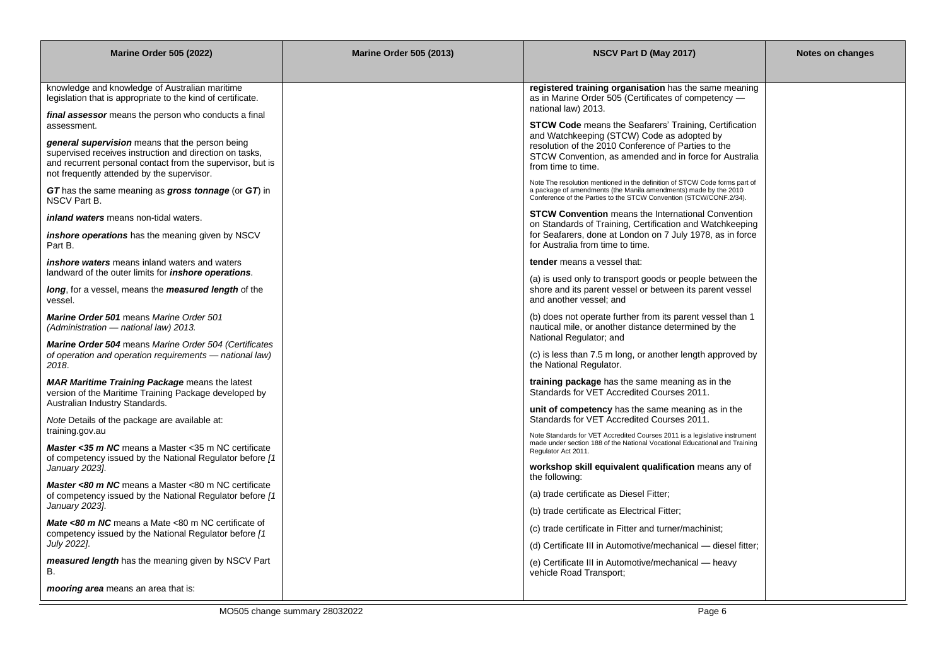| <b>Marine Order 505 (2022)</b>                                                                                                                                                                                         | <b>Marine Order 505 (2013)</b> | NSCV Part D (May 2017)                                                                                                                                                                                               | Notes on changes |
|------------------------------------------------------------------------------------------------------------------------------------------------------------------------------------------------------------------------|--------------------------------|----------------------------------------------------------------------------------------------------------------------------------------------------------------------------------------------------------------------|------------------|
| knowledge and knowledge of Australian maritime<br>legislation that is appropriate to the kind of certificate.                                                                                                          |                                | registered training organisation has the same meaning<br>as in Marine Order 505 (Certificates of competency -<br>national law) 2013.                                                                                 |                  |
| final assessor means the person who conducts a final<br>assessment.                                                                                                                                                    |                                | <b>STCW Code</b> means the Seafarers' Training, Certification                                                                                                                                                        |                  |
| general supervision means that the person being<br>supervised receives instruction and direction on tasks,<br>and recurrent personal contact from the supervisor, but is<br>not frequently attended by the supervisor. |                                | and Watchkeeping (STCW) Code as adopted by<br>resolution of the 2010 Conference of Parties to the<br>STCW Convention, as amended and in force for Australia<br>from time to time.                                    |                  |
| GT has the same meaning as gross tonnage (or GT) in<br>NSCV Part B.                                                                                                                                                    |                                | Note The resolution mentioned in the definition of STCW Code forms part of<br>a package of amendments (the Manila amendments) made by the 2010<br>Conference of the Parties to the STCW Convention (STCW/CONF.2/34). |                  |
| <i>inland waters</i> means non-tidal waters.                                                                                                                                                                           |                                | <b>STCW Convention</b> means the International Convention<br>on Standards of Training, Certification and Watchkeeping                                                                                                |                  |
| <b>inshore operations</b> has the meaning given by NSCV<br>Part B.                                                                                                                                                     |                                | for Seafarers, done at London on 7 July 1978, as in force<br>for Australia from time to time.                                                                                                                        |                  |
| <i>inshore waters</i> means inland waters and waters<br>landward of the outer limits for <i>inshore operations</i> .                                                                                                   |                                | tender means a vessel that:                                                                                                                                                                                          |                  |
| <b>long</b> , for a vessel, means the <b>measured length</b> of the<br>vessel.                                                                                                                                         |                                | (a) is used only to transport goods or people between the<br>shore and its parent vessel or between its parent vessel<br>and another vessel; and                                                                     |                  |
| <b>Marine Order 501 means Marine Order 501</b><br>(Administration - national law) 2013.                                                                                                                                |                                | (b) does not operate further from its parent vessel than 1<br>nautical mile, or another distance determined by the<br>National Regulator; and                                                                        |                  |
| <b>Marine Order 504 means Marine Order 504 (Certificates</b><br>of operation and operation requirements - national law)<br>2018.                                                                                       |                                | (c) is less than 7.5 m long, or another length approved by<br>the National Regulator.                                                                                                                                |                  |
| <b>MAR Maritime Training Package means the latest</b><br>version of the Maritime Training Package developed by<br>Australian Industry Standards.                                                                       |                                | training package has the same meaning as in the<br>Standards for VET Accredited Courses 2011.                                                                                                                        |                  |
| Note Details of the package are available at:                                                                                                                                                                          |                                | unit of competency has the same meaning as in the<br>Standards for VET Accredited Courses 2011.                                                                                                                      |                  |
| training.gov.au<br><b>Master &lt;35 m NC</b> means a Master <35 m NC certificate<br>of competency issued by the National Regulator before [1]                                                                          |                                | Note Standards for VET Accredited Courses 2011 is a legislative instrument<br>made under section 188 of the National Vocational Educational and Training<br>Regulator Act 2011.                                      |                  |
| January 2023].                                                                                                                                                                                                         |                                | workshop skill equivalent qualification means any of<br>the following:                                                                                                                                               |                  |
| <b>Master &lt;80 m NC</b> means a Master <80 m NC certificate<br>of competency issued by the National Regulator before [1]<br>January 2023].                                                                           |                                | (a) trade certificate as Diesel Fitter;                                                                                                                                                                              |                  |
| <b>Mate &lt;80 m NC</b> means a Mate <80 m NC certificate of                                                                                                                                                           |                                | (b) trade certificate as Electrical Fitter;                                                                                                                                                                          |                  |
| competency issued by the National Regulator before [1]<br>July 2022].                                                                                                                                                  |                                | (c) trade certificate in Fitter and turner/machinist;<br>(d) Certificate III in Automotive/mechanical - diesel fitter;                                                                                               |                  |
| <b>measured length</b> has the meaning given by NSCV Part<br>В.                                                                                                                                                        |                                | (e) Certificate III in Automotive/mechanical — heavy<br>vehicle Road Transport;                                                                                                                                      |                  |
| <i>mooring area</i> means an area that is:                                                                                                                                                                             |                                |                                                                                                                                                                                                                      |                  |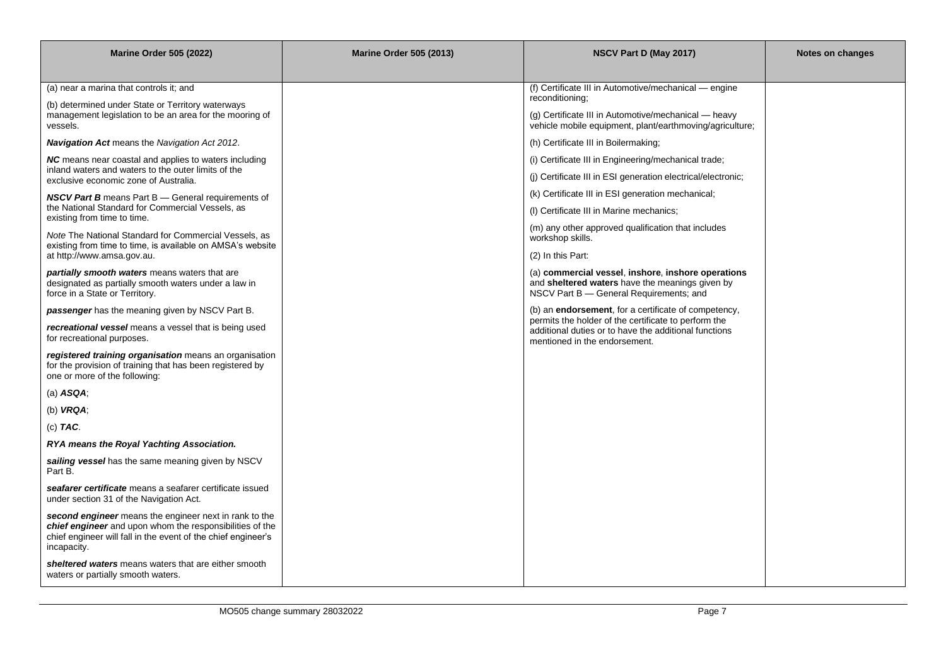| <b>Marine Order 505 (2022)</b>                                                                                                                                                                     | <b>Marine Order 505 (2013)</b> | NSCV Part D (May 2017)                                                                                                                           | <b>Notes on changes</b> |
|----------------------------------------------------------------------------------------------------------------------------------------------------------------------------------------------------|--------------------------------|--------------------------------------------------------------------------------------------------------------------------------------------------|-------------------------|
|                                                                                                                                                                                                    |                                |                                                                                                                                                  |                         |
| (a) near a marina that controls it; and                                                                                                                                                            |                                | (f) Certificate III in Automotive/mechanical — engine<br>reconditioning;                                                                         |                         |
| (b) determined under State or Territory waterways<br>management legislation to be an area for the mooring of<br>vessels.                                                                           |                                | (g) Certificate III in Automotive/mechanical — heavy<br>vehicle mobile equipment, plant/earthmoving/agriculture;                                 |                         |
| <b>Navigation Act</b> means the Navigation Act 2012.                                                                                                                                               |                                | (h) Certificate III in Boilermaking;                                                                                                             |                         |
| NC means near coastal and applies to waters including                                                                                                                                              |                                | (i) Certificate III in Engineering/mechanical trade;                                                                                             |                         |
| inland waters and waters to the outer limits of the<br>exclusive economic zone of Australia.                                                                                                       |                                | (i) Certificate III in ESI generation electrical/electronic;                                                                                     |                         |
| <b>NSCV Part B</b> means Part B — General requirements of                                                                                                                                          |                                | (k) Certificate III in ESI generation mechanical;                                                                                                |                         |
| the National Standard for Commercial Vessels, as<br>existing from time to time.                                                                                                                    |                                | (I) Certificate III in Marine mechanics;                                                                                                         |                         |
| Note The National Standard for Commercial Vessels, as<br>existing from time to time, is available on AMSA's website                                                                                |                                | (m) any other approved qualification that includes<br>workshop skills.                                                                           |                         |
| at http://www.amsa.gov.au.                                                                                                                                                                         |                                | (2) In this Part:                                                                                                                                |                         |
| partially smooth waters means waters that are<br>designated as partially smooth waters under a law in<br>force in a State or Territory.                                                            |                                | (a) commercial vessel, inshore, inshore operations<br>and sheltered waters have the meanings given by<br>NSCV Part B - General Requirements; and |                         |
| <b>passenger</b> has the meaning given by NSCV Part B.                                                                                                                                             |                                | (b) an <b>endorsement</b> , for a certificate of competency,                                                                                     |                         |
| recreational vessel means a vessel that is being used<br>for recreational purposes.                                                                                                                |                                | permits the holder of the certificate to perform the<br>additional duties or to have the additional functions<br>mentioned in the endorsement.   |                         |
| registered training organisation means an organisation<br>for the provision of training that has been registered by<br>one or more of the following:                                               |                                |                                                                                                                                                  |                         |
| (a) $ASQA$ ;                                                                                                                                                                                       |                                |                                                                                                                                                  |                         |
| (b) $VRA$ ;                                                                                                                                                                                        |                                |                                                                                                                                                  |                         |
| (c) $TAC$ .                                                                                                                                                                                        |                                |                                                                                                                                                  |                         |
| RYA means the Royal Yachting Association.                                                                                                                                                          |                                |                                                                                                                                                  |                         |
| sailing vessel has the same meaning given by NSCV<br>Part B.                                                                                                                                       |                                |                                                                                                                                                  |                         |
| seafarer certificate means a seafarer certificate issued<br>under section 31 of the Navigation Act.                                                                                                |                                |                                                                                                                                                  |                         |
| second engineer means the engineer next in rank to the<br>chief engineer and upon whom the responsibilities of the<br>chief engineer will fall in the event of the chief engineer's<br>incapacity. |                                |                                                                                                                                                  |                         |
| sheltered waters means waters that are either smooth<br>waters or partially smooth waters.                                                                                                         |                                |                                                                                                                                                  |                         |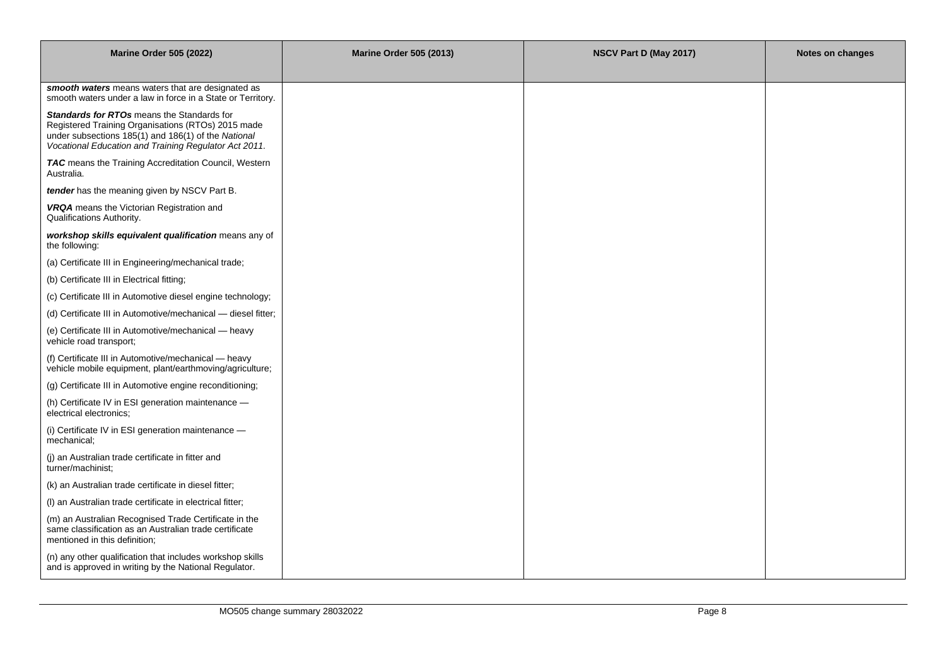| <b>Marine Order 505 (2022)</b>                                                                                                                                                                                   | <b>Marine Order 505 (2013)</b> | NSCV Part D (May 2017) | Notes on changes |
|------------------------------------------------------------------------------------------------------------------------------------------------------------------------------------------------------------------|--------------------------------|------------------------|------------------|
|                                                                                                                                                                                                                  |                                |                        |                  |
| smooth waters means waters that are designated as<br>smooth waters under a law in force in a State or Territory.                                                                                                 |                                |                        |                  |
| Standards for RTOs means the Standards for<br>Registered Training Organisations (RTOs) 2015 made<br>under subsections 185(1) and 186(1) of the National<br>Vocational Education and Training Regulator Act 2011. |                                |                        |                  |
| TAC means the Training Accreditation Council, Western<br>Australia.                                                                                                                                              |                                |                        |                  |
| tender has the meaning given by NSCV Part B.                                                                                                                                                                     |                                |                        |                  |
| VRQA means the Victorian Registration and<br>Qualifications Authority.                                                                                                                                           |                                |                        |                  |
| workshop skills equivalent qualification means any of<br>the following:                                                                                                                                          |                                |                        |                  |
| (a) Certificate III in Engineering/mechanical trade;                                                                                                                                                             |                                |                        |                  |
| (b) Certificate III in Electrical fitting;                                                                                                                                                                       |                                |                        |                  |
| (c) Certificate III in Automotive diesel engine technology;                                                                                                                                                      |                                |                        |                  |
| (d) Certificate III in Automotive/mechanical — diesel fitter;                                                                                                                                                    |                                |                        |                  |
| (e) Certificate III in Automotive/mechanical - heavy<br>vehicle road transport;                                                                                                                                  |                                |                        |                  |
| (f) Certificate III in Automotive/mechanical - heavy<br>vehicle mobile equipment, plant/earthmoving/agriculture;                                                                                                 |                                |                        |                  |
| (g) Certificate III in Automotive engine reconditioning;                                                                                                                                                         |                                |                        |                  |
| (h) Certificate IV in ESI generation maintenance -<br>electrical electronics;                                                                                                                                    |                                |                        |                  |
| (i) Certificate IV in ESI generation maintenance -<br>mechanical;                                                                                                                                                |                                |                        |                  |
| (j) an Australian trade certificate in fitter and<br>turner/machinist;                                                                                                                                           |                                |                        |                  |
| (k) an Australian trade certificate in diesel fitter;                                                                                                                                                            |                                |                        |                  |
| (I) an Australian trade certificate in electrical fitter;                                                                                                                                                        |                                |                        |                  |
| (m) an Australian Recognised Trade Certificate in the<br>same classification as an Australian trade certificate<br>mentioned in this definition;                                                                 |                                |                        |                  |
| (n) any other qualification that includes workshop skills<br>and is approved in writing by the National Regulator.                                                                                               |                                |                        |                  |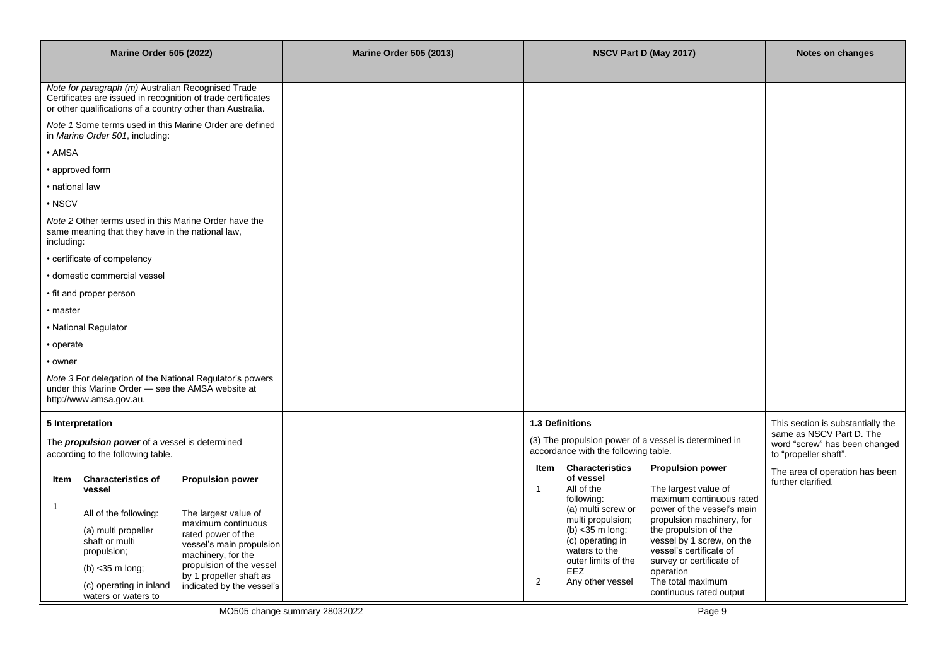| <b>Marine Order 505 (2022)</b>                                                                                                           |                                                                                                                                                       |                                                                                                                                                                                                        | <b>Marine Order 505 (2013)</b> |                      |                                                                                                                                                             | NSCV Part D (May 2017)                                                                                                                                                                                                            | Notes on changes                                                                   |
|------------------------------------------------------------------------------------------------------------------------------------------|-------------------------------------------------------------------------------------------------------------------------------------------------------|--------------------------------------------------------------------------------------------------------------------------------------------------------------------------------------------------------|--------------------------------|----------------------|-------------------------------------------------------------------------------------------------------------------------------------------------------------|-----------------------------------------------------------------------------------------------------------------------------------------------------------------------------------------------------------------------------------|------------------------------------------------------------------------------------|
|                                                                                                                                          |                                                                                                                                                       |                                                                                                                                                                                                        |                                |                      |                                                                                                                                                             |                                                                                                                                                                                                                                   |                                                                                    |
|                                                                                                                                          | Note for paragraph (m) Australian Recognised Trade<br>or other qualifications of a country other than Australia.                                      | Certificates are issued in recognition of trade certificates                                                                                                                                           |                                |                      |                                                                                                                                                             |                                                                                                                                                                                                                                   |                                                                                    |
|                                                                                                                                          | in Marine Order 501, including:                                                                                                                       | Note 1 Some terms used in this Marine Order are defined                                                                                                                                                |                                |                      |                                                                                                                                                             |                                                                                                                                                                                                                                   |                                                                                    |
| • AMSA                                                                                                                                   |                                                                                                                                                       |                                                                                                                                                                                                        |                                |                      |                                                                                                                                                             |                                                                                                                                                                                                                                   |                                                                                    |
|                                                                                                                                          | • approved form                                                                                                                                       |                                                                                                                                                                                                        |                                |                      |                                                                                                                                                             |                                                                                                                                                                                                                                   |                                                                                    |
| • national law                                                                                                                           |                                                                                                                                                       |                                                                                                                                                                                                        |                                |                      |                                                                                                                                                             |                                                                                                                                                                                                                                   |                                                                                    |
| $\cdot$ NSCV                                                                                                                             |                                                                                                                                                       |                                                                                                                                                                                                        |                                |                      |                                                                                                                                                             |                                                                                                                                                                                                                                   |                                                                                    |
| including:                                                                                                                               | Note 2 Other terms used in this Marine Order have the<br>same meaning that they have in the national law,                                             |                                                                                                                                                                                                        |                                |                      |                                                                                                                                                             |                                                                                                                                                                                                                                   |                                                                                    |
|                                                                                                                                          | • certificate of competency                                                                                                                           |                                                                                                                                                                                                        |                                |                      |                                                                                                                                                             |                                                                                                                                                                                                                                   |                                                                                    |
|                                                                                                                                          | · domestic commercial vessel                                                                                                                          |                                                                                                                                                                                                        |                                |                      |                                                                                                                                                             |                                                                                                                                                                                                                                   |                                                                                    |
|                                                                                                                                          | • fit and proper person                                                                                                                               |                                                                                                                                                                                                        |                                |                      |                                                                                                                                                             |                                                                                                                                                                                                                                   |                                                                                    |
| • master                                                                                                                                 |                                                                                                                                                       |                                                                                                                                                                                                        |                                |                      |                                                                                                                                                             |                                                                                                                                                                                                                                   |                                                                                    |
|                                                                                                                                          | • National Regulator                                                                                                                                  |                                                                                                                                                                                                        |                                |                      |                                                                                                                                                             |                                                                                                                                                                                                                                   |                                                                                    |
| • operate                                                                                                                                |                                                                                                                                                       |                                                                                                                                                                                                        |                                |                      |                                                                                                                                                             |                                                                                                                                                                                                                                   |                                                                                    |
| • owner                                                                                                                                  |                                                                                                                                                       |                                                                                                                                                                                                        |                                |                      |                                                                                                                                                             |                                                                                                                                                                                                                                   |                                                                                    |
| Note 3 For delegation of the National Regulator's powers<br>under this Marine Order - see the AMSA website at<br>http://www.amsa.gov.au. |                                                                                                                                                       |                                                                                                                                                                                                        |                                |                      |                                                                                                                                                             |                                                                                                                                                                                                                                   |                                                                                    |
|                                                                                                                                          | 5 Interpretation                                                                                                                                      |                                                                                                                                                                                                        |                                |                      | 1.3 Definitions                                                                                                                                             |                                                                                                                                                                                                                                   | This section is substantially the                                                  |
| The <b>propulsion power</b> of a vessel is determined<br>according to the following table.                                               |                                                                                                                                                       |                                                                                                                                                                                                        |                                |                      | accordance with the following table.                                                                                                                        | (3) The propulsion power of a vessel is determined in                                                                                                                                                                             | same as NSCV Part D. The<br>word "screw" has been changed<br>to "propeller shaft". |
| Item                                                                                                                                     | <b>Characteristics of</b><br>vessel                                                                                                                   | <b>Propulsion power</b>                                                                                                                                                                                |                                | Item<br>$\mathbf{1}$ | <b>Characteristics</b><br>of vessel<br>All of the<br>following:                                                                                             | <b>Propulsion power</b><br>The largest value of<br>maximum continuous rated                                                                                                                                                       | The area of operation has been<br>further clarified.                               |
| $\mathbf{1}$                                                                                                                             | All of the following:<br>(a) multi propeller<br>shaft or multi<br>propulsion;<br>$(b)$ < 35 m long;<br>(c) operating in inland<br>waters or waters to | The largest value of<br>maximum continuous<br>rated power of the<br>vessel's main propulsion<br>machinery, for the<br>propulsion of the vessel<br>by 1 propeller shaft as<br>indicated by the vessel's |                                | 2                    | (a) multi screw or<br>multi propulsion;<br>(b) $<$ 35 m long;<br>(c) operating in<br>waters to the<br>outer limits of the<br><b>EEZ</b><br>Any other vessel | power of the vessel's main<br>propulsion machinery, for<br>the propulsion of the<br>vessel by 1 screw, on the<br>vessel's certificate of<br>survey or certificate of<br>operation<br>The total maximum<br>continuous rated output |                                                                                    |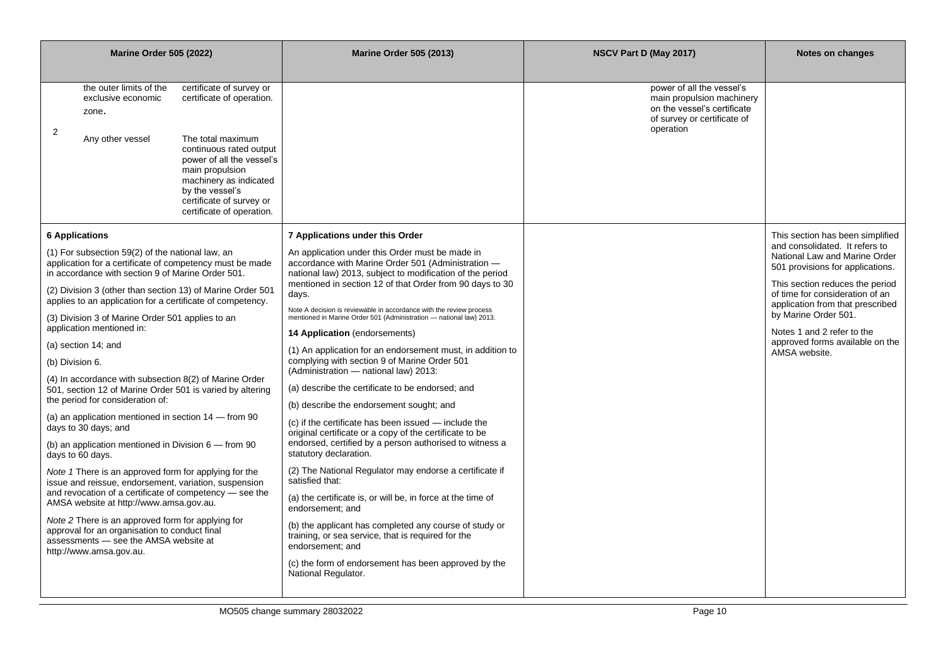| <b>Marine Order 505 (2022)</b>                                                                                                                                                                                                                                                                                                                                                                                                                                                                                                                                                                                                                                                                                                                                                                                                                                                                                                                                                                                                                                                                                                                                               | <b>Marine Order 505 (2013)</b>                                                                                                                                                                                                                                                                                                                                                                                                                                                                                                                                                                                                                                                                                                                                                                                                                                                                                                                                                                                                                                                                                                                                                                                                                                                                               | NSCV Part D (May 2017)                                                                                                            | <b>Notes on changes</b>                                                                                                                                                                                                                                                                                                                                     |
|------------------------------------------------------------------------------------------------------------------------------------------------------------------------------------------------------------------------------------------------------------------------------------------------------------------------------------------------------------------------------------------------------------------------------------------------------------------------------------------------------------------------------------------------------------------------------------------------------------------------------------------------------------------------------------------------------------------------------------------------------------------------------------------------------------------------------------------------------------------------------------------------------------------------------------------------------------------------------------------------------------------------------------------------------------------------------------------------------------------------------------------------------------------------------|--------------------------------------------------------------------------------------------------------------------------------------------------------------------------------------------------------------------------------------------------------------------------------------------------------------------------------------------------------------------------------------------------------------------------------------------------------------------------------------------------------------------------------------------------------------------------------------------------------------------------------------------------------------------------------------------------------------------------------------------------------------------------------------------------------------------------------------------------------------------------------------------------------------------------------------------------------------------------------------------------------------------------------------------------------------------------------------------------------------------------------------------------------------------------------------------------------------------------------------------------------------------------------------------------------------|-----------------------------------------------------------------------------------------------------------------------------------|-------------------------------------------------------------------------------------------------------------------------------------------------------------------------------------------------------------------------------------------------------------------------------------------------------------------------------------------------------------|
| the outer limits of the<br>certificate of survey or<br>certificate of operation.<br>exclusive economic<br>zone.<br>$\overline{2}$<br>The total maximum<br>Any other vessel<br>continuous rated output<br>power of all the vessel's<br>main propulsion<br>machinery as indicated<br>by the vessel's<br>certificate of survey or<br>certificate of operation.                                                                                                                                                                                                                                                                                                                                                                                                                                                                                                                                                                                                                                                                                                                                                                                                                  |                                                                                                                                                                                                                                                                                                                                                                                                                                                                                                                                                                                                                                                                                                                                                                                                                                                                                                                                                                                                                                                                                                                                                                                                                                                                                                              | power of all the vessel's<br>main propulsion machinery<br>on the vessel's certificate<br>of survey or certificate of<br>operation |                                                                                                                                                                                                                                                                                                                                                             |
| <b>6 Applications</b><br>(1) For subsection 59(2) of the national law, an<br>application for a certificate of competency must be made<br>in accordance with section 9 of Marine Order 501.<br>(2) Division 3 (other than section 13) of Marine Order 501<br>applies to an application for a certificate of competency.<br>(3) Division 3 of Marine Order 501 applies to an<br>application mentioned in:<br>(a) section 14; and<br>(b) Division 6.<br>(4) In accordance with subsection 8(2) of Marine Order<br>501, section 12 of Marine Order 501 is varied by altering<br>the period for consideration of:<br>(a) an application mentioned in section 14 - from 90<br>days to 30 days; and<br>(b) an application mentioned in Division $6 -$ from 90<br>days to 60 days.<br>Note 1 There is an approved form for applying for the<br>issue and reissue, endorsement, variation, suspension<br>and revocation of a certificate of competency - see the<br>AMSA website at http://www.amsa.gov.au.<br>Note 2 There is an approved form for applying for<br>approval for an organisation to conduct final<br>assessments - see the AMSA website at<br>http://www.amsa.gov.au. | 7 Applications under this Order<br>An application under this Order must be made in<br>accordance with Marine Order 501 (Administration -<br>national law) 2013, subject to modification of the period<br>mentioned in section 12 of that Order from 90 days to 30<br>days.<br>Note A decision is reviewable in accordance with the review process<br>mentioned in Marine Order 501 (Administration - national law) 2013.<br>14 Application (endorsements)<br>(1) An application for an endorsement must, in addition to<br>complying with section 9 of Marine Order 501<br>(Administration - national law) 2013:<br>(a) describe the certificate to be endorsed; and<br>(b) describe the endorsement sought; and<br>(c) if the certificate has been issued - include the<br>original certificate or a copy of the certificate to be<br>endorsed, certified by a person authorised to witness a<br>statutory declaration.<br>(2) The National Regulator may endorse a certificate if<br>satisfied that:<br>(a) the certificate is, or will be, in force at the time of<br>endorsement; and<br>(b) the applicant has completed any course of study or<br>training, or sea service, that is required for the<br>endorsement; and<br>(c) the form of endorsement has been approved by the<br>National Regulator. |                                                                                                                                   | This section has been simplified<br>and consolidated. It refers to<br>National Law and Marine Order<br>501 provisions for applications.<br>This section reduces the period<br>of time for consideration of an<br>application from that prescribed<br>by Marine Order 501.<br>Notes 1 and 2 refer to the<br>approved forms available on the<br>AMSA website. |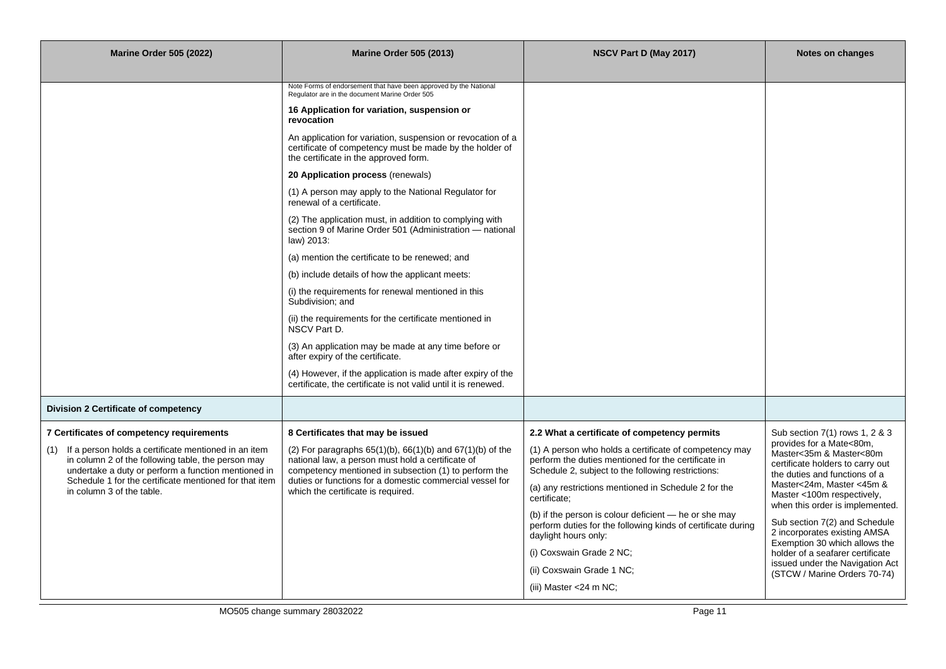| <b>Marine Order 505 (2022)</b>                                                                                                                                           | <b>Marine Order 505 (2013)</b>                                                                                                                                                 | NSCV Part D (May 2017)                                                                                                                                              | <b>Notes on changes</b>                                                                                                  |  |
|--------------------------------------------------------------------------------------------------------------------------------------------------------------------------|--------------------------------------------------------------------------------------------------------------------------------------------------------------------------------|---------------------------------------------------------------------------------------------------------------------------------------------------------------------|--------------------------------------------------------------------------------------------------------------------------|--|
|                                                                                                                                                                          |                                                                                                                                                                                |                                                                                                                                                                     |                                                                                                                          |  |
|                                                                                                                                                                          | Note Forms of endorsement that have been approved by the National<br>Regulator are in the document Marine Order 505                                                            |                                                                                                                                                                     |                                                                                                                          |  |
|                                                                                                                                                                          | 16 Application for variation, suspension or<br>revocation                                                                                                                      |                                                                                                                                                                     |                                                                                                                          |  |
|                                                                                                                                                                          | An application for variation, suspension or revocation of a<br>certificate of competency must be made by the holder of<br>the certificate in the approved form.                |                                                                                                                                                                     |                                                                                                                          |  |
|                                                                                                                                                                          | 20 Application process (renewals)                                                                                                                                              |                                                                                                                                                                     |                                                                                                                          |  |
|                                                                                                                                                                          | (1) A person may apply to the National Regulator for<br>renewal of a certificate.                                                                                              |                                                                                                                                                                     |                                                                                                                          |  |
|                                                                                                                                                                          | (2) The application must, in addition to complying with<br>section 9 of Marine Order 501 (Administration - national<br>law) 2013:                                              |                                                                                                                                                                     |                                                                                                                          |  |
|                                                                                                                                                                          | (a) mention the certificate to be renewed; and                                                                                                                                 |                                                                                                                                                                     |                                                                                                                          |  |
|                                                                                                                                                                          | (b) include details of how the applicant meets:                                                                                                                                |                                                                                                                                                                     |                                                                                                                          |  |
|                                                                                                                                                                          | (i) the requirements for renewal mentioned in this<br>Subdivision: and                                                                                                         |                                                                                                                                                                     |                                                                                                                          |  |
|                                                                                                                                                                          | (ii) the requirements for the certificate mentioned in<br>NSCV Part D.                                                                                                         |                                                                                                                                                                     |                                                                                                                          |  |
|                                                                                                                                                                          | (3) An application may be made at any time before or<br>after expiry of the certificate.                                                                                       |                                                                                                                                                                     |                                                                                                                          |  |
|                                                                                                                                                                          | (4) However, if the application is made after expiry of the<br>certificate, the certificate is not valid until it is renewed.                                                  |                                                                                                                                                                     |                                                                                                                          |  |
| Division 2 Certificate of competency                                                                                                                                     |                                                                                                                                                                                |                                                                                                                                                                     |                                                                                                                          |  |
| 7 Certificates of competency requirements                                                                                                                                | 8 Certificates that may be issued                                                                                                                                              | 2.2 What a certificate of competency permits                                                                                                                        | Sub section 7(1) rows 1, 2 & 3                                                                                           |  |
| If a person holds a certificate mentioned in an item<br>(1)<br>in column 2 of the following table, the person may<br>undertake a duty or perform a function mentioned in | (2) For paragraphs $65(1)(b)$ , $66(1)(b)$ and $67(1)(b)$ of the<br>national law, a person must hold a certificate of<br>competency mentioned in subsection (1) to perform the | (1) A person who holds a certificate of competency may<br>perform the duties mentioned for the certificate in<br>Schedule 2, subject to the following restrictions: | provides for a Mate<80m,<br>Master<35m & Master<80m<br>certificate holders to carry out<br>the duties and functions of a |  |
| Schedule 1 for the certificate mentioned for that item<br>in column 3 of the table.                                                                                      | duties or functions for a domestic commercial vessel for<br>which the certificate is required.                                                                                 | (a) any restrictions mentioned in Schedule 2 for the<br>certificate;                                                                                                | Master<24m, Master <45m &<br>Master <100m respectively,<br>when this order is implemented.                               |  |
|                                                                                                                                                                          |                                                                                                                                                                                | (b) if the person is colour deficient - he or she may<br>perform duties for the following kinds of certificate during<br>daylight hours only:                       | Sub section 7(2) and Schedule<br>2 incorporates existing AMSA<br>Exemption 30 which allows the                           |  |
|                                                                                                                                                                          |                                                                                                                                                                                | (i) Coxswain Grade 2 NC;                                                                                                                                            | holder of a seafarer certificate                                                                                         |  |
|                                                                                                                                                                          |                                                                                                                                                                                | (ii) Coxswain Grade 1 NC;                                                                                                                                           | issued under the Navigation Act<br>(STCW / Marine Orders 70-74)                                                          |  |
|                                                                                                                                                                          |                                                                                                                                                                                | (iii) Master <24 m NC;                                                                                                                                              |                                                                                                                          |  |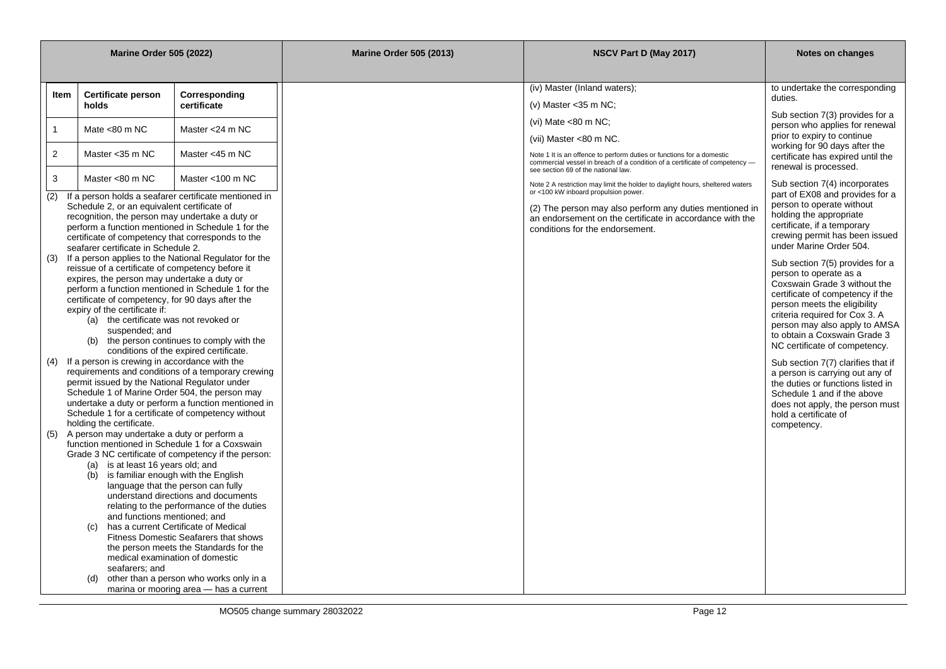| <b>Marine Order 505 (2022)</b> |                                                                                                                                                                                                                                                                                                                                                                                                                                                                                                                                                                                                                                                                                                                         |                                                                                                                                                                                                                                                  |                                                                                                                                                                                                | <b>Marine Order 505 (2013)</b> | NSCV Part D (May 2017)                                                                                                                                                                      | Notes on changes                                                                                                                                                                                                                                                       |
|--------------------------------|-------------------------------------------------------------------------------------------------------------------------------------------------------------------------------------------------------------------------------------------------------------------------------------------------------------------------------------------------------------------------------------------------------------------------------------------------------------------------------------------------------------------------------------------------------------------------------------------------------------------------------------------------------------------------------------------------------------------------|--------------------------------------------------------------------------------------------------------------------------------------------------------------------------------------------------------------------------------------------------|------------------------------------------------------------------------------------------------------------------------------------------------------------------------------------------------|--------------------------------|---------------------------------------------------------------------------------------------------------------------------------------------------------------------------------------------|------------------------------------------------------------------------------------------------------------------------------------------------------------------------------------------------------------------------------------------------------------------------|
|                                |                                                                                                                                                                                                                                                                                                                                                                                                                                                                                                                                                                                                                                                                                                                         |                                                                                                                                                                                                                                                  |                                                                                                                                                                                                |                                |                                                                                                                                                                                             |                                                                                                                                                                                                                                                                        |
|                                | ltem                                                                                                                                                                                                                                                                                                                                                                                                                                                                                                                                                                                                                                                                                                                    | <b>Certificate person</b>                                                                                                                                                                                                                        | Corresponding                                                                                                                                                                                  |                                | (iv) Master (Inland waters);                                                                                                                                                                | to undertake the corresponding                                                                                                                                                                                                                                         |
|                                |                                                                                                                                                                                                                                                                                                                                                                                                                                                                                                                                                                                                                                                                                                                         | holds                                                                                                                                                                                                                                            | certificate                                                                                                                                                                                    |                                | (v) Master < 35 m NC;                                                                                                                                                                       | duties.                                                                                                                                                                                                                                                                |
|                                | 1                                                                                                                                                                                                                                                                                                                                                                                                                                                                                                                                                                                                                                                                                                                       | Mate $<$ 80 m NC                                                                                                                                                                                                                                 | Master <24 m NC                                                                                                                                                                                |                                | (vi) Mate $<$ 80 m NC;                                                                                                                                                                      | Sub section 7(3) provides for a<br>person who applies for renewal                                                                                                                                                                                                      |
|                                |                                                                                                                                                                                                                                                                                                                                                                                                                                                                                                                                                                                                                                                                                                                         |                                                                                                                                                                                                                                                  |                                                                                                                                                                                                |                                | (vii) Master <80 m NC.                                                                                                                                                                      | prior to expiry to continue<br>working for 90 days after the                                                                                                                                                                                                           |
|                                | $\overline{2}$                                                                                                                                                                                                                                                                                                                                                                                                                                                                                                                                                                                                                                                                                                          | Master < 35 m NC                                                                                                                                                                                                                                 | Master <45 m NC                                                                                                                                                                                |                                | Note 1 It is an offence to perform duties or functions for a domestic<br>commercial vessel in breach of a condition of a certificate of competency -<br>see section 69 of the national law. | certificate has expired until the<br>renewal is processed.                                                                                                                                                                                                             |
|                                | 3<br>(2)                                                                                                                                                                                                                                                                                                                                                                                                                                                                                                                                                                                                                                                                                                                | Master <80 m NC                                                                                                                                                                                                                                  | Master <100 m NC<br>If a person holds a seafarer certificate mentioned in                                                                                                                      |                                | Note 2 A restriction may limit the holder to daylight hours, sheltered waters<br>or <100 kW inboard propulsion power.                                                                       | Sub section 7(4) incorporates<br>part of EX08 and provides for a                                                                                                                                                                                                       |
|                                |                                                                                                                                                                                                                                                                                                                                                                                                                                                                                                                                                                                                                                                                                                                         | Schedule 2, or an equivalent certificate of<br>recognition, the person may undertake a duty or<br>certificate of competency that corresponds to the<br>seafarer certificate in Schedule 2.                                                       | perform a function mentioned in Schedule 1 for the                                                                                                                                             |                                | (2) The person may also perform any duties mentioned in<br>an endorsement on the certificate in accordance with the<br>conditions for the endorsement.                                      | person to operate without<br>holding the appropriate<br>certificate, if a temporary<br>crewing permit has been issued<br>under Marine Order 504.                                                                                                                       |
|                                | (3)                                                                                                                                                                                                                                                                                                                                                                                                                                                                                                                                                                                                                                                                                                                     | reissue of a certificate of competency before it<br>expires, the person may undertake a duty or<br>certificate of competency, for 90 days after the<br>expiry of the certificate if:<br>(a) the certificate was not revoked or<br>suspended; and | If a person applies to the National Regulator for the<br>perform a function mentioned in Schedule 1 for the                                                                                    |                                |                                                                                                                                                                                             | Sub section 7(5) provides for a<br>person to operate as a<br>Coxswain Grade 3 without the<br>certificate of competency if the<br>person meets the eligibility<br>criteria required for Cox 3. A<br>person may also apply to AMSA                                       |
|                                |                                                                                                                                                                                                                                                                                                                                                                                                                                                                                                                                                                                                                                                                                                                         | (b)<br>(4) If a person is crewing in accordance with the<br>permit issued by the National Regulator under<br>Schedule 1 of Marine Order 504, the person may<br>Schedule 1 for a certificate of competency without                                | the person continues to comply with the<br>conditions of the expired certificate.<br>requirements and conditions of a temporary crewing<br>undertake a duty or perform a function mentioned in |                                |                                                                                                                                                                                             | to obtain a Coxswain Grade 3<br>NC certificate of competency.<br>Sub section 7(7) clarifies that if<br>a person is carrying out any of<br>the duties or functions listed in<br>Schedule 1 and if the above<br>does not apply, the person must<br>hold a certificate of |
|                                | holding the certificate.<br>A person may undertake a duty or perform a<br>(5)<br>function mentioned in Schedule 1 for a Coxswain<br>Grade 3 NC certificate of competency if the person:<br>(a) is at least 16 years old; and<br>is familiar enough with the English<br>(b)<br>language that the person can fully<br>understand directions and documents<br>relating to the performance of the duties<br>and functions mentioned; and<br>has a current Certificate of Medical<br>(c)<br>Fitness Domestic Seafarers that shows<br>the person meets the Standards for the<br>medical examination of domestic<br>seafarers; and<br>other than a person who works only in a<br>(d)<br>marina or mooring area - has a current |                                                                                                                                                                                                                                                  |                                                                                                                                                                                                |                                |                                                                                                                                                                                             | competency.                                                                                                                                                                                                                                                            |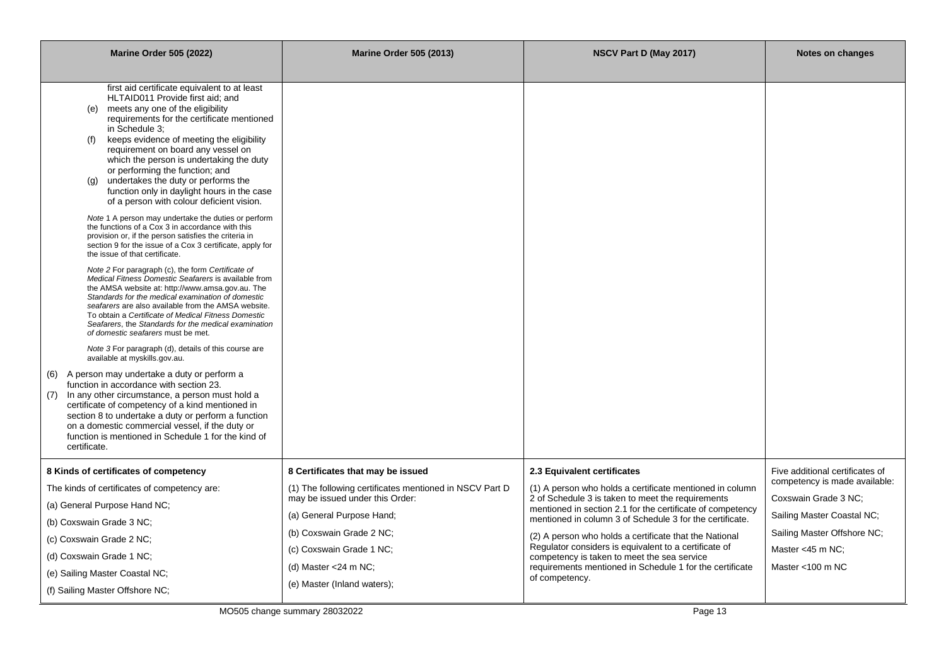| <b>Marine Order 505 (2022)</b>                                                                                                                                                                                                                                                                                                                                                                                                                                                                                                                                                                                                                                                                                                                                                                                                                                                                                                                                                                                                                                                                                                                                                                                                                                                                                                                                                                                                                                                                                                                                                                                                                                                                        | <b>Marine Order 505 (2013)</b>                                                                                                              | NSCV Part D (May 2017)                                                                                                                                                                                                                                                                                   | <b>Notes on changes</b>                                                                           |
|-------------------------------------------------------------------------------------------------------------------------------------------------------------------------------------------------------------------------------------------------------------------------------------------------------------------------------------------------------------------------------------------------------------------------------------------------------------------------------------------------------------------------------------------------------------------------------------------------------------------------------------------------------------------------------------------------------------------------------------------------------------------------------------------------------------------------------------------------------------------------------------------------------------------------------------------------------------------------------------------------------------------------------------------------------------------------------------------------------------------------------------------------------------------------------------------------------------------------------------------------------------------------------------------------------------------------------------------------------------------------------------------------------------------------------------------------------------------------------------------------------------------------------------------------------------------------------------------------------------------------------------------------------------------------------------------------------|---------------------------------------------------------------------------------------------------------------------------------------------|----------------------------------------------------------------------------------------------------------------------------------------------------------------------------------------------------------------------------------------------------------------------------------------------------------|---------------------------------------------------------------------------------------------------|
| first aid certificate equivalent to at least<br>HLTAID011 Provide first aid; and<br>meets any one of the eligibility<br>(e)<br>requirements for the certificate mentioned<br>in Schedule 3:<br>keeps evidence of meeting the eligibility<br>(f)<br>requirement on board any vessel on<br>which the person is undertaking the duty<br>or performing the function; and<br>undertakes the duty or performs the<br>(a)<br>function only in daylight hours in the case<br>of a person with colour deficient vision.<br>Note 1 A person may undertake the duties or perform<br>the functions of a Cox 3 in accordance with this<br>provision or, if the person satisfies the criteria in<br>section 9 for the issue of a Cox 3 certificate, apply for<br>the issue of that certificate.<br>Note 2 For paragraph (c), the form Certificate of<br>Medical Fitness Domestic Seafarers is available from<br>the AMSA website at: http://www.amsa.gov.au. The<br>Standards for the medical examination of domestic<br>seafarers are also available from the AMSA website.<br>To obtain a Certificate of Medical Fitness Domestic<br>Seafarers, the Standards for the medical examination<br>of domestic seafarers must be met.<br>Note 3 For paragraph (d), details of this course are<br>available at myskills.gov.au.<br>(6) A person may undertake a duty or perform a<br>function in accordance with section 23.<br>(7) In any other circumstance, a person must hold a<br>certificate of competency of a kind mentioned in<br>section 8 to undertake a duty or perform a function<br>on a domestic commercial vessel, if the duty or<br>function is mentioned in Schedule 1 for the kind of<br>certificate. |                                                                                                                                             |                                                                                                                                                                                                                                                                                                          |                                                                                                   |
| 8 Kinds of certificates of competency<br>The kinds of certificates of competency are:<br>(a) General Purpose Hand NC;                                                                                                                                                                                                                                                                                                                                                                                                                                                                                                                                                                                                                                                                                                                                                                                                                                                                                                                                                                                                                                                                                                                                                                                                                                                                                                                                                                                                                                                                                                                                                                                 | 8 Certificates that may be issued<br>(1) The following certificates mentioned in NSCV Part D<br>may be issued under this Order:             | 2.3 Equivalent certificates<br>(1) A person who holds a certificate mentioned in column<br>2 of Schedule 3 is taken to meet the requirements<br>mentioned in section 2.1 for the certificate of competency                                                                                               | Five additional certificates of<br>competency is made available:<br>Coxswain Grade 3 NC;          |
| (b) Coxswain Grade 3 NC;<br>(c) Coxswain Grade 2 NC;<br>(d) Coxswain Grade 1 NC:<br>(e) Sailing Master Coastal NC;<br>(f) Sailing Master Offshore NC;                                                                                                                                                                                                                                                                                                                                                                                                                                                                                                                                                                                                                                                                                                                                                                                                                                                                                                                                                                                                                                                                                                                                                                                                                                                                                                                                                                                                                                                                                                                                                 | (a) General Purpose Hand;<br>(b) Coxswain Grade 2 NC;<br>(c) Coxswain Grade 1 NC;<br>(d) Master $<$ 24 m NC;<br>(e) Master (Inland waters); | mentioned in column 3 of Schedule 3 for the certificate.<br>(2) A person who holds a certificate that the National<br>Regulator considers is equivalent to a certificate of<br>competency is taken to meet the sea service<br>requirements mentioned in Schedule 1 for the certificate<br>of competency. | Sailing Master Coastal NC;<br>Sailing Master Offshore NC;<br>Master <45 m NC;<br>Master <100 m NC |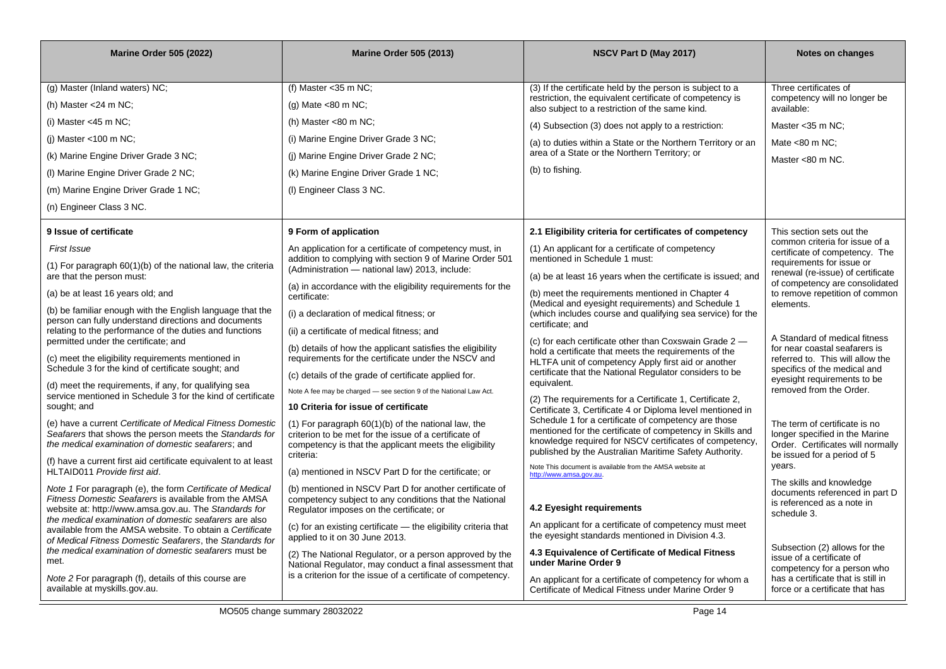| <b>Marine Order 505 (2022)</b>                                                                                        | <b>Marine Order 505 (2013)</b>                                                                                     | NSCV Part D (May 2017)                                                                                                | Notes on changes                                                  |
|-----------------------------------------------------------------------------------------------------------------------|--------------------------------------------------------------------------------------------------------------------|-----------------------------------------------------------------------------------------------------------------------|-------------------------------------------------------------------|
|                                                                                                                       |                                                                                                                    |                                                                                                                       |                                                                   |
| (g) Master (Inland waters) NC;                                                                                        | (f) Master $<$ 35 m NC;                                                                                            | (3) If the certificate held by the person is subject to a<br>restriction, the equivalent certificate of competency is | Three certificates of<br>competency will no longer be             |
| (h) Master $<$ 24 m NC;                                                                                               | (g) Mate $< 80$ m NC;                                                                                              | also subject to a restriction of the same kind.                                                                       | available:                                                        |
| (i) Master $<$ 45 m NC;                                                                                               | (h) Master $< 80$ m NC;                                                                                            | (4) Subsection (3) does not apply to a restriction:                                                                   | Master < 35 m NC;                                                 |
| (i) Master <100 m $NC$ ;                                                                                              | (i) Marine Engine Driver Grade 3 NC;                                                                               | (a) to duties within a State or the Northern Territory or an                                                          | Mate $<$ 80 m NC;                                                 |
| (k) Marine Engine Driver Grade 3 NC;                                                                                  | (j) Marine Engine Driver Grade 2 NC;                                                                               | area of a State or the Northern Territory; or                                                                         | Master <80 m NC.                                                  |
| (I) Marine Engine Driver Grade 2 NC;                                                                                  | (k) Marine Engine Driver Grade 1 NC;                                                                               | (b) to fishing.                                                                                                       |                                                                   |
| (m) Marine Engine Driver Grade 1 NC;                                                                                  | (I) Engineer Class 3 NC.                                                                                           |                                                                                                                       |                                                                   |
| (n) Engineer Class 3 NC.                                                                                              |                                                                                                                    |                                                                                                                       |                                                                   |
| 9 Issue of certificate                                                                                                | 9 Form of application                                                                                              | 2.1 Eligibility criteria for certificates of competency                                                               | This section sets out the                                         |
| First Issue                                                                                                           | An application for a certificate of competency must, in                                                            | (1) An applicant for a certificate of competency                                                                      | common criteria for issue of a<br>certificate of competency. The  |
| $(1)$ For paragraph $60(1)(b)$ of the national law, the criteria                                                      | addition to complying with section 9 of Marine Order 501<br>(Administration - national law) 2013, include:         | mentioned in Schedule 1 must:                                                                                         | requirements for issue or<br>renewal (re-issue) of certificate    |
| are that the person must:                                                                                             | (a) in accordance with the eligibility requirements for the                                                        | (a) be at least 16 years when the certificate is issued; and                                                          | of competency are consolidated                                    |
| (a) be at least 16 years old; and                                                                                     | certificate:                                                                                                       | (b) meet the requirements mentioned in Chapter 4<br>(Medical and eyesight requirements) and Schedule 1                | to remove repetition of common<br>elements.                       |
| (b) be familiar enough with the English language that the<br>person can fully understand directions and documents     | (i) a declaration of medical fitness; or                                                                           | (which includes course and qualifying sea service) for the                                                            |                                                                   |
| relating to the performance of the duties and functions                                                               | (ii) a certificate of medical fitness; and                                                                         | certificate; and                                                                                                      | A Standard of medical fitness                                     |
| permitted under the certificate; and                                                                                  | (b) details of how the applicant satisfies the eligibility                                                         | (c) for each certificate other than Coxswain Grade 2 -<br>hold a certificate that meets the requirements of the       | for near coastal seafarers is                                     |
| (c) meet the eligibility requirements mentioned in<br>Schedule 3 for the kind of certificate sought; and              | requirements for the certificate under the NSCV and                                                                | HLTFA unit of competency Apply first aid or another<br>certificate that the National Regulator considers to be        | referred to. This will allow the<br>specifics of the medical and  |
| (d) meet the requirements, if any, for qualifying sea                                                                 | (c) details of the grade of certificate applied for.                                                               | equivalent.                                                                                                           | eyesight requirements to be                                       |
| service mentioned in Schedule 3 for the kind of certificate                                                           | Note A fee may be charged - see section 9 of the National Law Act.                                                 | (2) The requirements for a Certificate 1, Certificate 2,                                                              | removed from the Order.                                           |
| sought; and                                                                                                           | 10 Criteria for issue of certificate                                                                               | Certificate 3, Certificate 4 or Diploma level mentioned in<br>Schedule 1 for a certificate of competency are those    |                                                                   |
| (e) have a current Certificate of Medical Fitness Domestic<br>Seafarers that shows the person meets the Standards for | (1) For paragraph $60(1)(b)$ of the national law, the<br>criterion to be met for the issue of a certificate of     | mentioned for the certificate of competency in Skills and                                                             | The term of certificate is no<br>longer specified in the Marine   |
| the medical examination of domestic seafarers; and                                                                    | competency is that the applicant meets the eligibility                                                             | knowledge required for NSCV certificates of competency,<br>published by the Australian Maritime Safety Authority.     | Order. Certificates will normally                                 |
| (f) have a current first aid certificate equivalent to at least                                                       | criteria:                                                                                                          | Note This document is available from the AMSA website at                                                              | be issued for a period of 5<br>years.                             |
| HLTAID011 Provide first aid.                                                                                          | (a) mentioned in NSCV Part D for the certificate; or                                                               | http://www.amsa.gov.au.                                                                                               | The skills and knowledge                                          |
| Note 1 For paragraph (e), the form Certificate of Medical<br>Fitness Domestic Seafarers is available from the AMSA    | (b) mentioned in NSCV Part D for another certificate of<br>competency subject to any conditions that the National  |                                                                                                                       | documents referenced in part D<br>is referenced as a note in      |
| website at: http://www.amsa.gov.au. The Standards for                                                                 | Regulator imposes on the certificate; or                                                                           | 4.2 Eyesight requirements                                                                                             | schedule 3.                                                       |
| the medical examination of domestic seafarers are also<br>available from the AMSA website. To obtain a Certificate    | (c) for an existing certificate - the eligibility criteria that                                                    | An applicant for a certificate of competency must meet<br>the eyesight standards mentioned in Division 4.3.           |                                                                   |
| of Medical Fitness Domestic Seafarers, the Standards for<br>the medical examination of domestic seafarers must be     | applied to it on 30 June 2013.                                                                                     |                                                                                                                       | Subsection (2) allows for the                                     |
| met.                                                                                                                  | (2) The National Regulator, or a person approved by the<br>National Regulator, may conduct a final assessment that | 4.3 Equivalence of Certificate of Medical Fitness<br>under Marine Order 9                                             | issue of a certificate of                                         |
| Note 2 For paragraph (f), details of this course are                                                                  | is a criterion for the issue of a certificate of competency.                                                       | An applicant for a certificate of competency for whom a                                                               | competency for a person who<br>has a certificate that is still in |
| available at myskills.gov.au.                                                                                         |                                                                                                                    | Certificate of Medical Fitness under Marine Order 9                                                                   | force or a certificate that has                                   |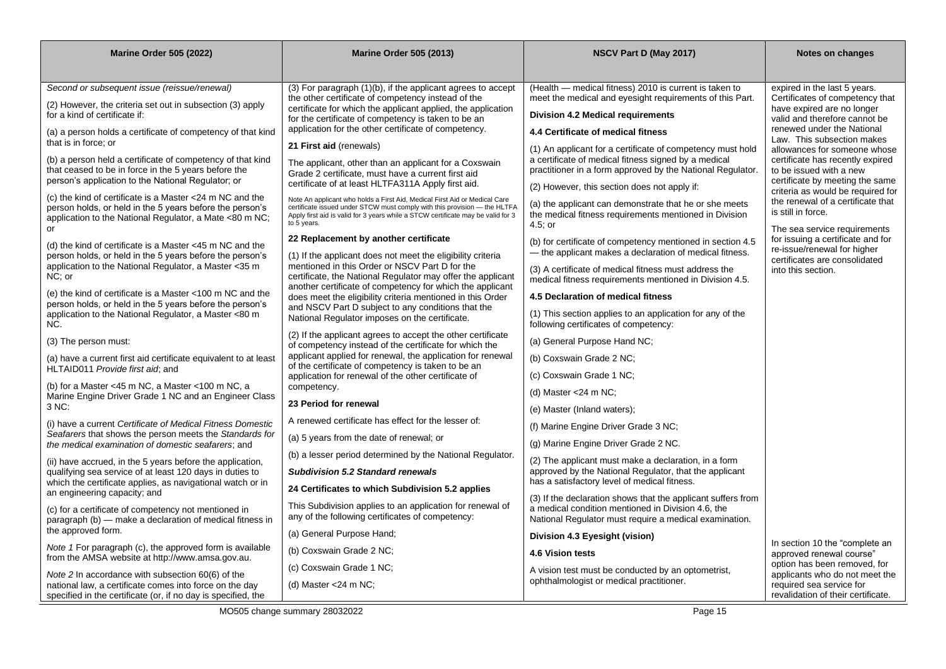| <b>Marine Order 505 (2022)</b>                                                                                           | <b>Marine Order 505 (2013)</b>                                                                                                                          | NSCV Part D (May 2017)                                                                                                | <b>Notes on changes</b>                                              |
|--------------------------------------------------------------------------------------------------------------------------|---------------------------------------------------------------------------------------------------------------------------------------------------------|-----------------------------------------------------------------------------------------------------------------------|----------------------------------------------------------------------|
|                                                                                                                          |                                                                                                                                                         |                                                                                                                       |                                                                      |
| Second or subsequent issue (reissue/renewal)                                                                             | (3) For paragraph (1)(b), if the applicant agrees to accept                                                                                             | (Health – medical fitness) 2010 is current is taken to                                                                | expired in the last 5 years.                                         |
| (2) However, the criteria set out in subsection (3) apply                                                                | the other certificate of competency instead of the<br>certificate for which the applicant applied, the application                                      | meet the medical and eyesight requirements of this Part.                                                              | Certificates of competency that<br>have expired are no longer        |
| for a kind of certificate if:                                                                                            | for the certificate of competency is taken to be an                                                                                                     | <b>Division 4.2 Medical requirements</b>                                                                              | valid and therefore cannot be<br>renewed under the National          |
| (a) a person holds a certificate of competency of that kind<br>that is in force: or                                      | application for the other certificate of competency.                                                                                                    | 4.4 Certificate of medical fitness                                                                                    | Law. This subsection makes                                           |
| (b) a person held a certificate of competency of that kind                                                               | 21 First aid (renewals)                                                                                                                                 | (1) An applicant for a certificate of competency must hold<br>a certificate of medical fitness signed by a medical    | allowances for someone whose<br>certificate has recently expired     |
| that ceased to be in force in the 5 years before the                                                                     | The applicant, other than an applicant for a Coxswain<br>Grade 2 certificate, must have a current first aid                                             | practitioner in a form approved by the National Regulator.                                                            | to be issued with a new                                              |
| person's application to the National Regulator; or                                                                       | certificate of at least HLTFA311A Apply first aid.                                                                                                      | (2) However, this section does not apply if:                                                                          | certificate by meeting the same<br>criteria as would be required for |
| (c) the kind of certificate is a Master $<$ 24 m NC and the<br>person holds, or held in the 5 years before the person's  | Note An applicant who holds a First Aid, Medical First Aid or Medical Care<br>certificate issued under STCW must comply with this provision — the HLTFA | (a) the applicant can demonstrate that he or she meets                                                                | the renewal of a certificate that                                    |
| application to the National Regulator, a Mate <80 m NC;                                                                  | Apply first aid is valid for 3 years while a STCW certificate may be valid for 3<br>to 5 years.                                                         | the medical fitness requirements mentioned in Division<br>$4.5$ ; or                                                  | is still in force.                                                   |
| or                                                                                                                       | 22 Replacement by another certificate                                                                                                                   |                                                                                                                       | The sea service requirements<br>for issuing a certificate and for    |
| (d) the kind of certificate is a Master $<45$ m NC and the<br>person holds, or held in the 5 years before the person's   | (1) If the applicant does not meet the eligibility criteria                                                                                             | (b) for certificate of competency mentioned in section 4.5<br>- the applicant makes a declaration of medical fitness. | re-issue/renewal for higher                                          |
| application to the National Regulator, a Master <35 m                                                                    | mentioned in this Order or NSCV Part D for the                                                                                                          | (3) A certificate of medical fitness must address the                                                                 | certificates are consolidated<br>into this section.                  |
| NC; or                                                                                                                   | certificate, the National Regulator may offer the applicant<br>another certificate of competency for which the applicant                                | medical fitness requirements mentioned in Division 4.5.                                                               |                                                                      |
| (e) the kind of certificate is a Master <100 m NC and the<br>person holds, or held in the 5 years before the person's    | does meet the eligibility criteria mentioned in this Order                                                                                              | 4.5 Declaration of medical fitness                                                                                    |                                                                      |
| application to the National Regulator, a Master <80 m                                                                    | and NSCV Part D subject to any conditions that the<br>National Regulator imposes on the certificate.                                                    | (1) This section applies to an application for any of the                                                             |                                                                      |
| NC.                                                                                                                      | (2) If the applicant agrees to accept the other certificate                                                                                             | following certificates of competency:                                                                                 |                                                                      |
| (3) The person must:                                                                                                     | of competency instead of the certificate for which the                                                                                                  | (a) General Purpose Hand NC;                                                                                          |                                                                      |
| (a) have a current first aid certificate equivalent to at least<br>HLTAID011 Provide first aid; and                      | applicant applied for renewal, the application for renewal<br>of the certificate of competency is taken to be an                                        | (b) Coxswain Grade 2 NC;                                                                                              |                                                                      |
|                                                                                                                          | application for renewal of the other certificate of                                                                                                     | (c) Coxswain Grade 1 NC;                                                                                              |                                                                      |
| (b) for a Master <45 m NC, a Master <100 m NC, a<br>Marine Engine Driver Grade 1 NC and an Engineer Class                | competency.                                                                                                                                             | (d) Master <24 m NC;                                                                                                  |                                                                      |
| 3 NC:                                                                                                                    | 23 Period for renewal                                                                                                                                   | (e) Master (Inland waters);                                                                                           |                                                                      |
| (i) have a current Certificate of Medical Fitness Domestic                                                               | A renewed certificate has effect for the lesser of:                                                                                                     | (f) Marine Engine Driver Grade 3 NC;                                                                                  |                                                                      |
| Seafarers that shows the person meets the Standards for<br>the medical examination of domestic seafarers; and            | (a) 5 years from the date of renewal; or                                                                                                                | (g) Marine Engine Driver Grade 2 NC.                                                                                  |                                                                      |
| (ii) have accrued, in the 5 years before the application,                                                                | (b) a lesser period determined by the National Regulator.                                                                                               | (2) The applicant must make a declaration, in a form                                                                  |                                                                      |
| qualifying sea service of at least 120 days in duties to                                                                 | <b>Subdivision 5.2 Standard renewals</b>                                                                                                                | approved by the National Regulator, that the applicant<br>has a satisfactory level of medical fitness.                |                                                                      |
| which the certificate applies, as navigational watch or in<br>an engineering capacity; and                               | 24 Certificates to which Subdivision 5.2 applies                                                                                                        |                                                                                                                       |                                                                      |
| (c) for a certificate of competency not mentioned in                                                                     | This Subdivision applies to an application for renewal of                                                                                               | (3) If the declaration shows that the applicant suffers from<br>a medical condition mentioned in Division 4.6, the    |                                                                      |
| paragraph (b) - make a declaration of medical fitness in<br>the approved form.                                           | any of the following certificates of competency:                                                                                                        | National Regulator must require a medical examination.                                                                |                                                                      |
|                                                                                                                          | (a) General Purpose Hand;                                                                                                                               | Division 4.3 Eyesight (vision)                                                                                        | In section 10 the "complete an                                       |
| Note 1 For paragraph (c), the approved form is available<br>from the AMSA website at http://www.amsa.gov.au.             | (b) Coxswain Grade 2 NC;                                                                                                                                | 4.6 Vision tests                                                                                                      | approved renewal course"                                             |
| Note 2 In accordance with subsection 60(6) of the                                                                        | (c) Coxswain Grade 1 NC;                                                                                                                                | A vision test must be conducted by an optometrist,                                                                    | option has been removed, for<br>applicants who do not meet the       |
| national law, a certificate comes into force on the day<br>specified in the certificate (or, if no day is specified, the | (d) Master $<$ 24 m NC;                                                                                                                                 | ophthalmologist or medical practitioner.                                                                              | required sea service for<br>revalidation of their certificate.       |

MO505 change summary 28032022 Page 15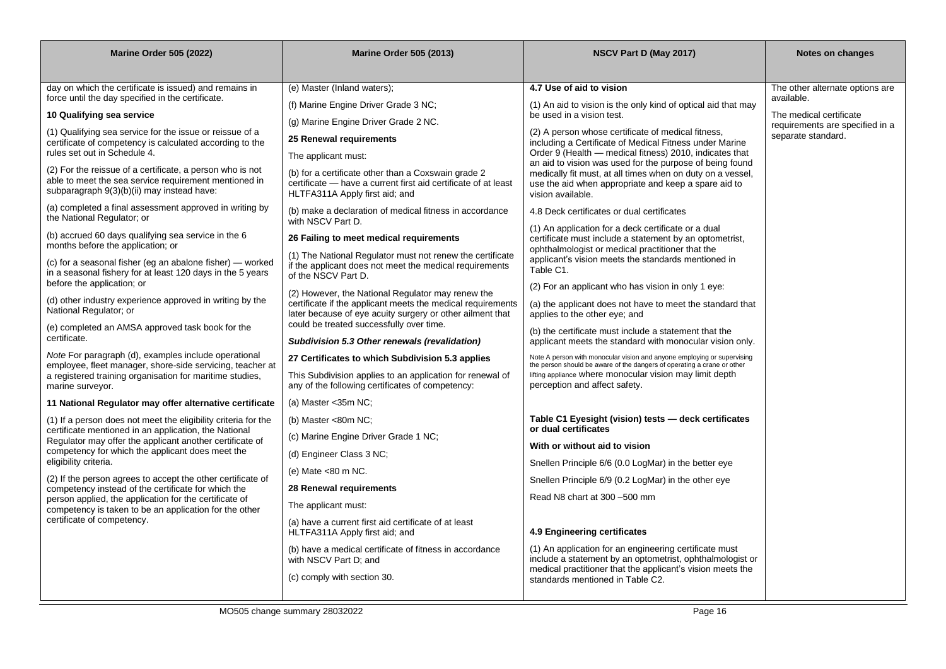| <b>Marine Order 505 (2022)</b>                                                                                                                                   | <b>Marine Order 505 (2013)</b>                                                                                                                          | NSCV Part D (May 2017)                                                                                                                                               | Notes on changes                              |
|------------------------------------------------------------------------------------------------------------------------------------------------------------------|---------------------------------------------------------------------------------------------------------------------------------------------------------|----------------------------------------------------------------------------------------------------------------------------------------------------------------------|-----------------------------------------------|
|                                                                                                                                                                  |                                                                                                                                                         |                                                                                                                                                                      |                                               |
| day on which the certificate is issued) and remains in<br>force until the day specified in the certificate.                                                      | (e) Master (Inland waters);                                                                                                                             | 4.7 Use of aid to vision                                                                                                                                             | The other alternate options are<br>available. |
| 10 Qualifying sea service                                                                                                                                        | (f) Marine Engine Driver Grade 3 NC;                                                                                                                    | (1) An aid to vision is the only kind of optical aid that may<br>be used in a vision test.                                                                           | The medical certificate                       |
|                                                                                                                                                                  | (g) Marine Engine Driver Grade 2 NC.                                                                                                                    |                                                                                                                                                                      | requirements are specified in a               |
| (1) Qualifying sea service for the issue or reissue of a<br>certificate of competency is calculated according to the                                             | 25 Renewal requirements                                                                                                                                 | (2) A person whose certificate of medical fitness,<br>including a Certificate of Medical Fitness under Marine                                                        | separate standard.                            |
| rules set out in Schedule 4.                                                                                                                                     | The applicant must:                                                                                                                                     | Order 9 (Health - medical fitness) 2010, indicates that<br>an aid to vision was used for the purpose of being found                                                  |                                               |
| (2) For the reissue of a certificate, a person who is not<br>able to meet the sea service requirement mentioned in<br>subparagraph 9(3)(b)(ii) may instead have: | (b) for a certificate other than a Coxswain grade 2<br>certificate - have a current first aid certificate of at least<br>HLTFA311A Apply first aid; and | medically fit must, at all times when on duty on a vessel,<br>use the aid when appropriate and keep a spare aid to<br>vision available.                              |                                               |
| (a) completed a final assessment approved in writing by<br>the National Regulator; or                                                                            | (b) make a declaration of medical fitness in accordance<br>with NSCV Part D.                                                                            | 4.8 Deck certificates or dual certificates                                                                                                                           |                                               |
| (b) accrued 60 days qualifying sea service in the 6<br>months before the application; or                                                                         | 26 Failing to meet medical requirements                                                                                                                 | (1) An application for a deck certificate or a dual<br>certificate must include a statement by an optometrist,<br>ophthalmologist or medical practitioner that the   |                                               |
| (c) for a seasonal fisher (eg an abalone fisher) — worked<br>in a seasonal fishery for at least 120 days in the 5 years                                          | (1) The National Regulator must not renew the certificate<br>if the applicant does not meet the medical requirements<br>of the NSCV Part D.             | applicant's vision meets the standards mentioned in<br>Table C1.                                                                                                     |                                               |
| before the application; or                                                                                                                                       | (2) However, the National Regulator may renew the                                                                                                       | (2) For an applicant who has vision in only 1 eye:                                                                                                                   |                                               |
| (d) other industry experience approved in writing by the<br>National Regulator; or                                                                               | certificate if the applicant meets the medical requirements<br>later because of eye acuity surgery or other ailment that                                | (a) the applicant does not have to meet the standard that<br>applies to the other eye; and                                                                           |                                               |
| (e) completed an AMSA approved task book for the<br>certificate.                                                                                                 | could be treated successfully over time.<br>Subdivision 5.3 Other renewals (revalidation)                                                               | (b) the certificate must include a statement that the<br>applicant meets the standard with monocular vision only.                                                    |                                               |
| Note For paragraph (d), examples include operational                                                                                                             | 27 Certificates to which Subdivision 5.3 applies                                                                                                        | Note A person with monocular vision and anyone employing or supervising                                                                                              |                                               |
| employee, fleet manager, shore-side servicing, teacher at<br>a registered training organisation for maritime studies,<br>marine surveyor.                        | This Subdivision applies to an application for renewal of<br>any of the following certificates of competency:                                           | the person should be aware of the dangers of operating a crane or other<br>lifting appliance where monocular vision may limit depth<br>perception and affect safety. |                                               |
| 11 National Regulator may offer alternative certificate                                                                                                          | (a) Master $<$ 35m NC;                                                                                                                                  |                                                                                                                                                                      |                                               |
| (1) If a person does not meet the eligibility criteria for the                                                                                                   | (b) Master $<80m$ NC;                                                                                                                                   | Table C1 Eyesight (vision) tests - deck certificates<br>or dual certificates                                                                                         |                                               |
| certificate mentioned in an application, the National<br>Regulator may offer the applicant another certificate of                                                | (c) Marine Engine Driver Grade 1 NC;                                                                                                                    |                                                                                                                                                                      |                                               |
| competency for which the applicant does meet the                                                                                                                 | (d) Engineer Class 3 NC;                                                                                                                                | With or without aid to vision                                                                                                                                        |                                               |
| eligibility criteria.                                                                                                                                            | (e) Mate <80 m NC.                                                                                                                                      | Snellen Principle 6/6 (0.0 LogMar) in the better eye                                                                                                                 |                                               |
| (2) If the person agrees to accept the other certificate of<br>competency instead of the certificate for which the                                               | 28 Renewal requirements                                                                                                                                 | Snellen Principle 6/9 (0.2 LogMar) in the other eye                                                                                                                  |                                               |
| person applied, the application for the certificate of<br>competency is taken to be an application for the other                                                 | The applicant must:                                                                                                                                     | Read N8 chart at 300 -500 mm                                                                                                                                         |                                               |
| certificate of competency.                                                                                                                                       | (a) have a current first aid certificate of at least<br>HLTFA311A Apply first aid; and                                                                  | 4.9 Engineering certificates                                                                                                                                         |                                               |
|                                                                                                                                                                  | (b) have a medical certificate of fitness in accordance<br>with NSCV Part D; and                                                                        | (1) An application for an engineering certificate must<br>include a statement by an optometrist, ophthalmologist or                                                  |                                               |
|                                                                                                                                                                  | (c) comply with section 30.                                                                                                                             | medical practitioner that the applicant's vision meets the<br>standards mentioned in Table C2.                                                                       |                                               |
|                                                                                                                                                                  |                                                                                                                                                         |                                                                                                                                                                      |                                               |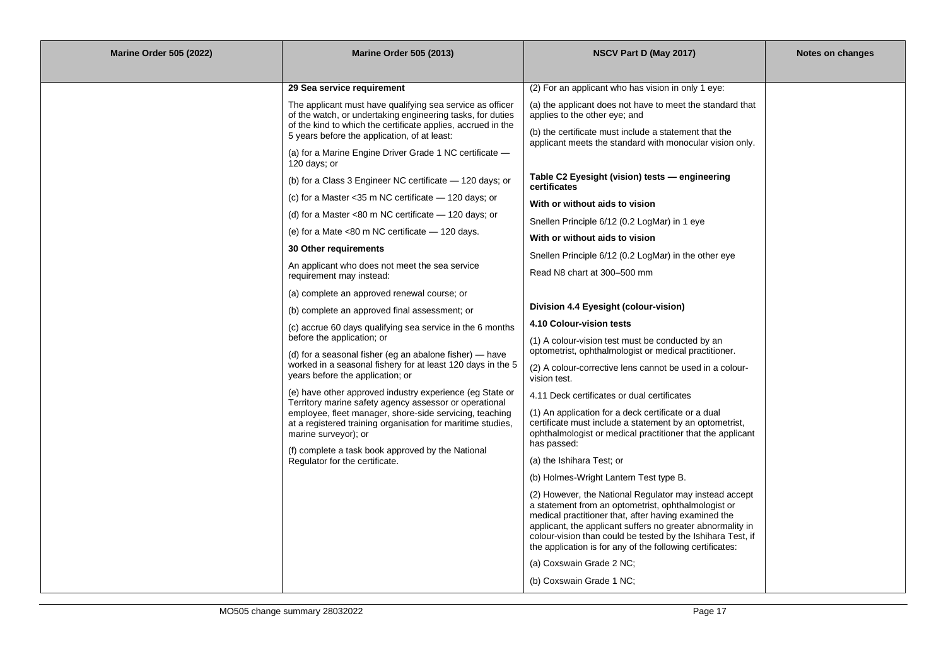| <b>Marine Order 505 (2022)</b> | <b>Marine Order 505 (2013)</b>                                                                                                                                                          | NSCV Part D (May 2017)                                                                                                                                                                                                                                                                                                                                          | Notes on changes |
|--------------------------------|-----------------------------------------------------------------------------------------------------------------------------------------------------------------------------------------|-----------------------------------------------------------------------------------------------------------------------------------------------------------------------------------------------------------------------------------------------------------------------------------------------------------------------------------------------------------------|------------------|
|                                |                                                                                                                                                                                         |                                                                                                                                                                                                                                                                                                                                                                 |                  |
|                                | 29 Sea service requirement                                                                                                                                                              | (2) For an applicant who has vision in only 1 eye:                                                                                                                                                                                                                                                                                                              |                  |
|                                | The applicant must have qualifying sea service as officer<br>of the watch, or undertaking engineering tasks, for duties<br>of the kind to which the certificate applies, accrued in the | (a) the applicant does not have to meet the standard that<br>applies to the other eye; and                                                                                                                                                                                                                                                                      |                  |
|                                | 5 years before the application, of at least:                                                                                                                                            | (b) the certificate must include a statement that the<br>applicant meets the standard with monocular vision only.                                                                                                                                                                                                                                               |                  |
|                                | (a) for a Marine Engine Driver Grade 1 NC certificate $-$<br>120 days; or                                                                                                               |                                                                                                                                                                                                                                                                                                                                                                 |                  |
|                                | (b) for a Class 3 Engineer NC certificate - 120 days; or                                                                                                                                | Table C2 Eyesight (vision) tests — engineering<br>certificates                                                                                                                                                                                                                                                                                                  |                  |
|                                | (c) for a Master $<$ 35 m NC certificate $-$ 120 days; or                                                                                                                               | With or without aids to vision                                                                                                                                                                                                                                                                                                                                  |                  |
|                                | (d) for a Master $<80$ m NC certificate $-$ 120 days; or                                                                                                                                | Snellen Principle 6/12 (0.2 LogMar) in 1 eye                                                                                                                                                                                                                                                                                                                    |                  |
|                                | (e) for a Mate <80 m NC certificate - 120 days.                                                                                                                                         | With or without aids to vision                                                                                                                                                                                                                                                                                                                                  |                  |
|                                | 30 Other requirements                                                                                                                                                                   | Snellen Principle 6/12 (0.2 LogMar) in the other eye                                                                                                                                                                                                                                                                                                            |                  |
|                                | An applicant who does not meet the sea service<br>requirement may instead:                                                                                                              | Read N8 chart at 300-500 mm                                                                                                                                                                                                                                                                                                                                     |                  |
|                                | (a) complete an approved renewal course; or                                                                                                                                             |                                                                                                                                                                                                                                                                                                                                                                 |                  |
|                                | (b) complete an approved final assessment; or                                                                                                                                           | Division 4.4 Eyesight (colour-vision)                                                                                                                                                                                                                                                                                                                           |                  |
|                                | (c) accrue 60 days qualifying sea service in the 6 months                                                                                                                               | 4.10 Colour-vision tests                                                                                                                                                                                                                                                                                                                                        |                  |
|                                | before the application; or                                                                                                                                                              | (1) A colour-vision test must be conducted by an                                                                                                                                                                                                                                                                                                                |                  |
|                                | (d) for a seasonal fisher (eg an abalone fisher) - have                                                                                                                                 | optometrist, ophthalmologist or medical practitioner.                                                                                                                                                                                                                                                                                                           |                  |
|                                | worked in a seasonal fishery for at least 120 days in the 5<br>years before the application; or                                                                                         | (2) A colour-corrective lens cannot be used in a colour-<br>vision test.                                                                                                                                                                                                                                                                                        |                  |
|                                | (e) have other approved industry experience (eg State or<br>Territory marine safety agency assessor or operational                                                                      | 4.11 Deck certificates or dual certificates                                                                                                                                                                                                                                                                                                                     |                  |
|                                | employee, fleet manager, shore-side servicing, teaching<br>at a registered training organisation for maritime studies,<br>marine surveyor); or                                          | (1) An application for a deck certificate or a dual<br>certificate must include a statement by an optometrist,<br>ophthalmologist or medical practitioner that the applicant                                                                                                                                                                                    |                  |
|                                | (f) complete a task book approved by the National                                                                                                                                       | has passed:                                                                                                                                                                                                                                                                                                                                                     |                  |
|                                | Regulator for the certificate.                                                                                                                                                          | (a) the Ishihara Test; or                                                                                                                                                                                                                                                                                                                                       |                  |
|                                |                                                                                                                                                                                         | (b) Holmes-Wright Lantern Test type B.                                                                                                                                                                                                                                                                                                                          |                  |
|                                |                                                                                                                                                                                         | (2) However, the National Regulator may instead accept<br>a statement from an optometrist, ophthalmologist or<br>medical practitioner that, after having examined the<br>applicant, the applicant suffers no greater abnormality in<br>colour-vision than could be tested by the Ishihara Test, if<br>the application is for any of the following certificates: |                  |
|                                |                                                                                                                                                                                         | (a) Coxswain Grade 2 NC;                                                                                                                                                                                                                                                                                                                                        |                  |
|                                |                                                                                                                                                                                         | (b) Coxswain Grade 1 NC;                                                                                                                                                                                                                                                                                                                                        |                  |
|                                |                                                                                                                                                                                         |                                                                                                                                                                                                                                                                                                                                                                 |                  |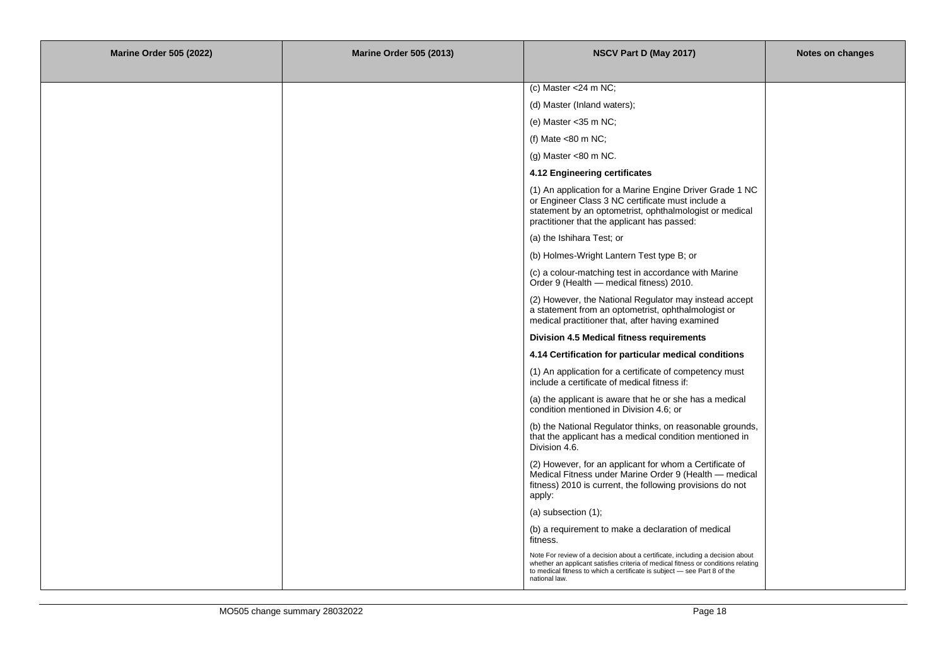| <b>Marine Order 505 (2022)</b> | <b>Marine Order 505 (2013)</b> | NSCV Part D (May 2017)                                                                                                                                                                                                                                          | Notes on changes |
|--------------------------------|--------------------------------|-----------------------------------------------------------------------------------------------------------------------------------------------------------------------------------------------------------------------------------------------------------------|------------------|
|                                |                                |                                                                                                                                                                                                                                                                 |                  |
|                                |                                | (c) Master <24 m NC;                                                                                                                                                                                                                                            |                  |
|                                |                                | (d) Master (Inland waters);                                                                                                                                                                                                                                     |                  |
|                                |                                | (e) Master $<$ 35 m NC;                                                                                                                                                                                                                                         |                  |
|                                |                                | (f) Mate <80 m NC;                                                                                                                                                                                                                                              |                  |
|                                |                                | (g) Master <80 m NC.                                                                                                                                                                                                                                            |                  |
|                                |                                | 4.12 Engineering certificates                                                                                                                                                                                                                                   |                  |
|                                |                                | (1) An application for a Marine Engine Driver Grade 1 NC<br>or Engineer Class 3 NC certificate must include a<br>statement by an optometrist, ophthalmologist or medical<br>practitioner that the applicant has passed:                                         |                  |
|                                |                                | (a) the Ishihara Test; or                                                                                                                                                                                                                                       |                  |
|                                |                                | (b) Holmes-Wright Lantern Test type B; or                                                                                                                                                                                                                       |                  |
|                                |                                | (c) a colour-matching test in accordance with Marine<br>Order 9 (Health - medical fitness) 2010.                                                                                                                                                                |                  |
|                                |                                | (2) However, the National Regulator may instead accept<br>a statement from an optometrist, ophthalmologist or<br>medical practitioner that, after having examined                                                                                               |                  |
|                                |                                | Division 4.5 Medical fitness requirements                                                                                                                                                                                                                       |                  |
|                                |                                | 4.14 Certification for particular medical conditions                                                                                                                                                                                                            |                  |
|                                |                                | (1) An application for a certificate of competency must<br>include a certificate of medical fitness if:                                                                                                                                                         |                  |
|                                |                                | (a) the applicant is aware that he or she has a medical<br>condition mentioned in Division 4.6; or                                                                                                                                                              |                  |
|                                |                                | (b) the National Regulator thinks, on reasonable grounds,<br>that the applicant has a medical condition mentioned in<br>Division 4.6.                                                                                                                           |                  |
|                                |                                | (2) However, for an applicant for whom a Certificate of<br>Medical Fitness under Marine Order 9 (Health - medical<br>fitness) 2010 is current, the following provisions do not<br>apply:                                                                        |                  |
|                                |                                | (a) subsection $(1)$ ;                                                                                                                                                                                                                                          |                  |
|                                |                                | (b) a requirement to make a declaration of medical<br>fitness.                                                                                                                                                                                                  |                  |
|                                |                                | Note For review of a decision about a certificate, including a decision about<br>whether an applicant satisfies criteria of medical fitness or conditions relating<br>to medical fitness to which a certificate is subject - see Part 8 of the<br>national law. |                  |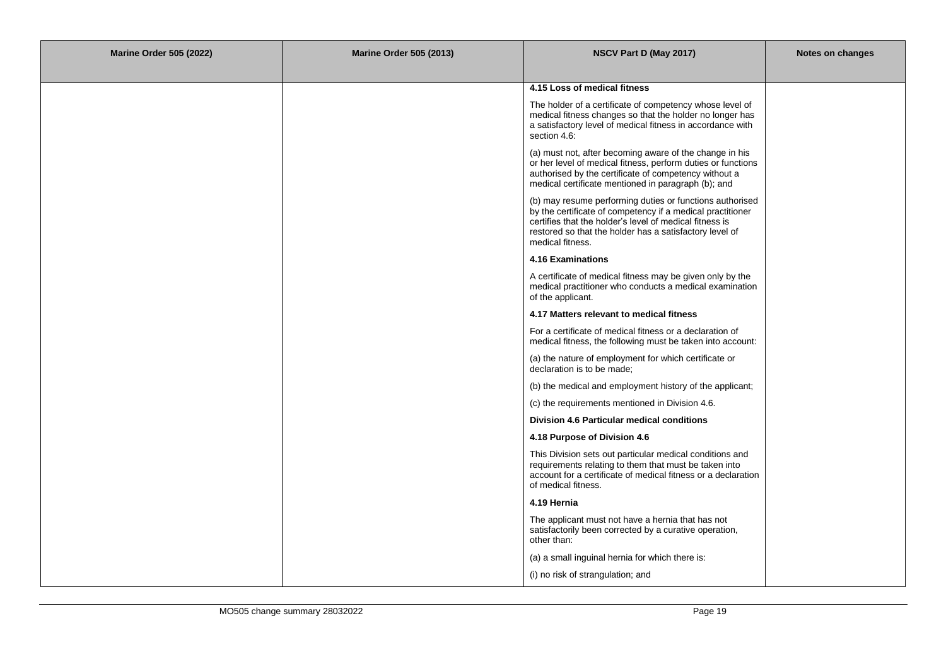| <b>Marine Order 505 (2022)</b> | <b>Marine Order 505 (2013)</b> | NSCV Part D (May 2017)                                                                                                                                                                                                                                           | Notes on changes |
|--------------------------------|--------------------------------|------------------------------------------------------------------------------------------------------------------------------------------------------------------------------------------------------------------------------------------------------------------|------------------|
|                                |                                |                                                                                                                                                                                                                                                                  |                  |
|                                |                                | 4.15 Loss of medical fitness                                                                                                                                                                                                                                     |                  |
|                                |                                | The holder of a certificate of competency whose level of<br>medical fitness changes so that the holder no longer has<br>a satisfactory level of medical fitness in accordance with<br>section 4.6:                                                               |                  |
|                                |                                | (a) must not, after becoming aware of the change in his<br>or her level of medical fitness, perform duties or functions<br>authorised by the certificate of competency without a<br>medical certificate mentioned in paragraph (b); and                          |                  |
|                                |                                | (b) may resume performing duties or functions authorised<br>by the certificate of competency if a medical practitioner<br>certifies that the holder's level of medical fitness is<br>restored so that the holder has a satisfactory level of<br>medical fitness. |                  |
|                                |                                | 4.16 Examinations                                                                                                                                                                                                                                                |                  |
|                                |                                | A certificate of medical fitness may be given only by the<br>medical practitioner who conducts a medical examination<br>of the applicant.                                                                                                                        |                  |
|                                |                                | 4.17 Matters relevant to medical fitness                                                                                                                                                                                                                         |                  |
|                                |                                | For a certificate of medical fitness or a declaration of<br>medical fitness, the following must be taken into account:                                                                                                                                           |                  |
|                                |                                | (a) the nature of employment for which certificate or<br>declaration is to be made;                                                                                                                                                                              |                  |
|                                |                                | (b) the medical and employment history of the applicant;                                                                                                                                                                                                         |                  |
|                                |                                | (c) the requirements mentioned in Division 4.6.                                                                                                                                                                                                                  |                  |
|                                |                                | <b>Division 4.6 Particular medical conditions</b>                                                                                                                                                                                                                |                  |
|                                |                                | 4.18 Purpose of Division 4.6                                                                                                                                                                                                                                     |                  |
|                                |                                | This Division sets out particular medical conditions and<br>requirements relating to them that must be taken into<br>account for a certificate of medical fitness or a declaration<br>of medical fitness.                                                        |                  |
|                                |                                | 4.19 Hernia                                                                                                                                                                                                                                                      |                  |
|                                |                                | The applicant must not have a hernia that has not<br>satisfactorily been corrected by a curative operation,<br>other than:                                                                                                                                       |                  |
|                                |                                | (a) a small inguinal hernia for which there is:                                                                                                                                                                                                                  |                  |
|                                |                                | (i) no risk of strangulation; and                                                                                                                                                                                                                                |                  |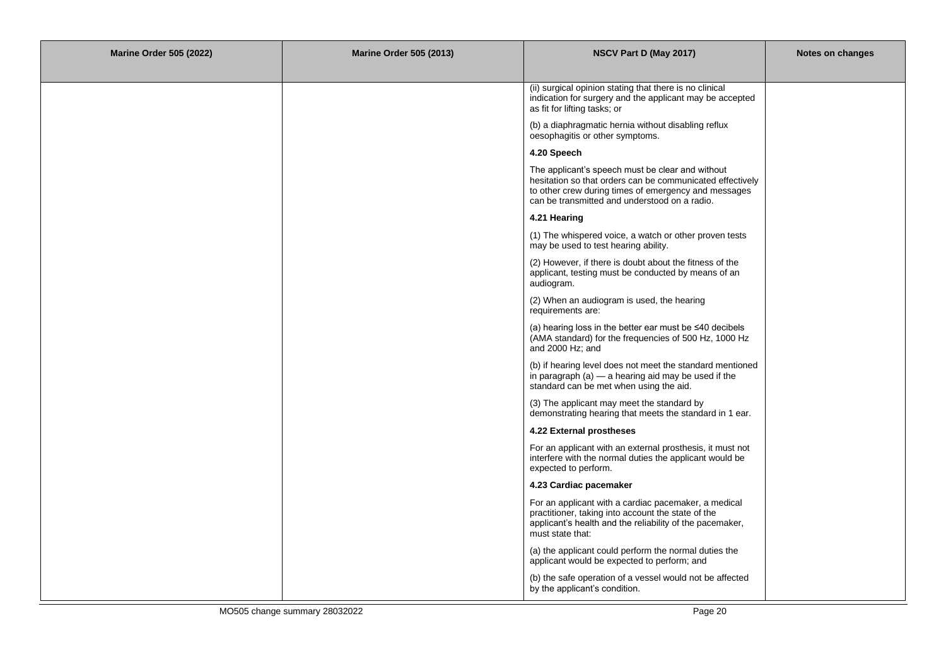| <b>Marine Order 505 (2022)</b> | <b>Marine Order 505 (2013)</b> | NSCV Part D (May 2017)                                                                                                                                                                                                 | Notes on changes |
|--------------------------------|--------------------------------|------------------------------------------------------------------------------------------------------------------------------------------------------------------------------------------------------------------------|------------------|
|                                |                                |                                                                                                                                                                                                                        |                  |
|                                |                                | (ii) surgical opinion stating that there is no clinical<br>indication for surgery and the applicant may be accepted<br>as fit for lifting tasks; or                                                                    |                  |
|                                |                                | (b) a diaphragmatic hernia without disabling reflux<br>oesophagitis or other symptoms.                                                                                                                                 |                  |
|                                |                                | 4.20 Speech                                                                                                                                                                                                            |                  |
|                                |                                | The applicant's speech must be clear and without<br>hesitation so that orders can be communicated effectively<br>to other crew during times of emergency and messages<br>can be transmitted and understood on a radio. |                  |
|                                |                                | 4.21 Hearing                                                                                                                                                                                                           |                  |
|                                |                                | (1) The whispered voice, a watch or other proven tests<br>may be used to test hearing ability.                                                                                                                         |                  |
|                                |                                | (2) However, if there is doubt about the fitness of the<br>applicant, testing must be conducted by means of an<br>audiogram.                                                                                           |                  |
|                                |                                | (2) When an audiogram is used, the hearing<br>requirements are:                                                                                                                                                        |                  |
|                                |                                | (a) hearing loss in the better ear must be $\leq 40$ decibels<br>(AMA standard) for the frequencies of 500 Hz, 1000 Hz<br>and 2000 Hz; and                                                                             |                  |
|                                |                                | (b) if hearing level does not meet the standard mentioned<br>in paragraph $(a)$ - a hearing aid may be used if the<br>standard can be met when using the aid.                                                          |                  |
|                                |                                | (3) The applicant may meet the standard by<br>demonstrating hearing that meets the standard in 1 ear.                                                                                                                  |                  |
|                                |                                | 4.22 External prostheses                                                                                                                                                                                               |                  |
|                                |                                | For an applicant with an external prosthesis, it must not<br>interfere with the normal duties the applicant would be<br>expected to perform.                                                                           |                  |
|                                |                                | 4.23 Cardiac pacemaker                                                                                                                                                                                                 |                  |
|                                |                                | For an applicant with a cardiac pacemaker, a medical<br>practitioner, taking into account the state of the<br>applicant's health and the reliability of the pacemaker,<br>must state that:                             |                  |
|                                |                                | (a) the applicant could perform the normal duties the<br>applicant would be expected to perform; and                                                                                                                   |                  |
|                                |                                | (b) the safe operation of a vessel would not be affected<br>by the applicant's condition.                                                                                                                              |                  |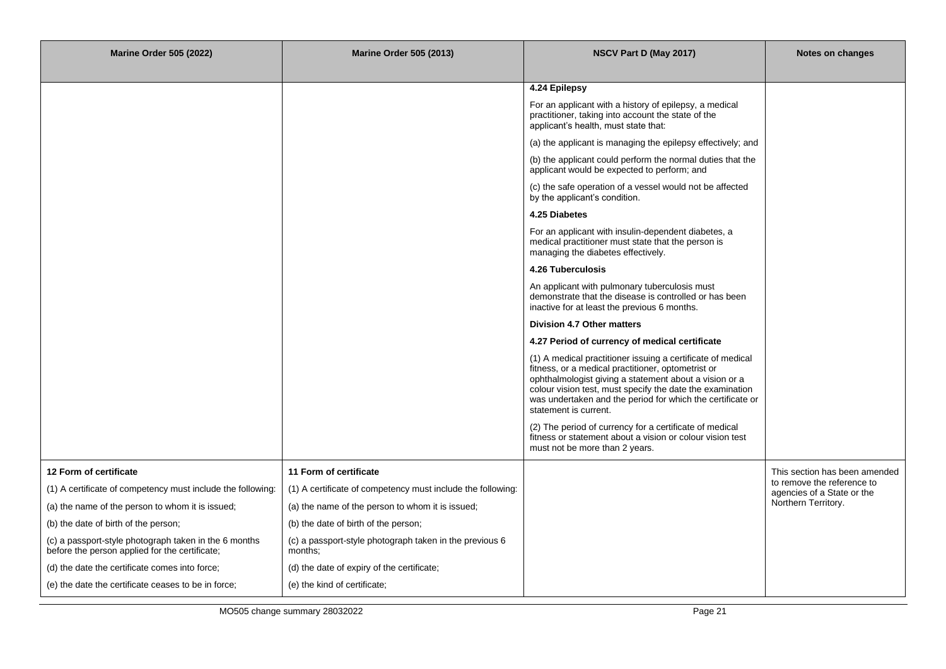| <b>Marine Order 505 (2022)</b>                                                                          | <b>Marine Order 505 (2013)</b>                                     | NSCV Part D (May 2017)                                                                                                                                                                                                                                                                                                          | Notes on changes                                         |
|---------------------------------------------------------------------------------------------------------|--------------------------------------------------------------------|---------------------------------------------------------------------------------------------------------------------------------------------------------------------------------------------------------------------------------------------------------------------------------------------------------------------------------|----------------------------------------------------------|
|                                                                                                         |                                                                    | 4.24 Epilepsy                                                                                                                                                                                                                                                                                                                   |                                                          |
|                                                                                                         |                                                                    | For an applicant with a history of epilepsy, a medical<br>practitioner, taking into account the state of the<br>applicant's health, must state that:                                                                                                                                                                            |                                                          |
|                                                                                                         |                                                                    | (a) the applicant is managing the epilepsy effectively; and                                                                                                                                                                                                                                                                     |                                                          |
|                                                                                                         |                                                                    | (b) the applicant could perform the normal duties that the<br>applicant would be expected to perform; and                                                                                                                                                                                                                       |                                                          |
|                                                                                                         |                                                                    | (c) the safe operation of a vessel would not be affected<br>by the applicant's condition.                                                                                                                                                                                                                                       |                                                          |
|                                                                                                         |                                                                    | 4.25 Diabetes                                                                                                                                                                                                                                                                                                                   |                                                          |
|                                                                                                         |                                                                    | For an applicant with insulin-dependent diabetes, a<br>medical practitioner must state that the person is<br>managing the diabetes effectively.                                                                                                                                                                                 |                                                          |
|                                                                                                         |                                                                    | <b>4.26 Tuberculosis</b>                                                                                                                                                                                                                                                                                                        |                                                          |
|                                                                                                         |                                                                    | An applicant with pulmonary tuberculosis must<br>demonstrate that the disease is controlled or has been<br>inactive for at least the previous 6 months.                                                                                                                                                                         |                                                          |
|                                                                                                         |                                                                    | Division 4.7 Other matters                                                                                                                                                                                                                                                                                                      |                                                          |
|                                                                                                         |                                                                    | 4.27 Period of currency of medical certificate                                                                                                                                                                                                                                                                                  |                                                          |
|                                                                                                         |                                                                    | (1) A medical practitioner issuing a certificate of medical<br>fitness, or a medical practitioner, optometrist or<br>ophthalmologist giving a statement about a vision or a<br>colour vision test, must specify the date the examination<br>was undertaken and the period for which the certificate or<br>statement is current. |                                                          |
|                                                                                                         |                                                                    | (2) The period of currency for a certificate of medical<br>fitness or statement about a vision or colour vision test<br>must not be more than 2 years.                                                                                                                                                                          |                                                          |
| 12 Form of certificate                                                                                  | 11 Form of certificate                                             |                                                                                                                                                                                                                                                                                                                                 | This section has been amended                            |
| (1) A certificate of competency must include the following:                                             | (1) A certificate of competency must include the following:        |                                                                                                                                                                                                                                                                                                                                 | to remove the reference to<br>agencies of a State or the |
| (a) the name of the person to whom it is issued;                                                        | (a) the name of the person to whom it is issued;                   |                                                                                                                                                                                                                                                                                                                                 | Northern Territory.                                      |
| (b) the date of birth of the person;                                                                    | (b) the date of birth of the person;                               |                                                                                                                                                                                                                                                                                                                                 |                                                          |
| (c) a passport-style photograph taken in the 6 months<br>before the person applied for the certificate; | (c) a passport-style photograph taken in the previous 6<br>months: |                                                                                                                                                                                                                                                                                                                                 |                                                          |
| (d) the date the certificate comes into force;                                                          | (d) the date of expiry of the certificate;                         |                                                                                                                                                                                                                                                                                                                                 |                                                          |
| (e) the date the certificate ceases to be in force;                                                     | (e) the kind of certificate;                                       |                                                                                                                                                                                                                                                                                                                                 |                                                          |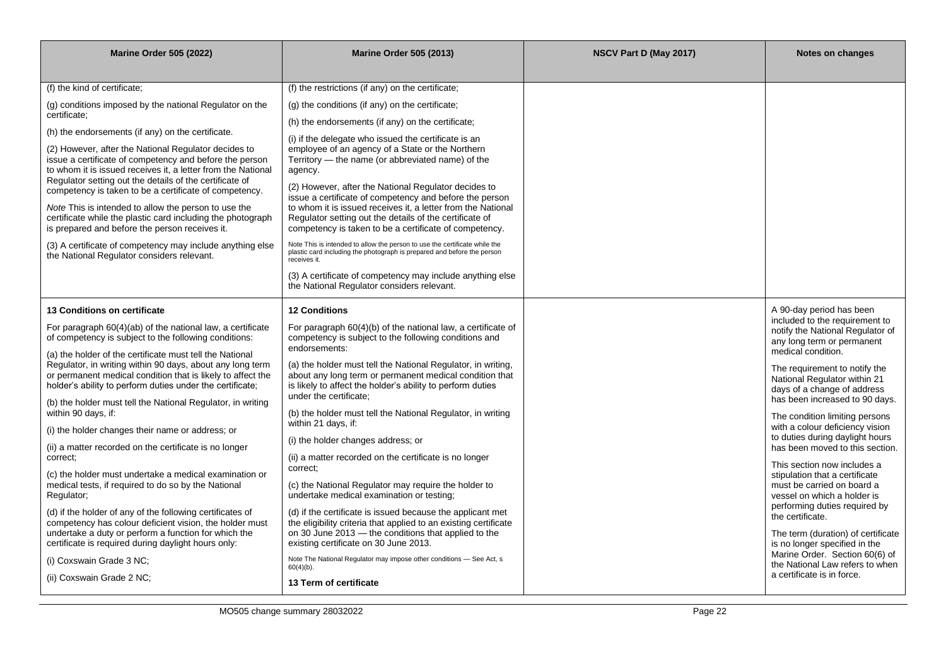| <b>Marine Order 505 (2022)</b>                                                                                                                                                                                                                                                                  | <b>Marine Order 505 (2013)</b>                                                                                                                                                                                                                                                                       | NSCV Part D (May 2017) | <b>Notes on changes</b>                                                                                                                              |
|-------------------------------------------------------------------------------------------------------------------------------------------------------------------------------------------------------------------------------------------------------------------------------------------------|------------------------------------------------------------------------------------------------------------------------------------------------------------------------------------------------------------------------------------------------------------------------------------------------------|------------------------|------------------------------------------------------------------------------------------------------------------------------------------------------|
|                                                                                                                                                                                                                                                                                                 |                                                                                                                                                                                                                                                                                                      |                        |                                                                                                                                                      |
| (f) the kind of certificate;                                                                                                                                                                                                                                                                    | (f) the restrictions (if any) on the certificate;                                                                                                                                                                                                                                                    |                        |                                                                                                                                                      |
| (g) conditions imposed by the national Regulator on the                                                                                                                                                                                                                                         | (g) the conditions (if any) on the certificate;                                                                                                                                                                                                                                                      |                        |                                                                                                                                                      |
| certificate;                                                                                                                                                                                                                                                                                    | (h) the endorsements (if any) on the certificate;                                                                                                                                                                                                                                                    |                        |                                                                                                                                                      |
| (h) the endorsements (if any) on the certificate.<br>(2) However, after the National Regulator decides to<br>issue a certificate of competency and before the person<br>to whom it is issued receives it, a letter from the National<br>Regulator setting out the details of the certificate of | (i) if the delegate who issued the certificate is an<br>employee of an agency of a State or the Northern<br>Territory — the name (or abbreviated name) of the<br>agency.                                                                                                                             |                        |                                                                                                                                                      |
| competency is taken to be a certificate of competency.<br>Note This is intended to allow the person to use the<br>certificate while the plastic card including the photograph<br>is prepared and before the person receives it.                                                                 | (2) However, after the National Regulator decides to<br>issue a certificate of competency and before the person<br>to whom it is issued receives it, a letter from the National<br>Regulator setting out the details of the certificate of<br>competency is taken to be a certificate of competency. |                        |                                                                                                                                                      |
| (3) A certificate of competency may include anything else<br>the National Regulator considers relevant.                                                                                                                                                                                         | Note This is intended to allow the person to use the certificate while the<br>plastic card including the photograph is prepared and before the person<br>receives it.                                                                                                                                |                        |                                                                                                                                                      |
|                                                                                                                                                                                                                                                                                                 | (3) A certificate of competency may include anything else<br>the National Regulator considers relevant.                                                                                                                                                                                              |                        |                                                                                                                                                      |
| 13 Conditions on certificate                                                                                                                                                                                                                                                                    | <b>12 Conditions</b>                                                                                                                                                                                                                                                                                 |                        | A 90-day period has been                                                                                                                             |
| For paragraph 60(4)(ab) of the national law, a certificate<br>of competency is subject to the following conditions:                                                                                                                                                                             | For paragraph 60(4)(b) of the national law, a certificate of<br>competency is subject to the following conditions and<br>endorsements:                                                                                                                                                               |                        | included to the requirement to<br>notify the National Regulator of<br>any long term or permanent                                                     |
| (a) the holder of the certificate must tell the National<br>Regulator, in writing within 90 days, about any long term<br>or permanent medical condition that is likely to affect the<br>holder's ability to perform duties under the certificate;                                               | (a) the holder must tell the National Regulator, in writing,<br>about any long term or permanent medical condition that<br>is likely to affect the holder's ability to perform duties<br>under the certificate;                                                                                      |                        | medical condition.<br>The requirement to notify the<br>National Regulator within 21<br>days of a change of address<br>has been increased to 90 days. |
| (b) the holder must tell the National Regulator, in writing<br>within 90 days, if:                                                                                                                                                                                                              | (b) the holder must tell the National Regulator, in writing<br>within 21 days, if:                                                                                                                                                                                                                   |                        | The condition limiting persons                                                                                                                       |
| (i) the holder changes their name or address; or                                                                                                                                                                                                                                                | (i) the holder changes address; or                                                                                                                                                                                                                                                                   |                        | with a colour deficiency vision<br>to duties during daylight hours                                                                                   |
| (ii) a matter recorded on the certificate is no longer<br>correct:                                                                                                                                                                                                                              | (ii) a matter recorded on the certificate is no longer                                                                                                                                                                                                                                               |                        | has been moved to this section.<br>This section now includes a                                                                                       |
| (c) the holder must undertake a medical examination or<br>medical tests, if required to do so by the National<br>Regulator;                                                                                                                                                                     | correct;<br>(c) the National Regulator may require the holder to<br>undertake medical examination or testing;                                                                                                                                                                                        |                        | stipulation that a certificate<br>must be carried on board a<br>vessel on which a holder is                                                          |
| (d) if the holder of any of the following certificates of<br>competency has colour deficient vision, the holder must<br>undertake a duty or perform a function for which the                                                                                                                    | (d) if the certificate is issued because the applicant met<br>the eligibility criteria that applied to an existing certificate<br>on 30 June 2013 – the conditions that applied to the                                                                                                               |                        | performing duties required by<br>the certificate.<br>The term (duration) of certificate                                                              |
| certificate is required during daylight hours only:                                                                                                                                                                                                                                             | existing certificate on 30 June 2013.                                                                                                                                                                                                                                                                |                        | is no longer specified in the<br>Marine Order. Section 60(6) of                                                                                      |
| (i) Coxswain Grade 3 NC;                                                                                                                                                                                                                                                                        | Note The National Regulator may impose other conditions - See Act, s<br>$60(4)(b)$ .                                                                                                                                                                                                                 |                        | the National Law refers to when                                                                                                                      |
| (ii) Coxswain Grade 2 NC;                                                                                                                                                                                                                                                                       | 13 Term of certificate                                                                                                                                                                                                                                                                               |                        | a certificate is in force.                                                                                                                           |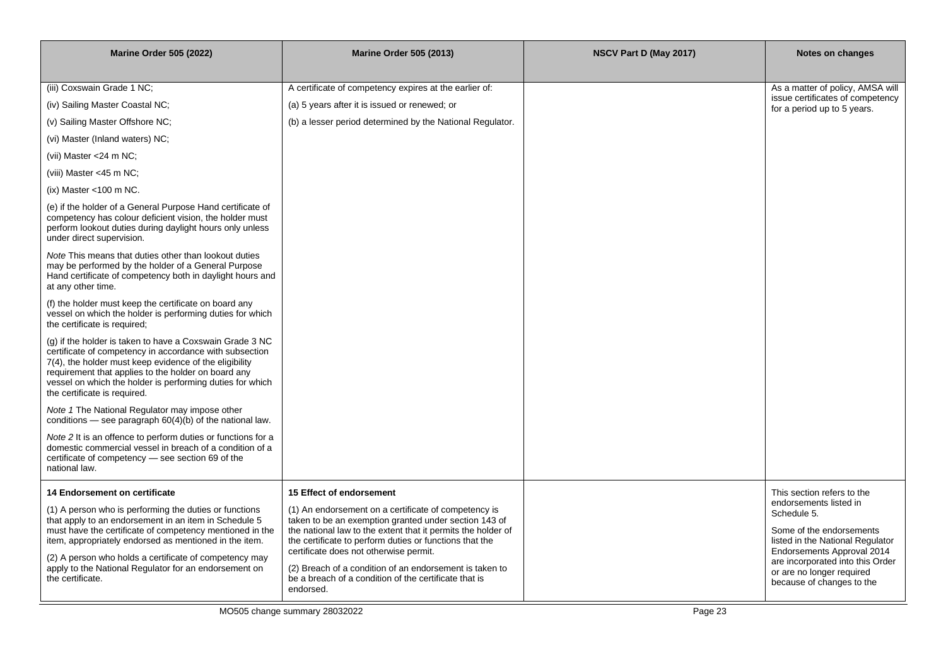| <b>Marine Order 505 (2022)</b>                                                                                                                                                                                                                                                                                                    | <b>Marine Order 505 (2013)</b>                                                                                                                                                                                                                                                     | NSCV Part D (May 2017) | Notes on changes                                                                                                                    |
|-----------------------------------------------------------------------------------------------------------------------------------------------------------------------------------------------------------------------------------------------------------------------------------------------------------------------------------|------------------------------------------------------------------------------------------------------------------------------------------------------------------------------------------------------------------------------------------------------------------------------------|------------------------|-------------------------------------------------------------------------------------------------------------------------------------|
|                                                                                                                                                                                                                                                                                                                                   |                                                                                                                                                                                                                                                                                    |                        |                                                                                                                                     |
| (iii) Coxswain Grade 1 NC;                                                                                                                                                                                                                                                                                                        | A certificate of competency expires at the earlier of:                                                                                                                                                                                                                             |                        | As a matter of policy, AMSA will<br>issue certificates of competency                                                                |
| (iv) Sailing Master Coastal NC;                                                                                                                                                                                                                                                                                                   | (a) 5 years after it is issued or renewed; or                                                                                                                                                                                                                                      |                        | for a period up to 5 years.                                                                                                         |
| (v) Sailing Master Offshore NC;                                                                                                                                                                                                                                                                                                   | (b) a lesser period determined by the National Regulator.                                                                                                                                                                                                                          |                        |                                                                                                                                     |
| (vi) Master (Inland waters) NC;                                                                                                                                                                                                                                                                                                   |                                                                                                                                                                                                                                                                                    |                        |                                                                                                                                     |
| (vii) Master $<$ 24 m NC;                                                                                                                                                                                                                                                                                                         |                                                                                                                                                                                                                                                                                    |                        |                                                                                                                                     |
| (viii) Master <45 m NC;                                                                                                                                                                                                                                                                                                           |                                                                                                                                                                                                                                                                                    |                        |                                                                                                                                     |
| (ix) Master <100 m NC.                                                                                                                                                                                                                                                                                                            |                                                                                                                                                                                                                                                                                    |                        |                                                                                                                                     |
| (e) if the holder of a General Purpose Hand certificate of<br>competency has colour deficient vision, the holder must<br>perform lookout duties during daylight hours only unless<br>under direct supervision.                                                                                                                    |                                                                                                                                                                                                                                                                                    |                        |                                                                                                                                     |
| Note This means that duties other than lookout duties<br>may be performed by the holder of a General Purpose<br>Hand certificate of competency both in daylight hours and<br>at any other time.                                                                                                                                   |                                                                                                                                                                                                                                                                                    |                        |                                                                                                                                     |
| (f) the holder must keep the certificate on board any<br>vessel on which the holder is performing duties for which<br>the certificate is required;                                                                                                                                                                                |                                                                                                                                                                                                                                                                                    |                        |                                                                                                                                     |
| (g) if the holder is taken to have a Coxswain Grade 3 NC<br>certificate of competency in accordance with subsection<br>7(4), the holder must keep evidence of the eligibility<br>requirement that applies to the holder on board any<br>vessel on which the holder is performing duties for which<br>the certificate is required. |                                                                                                                                                                                                                                                                                    |                        |                                                                                                                                     |
| Note 1 The National Regulator may impose other<br>conditions — see paragraph $60(4)(b)$ of the national law.                                                                                                                                                                                                                      |                                                                                                                                                                                                                                                                                    |                        |                                                                                                                                     |
| Note 2 It is an offence to perform duties or functions for a<br>domestic commercial vessel in breach of a condition of a<br>certificate of competency - see section 69 of the<br>national law.                                                                                                                                    |                                                                                                                                                                                                                                                                                    |                        |                                                                                                                                     |
| <b>14 Endorsement on certificate</b>                                                                                                                                                                                                                                                                                              | 15 Effect of endorsement                                                                                                                                                                                                                                                           |                        | This section refers to the                                                                                                          |
| (1) A person who is performing the duties or functions<br>that apply to an endorsement in an item in Schedule 5<br>must have the certificate of competency mentioned in the<br>item, appropriately endorsed as mentioned in the item.                                                                                             | (1) An endorsement on a certificate of competency is<br>taken to be an exemption granted under section 143 of<br>the national law to the extent that it permits the holder of<br>the certificate to perform duties or functions that the<br>certificate does not otherwise permit. |                        | endorsements listed in<br>Schedule 5.<br>Some of the endorsements<br>listed in the National Regulator<br>Endorsements Approval 2014 |
| (2) A person who holds a certificate of competency may<br>apply to the National Regulator for an endorsement on<br>the certificate.                                                                                                                                                                                               | (2) Breach of a condition of an endorsement is taken to<br>be a breach of a condition of the certificate that is<br>endorsed.                                                                                                                                                      |                        | are incorporated into this Order<br>or are no longer required<br>because of changes to the                                          |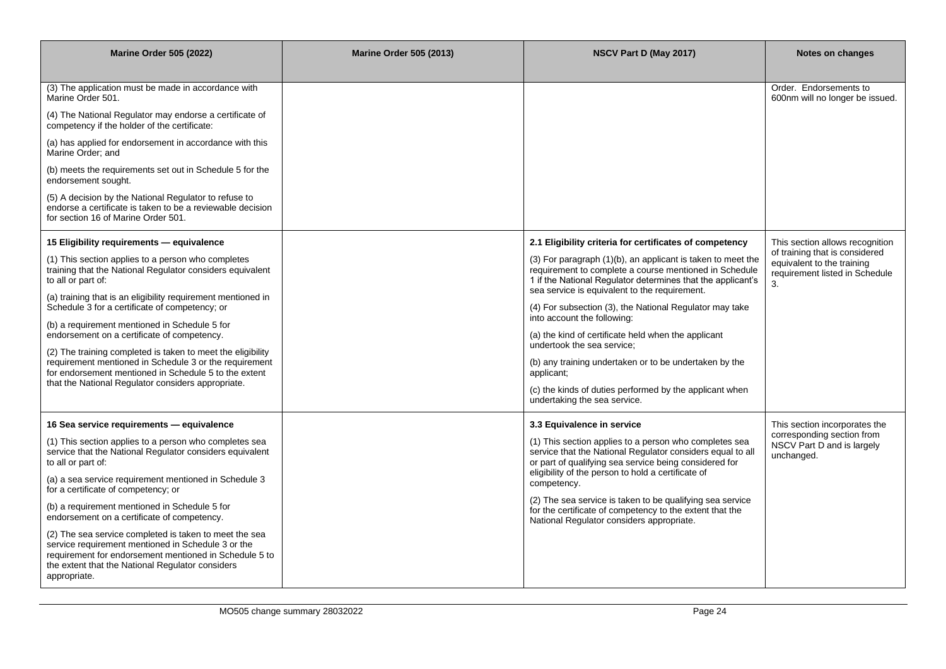| <b>Marine Order 505 (2022)</b>                                                                                                                                                                                                                                                                                                                                                                                                                                                                                                                                                                                                               | <b>Marine Order 505 (2013)</b> | NSCV Part D (May 2017)                                                                                                                                                                                                                                                                                                                                                                                                                                                                                                                                                                                                                                  | Notes on changes                                                                                                                        |
|----------------------------------------------------------------------------------------------------------------------------------------------------------------------------------------------------------------------------------------------------------------------------------------------------------------------------------------------------------------------------------------------------------------------------------------------------------------------------------------------------------------------------------------------------------------------------------------------------------------------------------------------|--------------------------------|---------------------------------------------------------------------------------------------------------------------------------------------------------------------------------------------------------------------------------------------------------------------------------------------------------------------------------------------------------------------------------------------------------------------------------------------------------------------------------------------------------------------------------------------------------------------------------------------------------------------------------------------------------|-----------------------------------------------------------------------------------------------------------------------------------------|
| (3) The application must be made in accordance with<br>Marine Order 501.<br>(4) The National Regulator may endorse a certificate of<br>competency if the holder of the certificate:<br>(a) has applied for endorsement in accordance with this<br>Marine Order; and<br>(b) meets the requirements set out in Schedule 5 for the<br>endorsement sought.<br>(5) A decision by the National Regulator to refuse to<br>endorse a certificate is taken to be a reviewable decision<br>for section 16 of Marine Order 501.                                                                                                                         |                                |                                                                                                                                                                                                                                                                                                                                                                                                                                                                                                                                                                                                                                                         | Order. Endorsements to<br>600nm will no longer be issued.                                                                               |
| 15 Eligibility requirements - equivalence<br>(1) This section applies to a person who completes<br>training that the National Regulator considers equivalent<br>to all or part of:<br>(a) training that is an eligibility requirement mentioned in<br>Schedule 3 for a certificate of competency; or<br>(b) a requirement mentioned in Schedule 5 for<br>endorsement on a certificate of competency.<br>(2) The training completed is taken to meet the eligibility<br>requirement mentioned in Schedule 3 or the requirement<br>for endorsement mentioned in Schedule 5 to the extent<br>that the National Regulator considers appropriate. |                                | 2.1 Eligibility criteria for certificates of competency<br>$(3)$ For paragraph $(1)(b)$ , an applicant is taken to meet the<br>requirement to complete a course mentioned in Schedule<br>1 if the National Regulator determines that the applicant's<br>sea service is equivalent to the requirement.<br>(4) For subsection (3), the National Regulator may take<br>into account the following:<br>(a) the kind of certificate held when the applicant<br>undertook the sea service;<br>(b) any training undertaken or to be undertaken by the<br>applicant;<br>(c) the kinds of duties performed by the applicant when<br>undertaking the sea service. | This section allows recognition<br>of training that is considered<br>equivalent to the training<br>requirement listed in Schedule<br>3. |
| 16 Sea service requirements - equivalence<br>(1) This section applies to a person who completes sea<br>service that the National Regulator considers equivalent<br>to all or part of:<br>(a) a sea service requirement mentioned in Schedule 3<br>for a certificate of competency; or<br>(b) a requirement mentioned in Schedule 5 for<br>endorsement on a certificate of competency.<br>(2) The sea service completed is taken to meet the sea<br>service requirement mentioned in Schedule 3 or the<br>requirement for endorsement mentioned in Schedule 5 to<br>the extent that the National Regulator considers<br>appropriate.          |                                | 3.3 Equivalence in service<br>(1) This section applies to a person who completes sea<br>service that the National Regulator considers equal to all<br>or part of qualifying sea service being considered for<br>eligibility of the person to hold a certificate of<br>competency.<br>(2) The sea service is taken to be qualifying sea service<br>for the certificate of competency to the extent that the<br>National Regulator considers appropriate.                                                                                                                                                                                                 | This section incorporates the<br>corresponding section from<br>NSCV Part D and is largely<br>unchanged.                                 |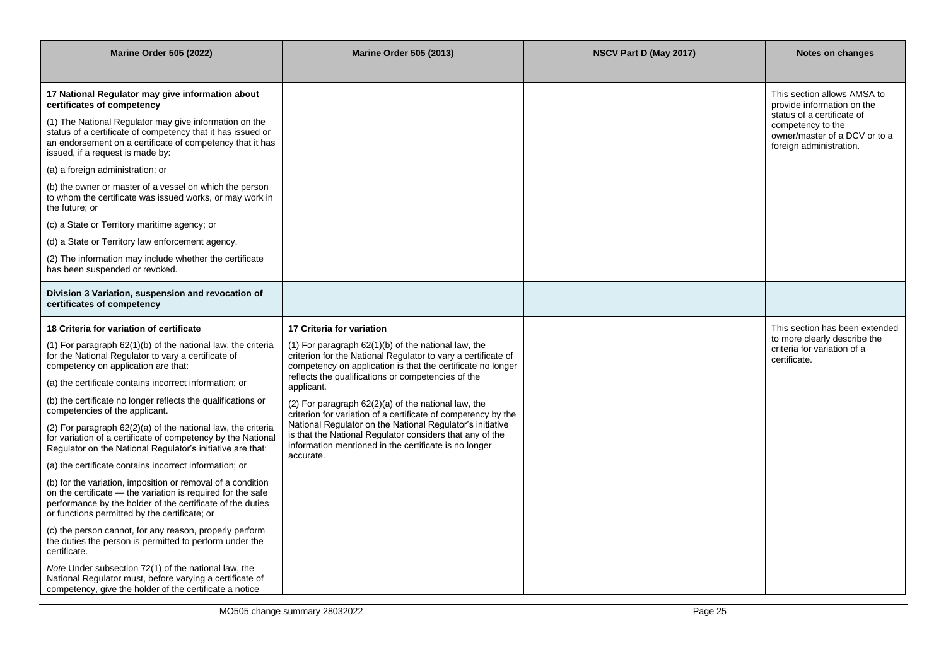| <b>Marine Order 505 (2022)</b>                                                                                                                                                                                                            | <b>Marine Order 505 (2013)</b>                                                                                                                                                              | NSCV Part D (May 2017) | Notes on changes                                                                                            |
|-------------------------------------------------------------------------------------------------------------------------------------------------------------------------------------------------------------------------------------------|---------------------------------------------------------------------------------------------------------------------------------------------------------------------------------------------|------------------------|-------------------------------------------------------------------------------------------------------------|
| 17 National Regulator may give information about<br>certificates of competency                                                                                                                                                            |                                                                                                                                                                                             |                        | This section allows AMSA to<br>provide information on the                                                   |
| (1) The National Regulator may give information on the<br>status of a certificate of competency that it has issued or<br>an endorsement on a certificate of competency that it has<br>issued, if a request is made by:                    |                                                                                                                                                                                             |                        | status of a certificate of<br>competency to the<br>owner/master of a DCV or to a<br>foreign administration. |
| (a) a foreign administration; or                                                                                                                                                                                                          |                                                                                                                                                                                             |                        |                                                                                                             |
| (b) the owner or master of a vessel on which the person<br>to whom the certificate was issued works, or may work in<br>the future: or                                                                                                     |                                                                                                                                                                                             |                        |                                                                                                             |
| (c) a State or Territory maritime agency; or                                                                                                                                                                                              |                                                                                                                                                                                             |                        |                                                                                                             |
| (d) a State or Territory law enforcement agency.                                                                                                                                                                                          |                                                                                                                                                                                             |                        |                                                                                                             |
| (2) The information may include whether the certificate<br>has been suspended or revoked.                                                                                                                                                 |                                                                                                                                                                                             |                        |                                                                                                             |
| Division 3 Variation, suspension and revocation of<br>certificates of competency                                                                                                                                                          |                                                                                                                                                                                             |                        |                                                                                                             |
| 18 Criteria for variation of certificate                                                                                                                                                                                                  | 17 Criteria for variation                                                                                                                                                                   |                        | This section has been extended                                                                              |
| (1) For paragraph 62(1)(b) of the national law, the criteria<br>for the National Regulator to vary a certificate of<br>competency on application are that:                                                                                | $(1)$ For paragraph 62 $(1)(b)$ of the national law, the<br>criterion for the National Regulator to vary a certificate of<br>competency on application is that the certificate no longer    |                        | to more clearly describe the<br>criteria for variation of a<br>certificate.                                 |
| (a) the certificate contains incorrect information; or                                                                                                                                                                                    | reflects the qualifications or competencies of the<br>applicant.                                                                                                                            |                        |                                                                                                             |
| (b) the certificate no longer reflects the qualifications or<br>competencies of the applicant.                                                                                                                                            | $(2)$ For paragraph $62(2)(a)$ of the national law, the<br>criterion for variation of a certificate of competency by the                                                                    |                        |                                                                                                             |
| (2) For paragraph 62(2)(a) of the national law, the criteria<br>for variation of a certificate of competency by the National<br>Regulator on the National Regulator's initiative are that:                                                | National Regulator on the National Regulator's initiative<br>is that the National Regulator considers that any of the<br>information mentioned in the certificate is no longer<br>accurate. |                        |                                                                                                             |
| (a) the certificate contains incorrect information; or                                                                                                                                                                                    |                                                                                                                                                                                             |                        |                                                                                                             |
| (b) for the variation, imposition or removal of a condition<br>on the certificate - the variation is required for the safe<br>performance by the holder of the certificate of the duties<br>or functions permitted by the certificate; or |                                                                                                                                                                                             |                        |                                                                                                             |
| (c) the person cannot, for any reason, properly perform<br>the duties the person is permitted to perform under the<br>certificate.                                                                                                        |                                                                                                                                                                                             |                        |                                                                                                             |
| Note Under subsection 72(1) of the national law, the<br>National Regulator must, before varying a certificate of<br>competency, give the holder of the certificate a notice                                                               |                                                                                                                                                                                             |                        |                                                                                                             |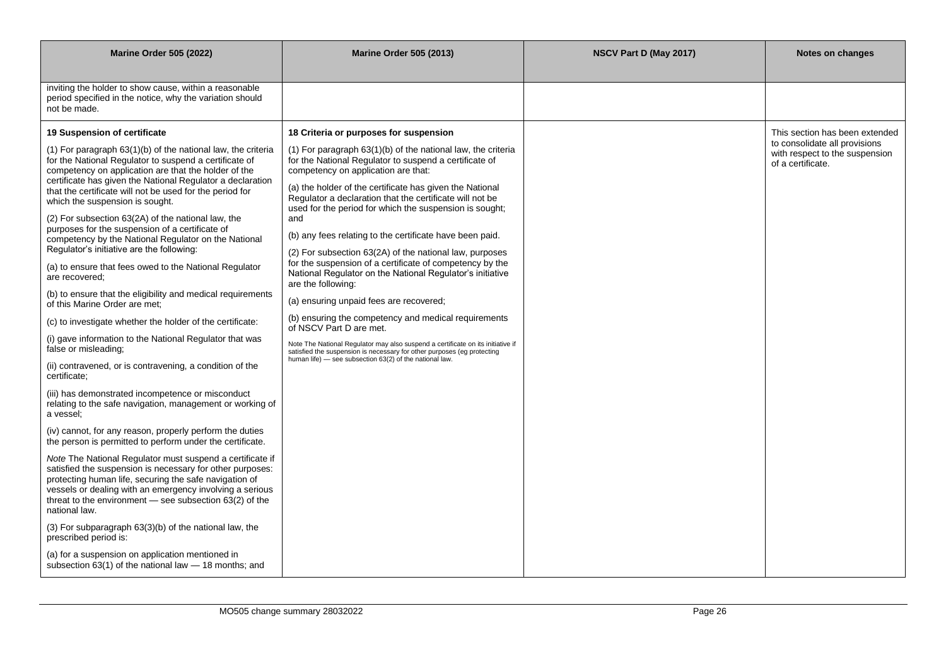| <b>Marine Order 505 (2022)</b>                                                                                                                                                                                                                                                                                               | <b>Marine Order 505 (2013)</b>                                                                                                                                                                         | NSCV Part D (May 2017) | Notes on changes                                                                     |
|------------------------------------------------------------------------------------------------------------------------------------------------------------------------------------------------------------------------------------------------------------------------------------------------------------------------------|--------------------------------------------------------------------------------------------------------------------------------------------------------------------------------------------------------|------------------------|--------------------------------------------------------------------------------------|
| inviting the holder to show cause, within a reasonable<br>period specified in the notice, why the variation should<br>not be made.                                                                                                                                                                                           |                                                                                                                                                                                                        |                        |                                                                                      |
| 19 Suspension of certificate                                                                                                                                                                                                                                                                                                 | 18 Criteria or purposes for suspension                                                                                                                                                                 |                        | This section has been extended                                                       |
| (1) For paragraph 63(1)(b) of the national law, the criteria<br>for the National Regulator to suspend a certificate of<br>competency on application are that the holder of the                                                                                                                                               | $(1)$ For paragraph 63 $(1)(b)$ of the national law, the criteria<br>for the National Regulator to suspend a certificate of<br>competency on application are that:                                     |                        | to consolidate all provisions<br>with respect to the suspension<br>of a certificate. |
| certificate has given the National Regulator a declaration<br>that the certificate will not be used for the period for<br>which the suspension is sought.                                                                                                                                                                    | (a) the holder of the certificate has given the National<br>Regulator a declaration that the certificate will not be<br>used for the period for which the suspension is sought;                        |                        |                                                                                      |
| (2) For subsection 63(2A) of the national law, the<br>purposes for the suspension of a certificate of                                                                                                                                                                                                                        | and                                                                                                                                                                                                    |                        |                                                                                      |
| competency by the National Regulator on the National                                                                                                                                                                                                                                                                         | (b) any fees relating to the certificate have been paid.                                                                                                                                               |                        |                                                                                      |
| Regulator's initiative are the following:<br>(a) to ensure that fees owed to the National Regulator<br>are recovered;                                                                                                                                                                                                        | (2) For subsection 63(2A) of the national law, purposes<br>for the suspension of a certificate of competency by the<br>National Regulator on the National Regulator's initiative<br>are the following: |                        |                                                                                      |
| (b) to ensure that the eligibility and medical requirements<br>of this Marine Order are met:                                                                                                                                                                                                                                 | (a) ensuring unpaid fees are recovered;                                                                                                                                                                |                        |                                                                                      |
| (c) to investigate whether the holder of the certificate:                                                                                                                                                                                                                                                                    | (b) ensuring the competency and medical requirements<br>of NSCV Part D are met.                                                                                                                        |                        |                                                                                      |
| (i) gave information to the National Regulator that was<br>false or misleading;                                                                                                                                                                                                                                              | Note The National Regulator may also suspend a certificate on its initiative if<br>satisfied the suspension is necessary for other purposes (eg protecting                                             |                        |                                                                                      |
| (ii) contravened, or is contravening, a condition of the<br>certificate;                                                                                                                                                                                                                                                     | human life) - see subsection 63(2) of the national law.                                                                                                                                                |                        |                                                                                      |
| (iii) has demonstrated incompetence or misconduct<br>relating to the safe navigation, management or working of<br>a vessel;                                                                                                                                                                                                  |                                                                                                                                                                                                        |                        |                                                                                      |
| (iv) cannot, for any reason, properly perform the duties<br>the person is permitted to perform under the certificate.                                                                                                                                                                                                        |                                                                                                                                                                                                        |                        |                                                                                      |
| Note The National Regulator must suspend a certificate if<br>satisfied the suspension is necessary for other purposes:<br>protecting human life, securing the safe navigation of<br>vessels or dealing with an emergency involving a serious<br>threat to the environment $-$ see subsection $63(2)$ of the<br>national law. |                                                                                                                                                                                                        |                        |                                                                                      |
| (3) For subparagraph 63(3)(b) of the national law, the<br>prescribed period is:                                                                                                                                                                                                                                              |                                                                                                                                                                                                        |                        |                                                                                      |
| (a) for a suspension on application mentioned in<br>subsection 63(1) of the national law - 18 months; and                                                                                                                                                                                                                    |                                                                                                                                                                                                        |                        |                                                                                      |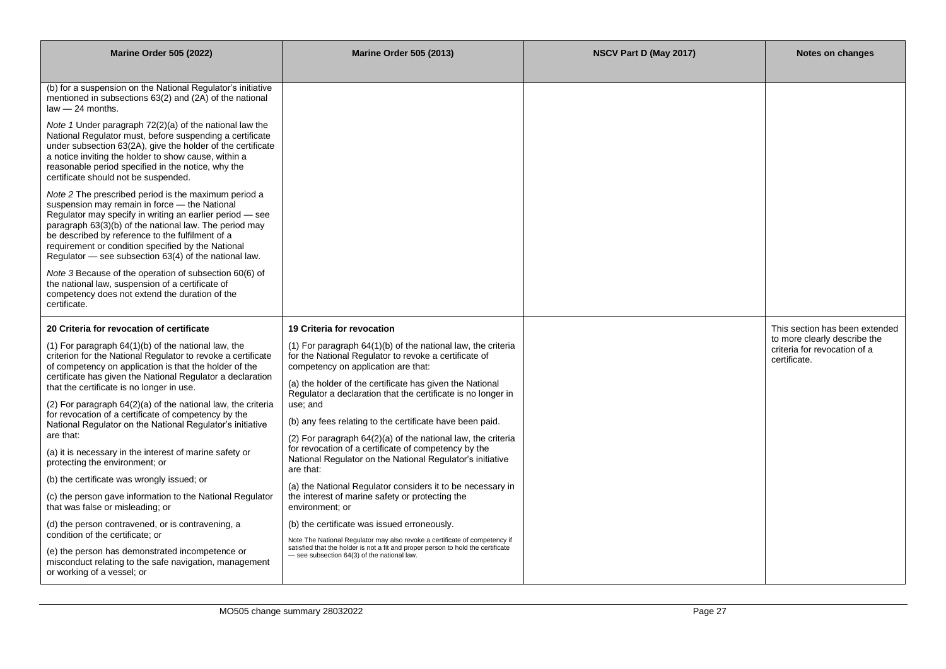| <b>Marine Order 505 (2022)</b>                                                                                                                                                                                                                                                                                                                                                                 | <b>Marine Order 505 (2013)</b>                                                                                                                                                                                | NSCV Part D (May 2017) | Notes on changes                                                             |
|------------------------------------------------------------------------------------------------------------------------------------------------------------------------------------------------------------------------------------------------------------------------------------------------------------------------------------------------------------------------------------------------|---------------------------------------------------------------------------------------------------------------------------------------------------------------------------------------------------------------|------------------------|------------------------------------------------------------------------------|
|                                                                                                                                                                                                                                                                                                                                                                                                |                                                                                                                                                                                                               |                        |                                                                              |
| (b) for a suspension on the National Regulator's initiative<br>mentioned in subsections 63(2) and (2A) of the national<br>law - 24 months.                                                                                                                                                                                                                                                     |                                                                                                                                                                                                               |                        |                                                                              |
| Note 1 Under paragraph 72(2)(a) of the national law the<br>National Regulator must, before suspending a certificate<br>under subsection 63(2A), give the holder of the certificate<br>a notice inviting the holder to show cause, within a<br>reasonable period specified in the notice, why the<br>certificate should not be suspended.                                                       |                                                                                                                                                                                                               |                        |                                                                              |
| Note 2 The prescribed period is the maximum period a<br>suspension may remain in force - the National<br>Regulator may specify in writing an earlier period - see<br>paragraph 63(3)(b) of the national law. The period may<br>be described by reference to the fulfilment of a<br>requirement or condition specified by the National<br>Regulator – see subsection 63(4) of the national law. |                                                                                                                                                                                                               |                        |                                                                              |
| Note 3 Because of the operation of subsection 60(6) of<br>the national law, suspension of a certificate of<br>competency does not extend the duration of the<br>certificate.                                                                                                                                                                                                                   |                                                                                                                                                                                                               |                        |                                                                              |
| 20 Criteria for revocation of certificate                                                                                                                                                                                                                                                                                                                                                      | 19 Criteria for revocation                                                                                                                                                                                    |                        | This section has been extended                                               |
| $(1)$ For paragraph 64 $(1)(b)$ of the national law, the<br>criterion for the National Regulator to revoke a certificate<br>of competency on application is that the holder of the<br>certificate has given the National Regulator a declaration                                                                                                                                               | $(1)$ For paragraph 64 $(1)(b)$ of the national law, the criteria<br>for the National Regulator to revoke a certificate of<br>competency on application are that:                                             |                        | to more clearly describe the<br>criteria for revocation of a<br>certificate. |
| that the certificate is no longer in use.                                                                                                                                                                                                                                                                                                                                                      | (a) the holder of the certificate has given the National<br>Regulator a declaration that the certificate is no longer in                                                                                      |                        |                                                                              |
| (2) For paragraph 64(2)(a) of the national law, the criteria<br>for revocation of a certificate of competency by the                                                                                                                                                                                                                                                                           | use; and                                                                                                                                                                                                      |                        |                                                                              |
| National Regulator on the National Regulator's initiative<br>are that:                                                                                                                                                                                                                                                                                                                         | (b) any fees relating to the certificate have been paid.<br>(2) For paragraph 64(2)(a) of the national law, the criteria                                                                                      |                        |                                                                              |
| (a) it is necessary in the interest of marine safety or<br>protecting the environment; or                                                                                                                                                                                                                                                                                                      | for revocation of a certificate of competency by the<br>National Regulator on the National Regulator's initiative<br>are that:                                                                                |                        |                                                                              |
| (b) the certificate was wrongly issued; or                                                                                                                                                                                                                                                                                                                                                     | (a) the National Regulator considers it to be necessary in                                                                                                                                                    |                        |                                                                              |
| (c) the person gave information to the National Regulator<br>that was false or misleading; or                                                                                                                                                                                                                                                                                                  | the interest of marine safety or protecting the<br>environment: or                                                                                                                                            |                        |                                                                              |
| (d) the person contravened, or is contravening, a<br>condition of the certificate: or                                                                                                                                                                                                                                                                                                          | (b) the certificate was issued erroneously.                                                                                                                                                                   |                        |                                                                              |
| (e) the person has demonstrated incompetence or<br>misconduct relating to the safe navigation, management<br>or working of a vessel; or                                                                                                                                                                                                                                                        | Note The National Regulator may also revoke a certificate of competency if<br>satisfied that the holder is not a fit and proper person to hold the certificate<br>- see subsection 64(3) of the national law. |                        |                                                                              |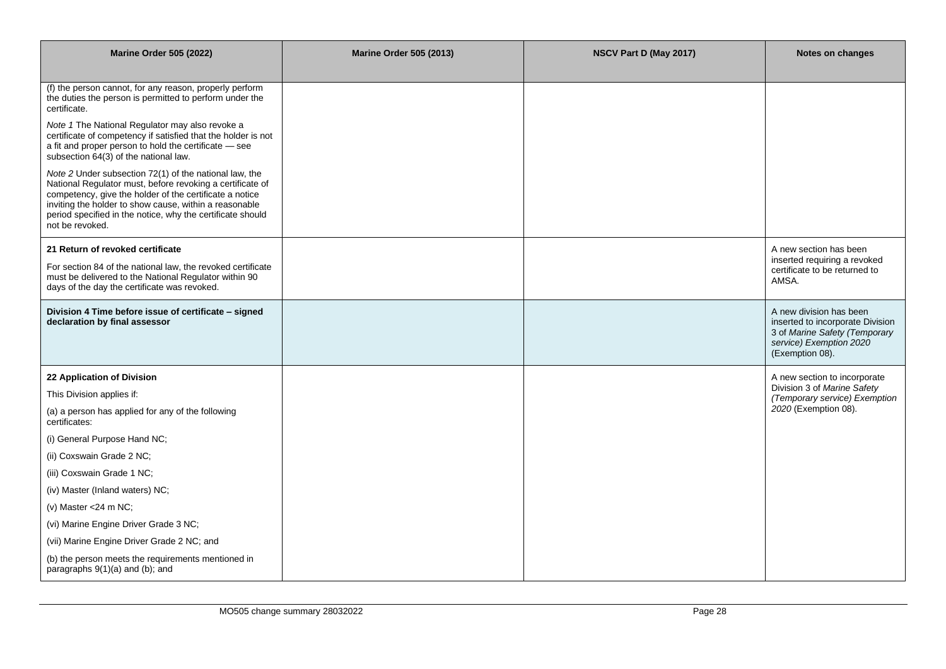| <b>Marine Order 505 (2022)</b>                                                                                                                                                                                                                                                                                            | <b>Marine Order 505 (2013)</b> | NSCV Part D (May 2017) | Notes on changes                                                                                                                           |
|---------------------------------------------------------------------------------------------------------------------------------------------------------------------------------------------------------------------------------------------------------------------------------------------------------------------------|--------------------------------|------------------------|--------------------------------------------------------------------------------------------------------------------------------------------|
| (f) the person cannot, for any reason, properly perform<br>the duties the person is permitted to perform under the<br>certificate.                                                                                                                                                                                        |                                |                        |                                                                                                                                            |
| Note 1 The National Regulator may also revoke a<br>certificate of competency if satisfied that the holder is not<br>a fit and proper person to hold the certificate - see<br>subsection 64(3) of the national law.                                                                                                        |                                |                        |                                                                                                                                            |
| Note 2 Under subsection 72(1) of the national law, the<br>National Regulator must, before revoking a certificate of<br>competency, give the holder of the certificate a notice<br>inviting the holder to show cause, within a reasonable<br>period specified in the notice, why the certificate should<br>not be revoked. |                                |                        |                                                                                                                                            |
| 21 Return of revoked certificate                                                                                                                                                                                                                                                                                          |                                |                        | A new section has been                                                                                                                     |
| For section 84 of the national law, the revoked certificate<br>must be delivered to the National Regulator within 90<br>days of the day the certificate was revoked.                                                                                                                                                      |                                |                        | inserted requiring a revoked<br>certificate to be returned to<br>AMSA.                                                                     |
| Division 4 Time before issue of certificate - signed<br>declaration by final assessor                                                                                                                                                                                                                                     |                                |                        | A new division has been<br>inserted to incorporate Division<br>3 of Marine Safety (Temporary<br>service) Exemption 2020<br>(Exemption 08). |
| 22 Application of Division                                                                                                                                                                                                                                                                                                |                                |                        | A new section to incorporate                                                                                                               |
| This Division applies if:                                                                                                                                                                                                                                                                                                 |                                |                        | Division 3 of Marine Safety<br>(Temporary service) Exemption                                                                               |
| (a) a person has applied for any of the following<br>certificates:                                                                                                                                                                                                                                                        |                                |                        | 2020 (Exemption 08).                                                                                                                       |
| (i) General Purpose Hand NC;                                                                                                                                                                                                                                                                                              |                                |                        |                                                                                                                                            |
| (ii) Coxswain Grade 2 NC;                                                                                                                                                                                                                                                                                                 |                                |                        |                                                                                                                                            |
| (iii) Coxswain Grade 1 NC;                                                                                                                                                                                                                                                                                                |                                |                        |                                                                                                                                            |
| (iv) Master (Inland waters) NC;                                                                                                                                                                                                                                                                                           |                                |                        |                                                                                                                                            |
| (v) Master <24 m NC;                                                                                                                                                                                                                                                                                                      |                                |                        |                                                                                                                                            |
| (vi) Marine Engine Driver Grade 3 NC;                                                                                                                                                                                                                                                                                     |                                |                        |                                                                                                                                            |
| (vii) Marine Engine Driver Grade 2 NC; and                                                                                                                                                                                                                                                                                |                                |                        |                                                                                                                                            |
| (b) the person meets the requirements mentioned in<br>paragraphs 9(1)(a) and (b); and                                                                                                                                                                                                                                     |                                |                        |                                                                                                                                            |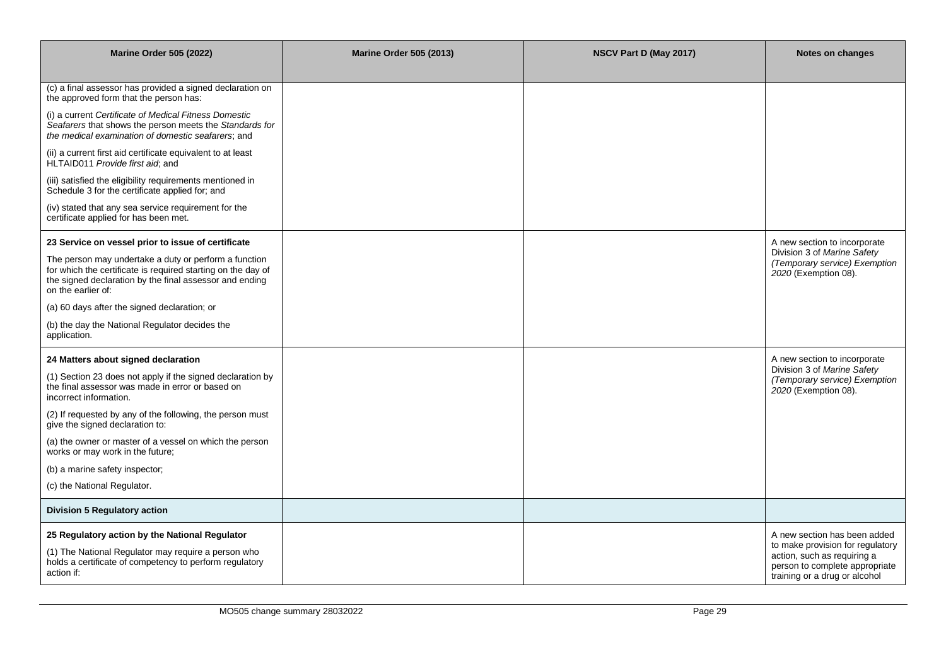| <b>Marine Order 505 (2022)</b>                                                                                                                                                                         | <b>Marine Order 505 (2013)</b> | NSCV Part D (May 2017) | Notes on changes                                                                                                                   |
|--------------------------------------------------------------------------------------------------------------------------------------------------------------------------------------------------------|--------------------------------|------------------------|------------------------------------------------------------------------------------------------------------------------------------|
| (c) a final assessor has provided a signed declaration on<br>the approved form that the person has:                                                                                                    |                                |                        |                                                                                                                                    |
| (i) a current Certificate of Medical Fitness Domestic<br>Seafarers that shows the person meets the Standards for<br>the medical examination of domestic seafarers; and                                 |                                |                        |                                                                                                                                    |
| (ii) a current first aid certificate equivalent to at least<br>HLTAID011 Provide first aid, and                                                                                                        |                                |                        |                                                                                                                                    |
| (iii) satisfied the eligibility requirements mentioned in<br>Schedule 3 for the certificate applied for; and                                                                                           |                                |                        |                                                                                                                                    |
| (iv) stated that any sea service requirement for the<br>certificate applied for has been met.                                                                                                          |                                |                        |                                                                                                                                    |
| 23 Service on vessel prior to issue of certificate                                                                                                                                                     |                                |                        | A new section to incorporate                                                                                                       |
| The person may undertake a duty or perform a function<br>for which the certificate is required starting on the day of<br>the signed declaration by the final assessor and ending<br>on the earlier of: |                                |                        | Division 3 of Marine Safety<br>(Temporary service) Exemption<br>2020 (Exemption 08).                                               |
| (a) 60 days after the signed declaration; or                                                                                                                                                           |                                |                        |                                                                                                                                    |
| (b) the day the National Regulator decides the<br>application.                                                                                                                                         |                                |                        |                                                                                                                                    |
| 24 Matters about signed declaration                                                                                                                                                                    |                                |                        | A new section to incorporate                                                                                                       |
| (1) Section 23 does not apply if the signed declaration by<br>the final assessor was made in error or based on<br>incorrect information.                                                               |                                |                        | Division 3 of Marine Safety<br>(Temporary service) Exemption<br>2020 (Exemption 08).                                               |
| (2) If requested by any of the following, the person must<br>give the signed declaration to:                                                                                                           |                                |                        |                                                                                                                                    |
| (a) the owner or master of a vessel on which the person<br>works or may work in the future;                                                                                                            |                                |                        |                                                                                                                                    |
| (b) a marine safety inspector;                                                                                                                                                                         |                                |                        |                                                                                                                                    |
| (c) the National Regulator.                                                                                                                                                                            |                                |                        |                                                                                                                                    |
| <b>Division 5 Regulatory action</b>                                                                                                                                                                    |                                |                        |                                                                                                                                    |
| 25 Regulatory action by the National Regulator                                                                                                                                                         |                                |                        | A new section has been added                                                                                                       |
| (1) The National Regulator may require a person who<br>holds a certificate of competency to perform regulatory<br>action if:                                                                           |                                |                        | to make provision for regulatory<br>action, such as requiring a<br>person to complete appropriate<br>training or a drug or alcohol |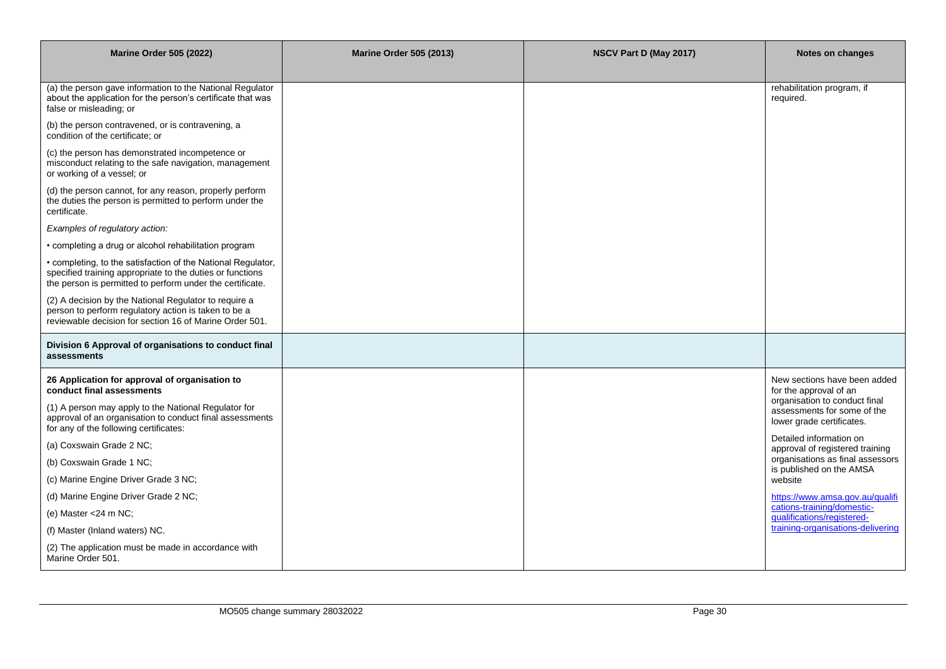| <b>Marine Order 505 (2022)</b>                                                                                                                                                         | <b>Marine Order 505 (2013)</b> | NSCV Part D (May 2017) | Notes on changes                                                                          |
|----------------------------------------------------------------------------------------------------------------------------------------------------------------------------------------|--------------------------------|------------------------|-------------------------------------------------------------------------------------------|
|                                                                                                                                                                                        |                                |                        |                                                                                           |
| (a) the person gave information to the National Regulator<br>about the application for the person's certificate that was<br>false or misleading; or                                    |                                |                        | rehabilitation program, if<br>required.                                                   |
| (b) the person contravened, or is contravening, a<br>condition of the certificate; or                                                                                                  |                                |                        |                                                                                           |
| (c) the person has demonstrated incompetence or<br>misconduct relating to the safe navigation, management<br>or working of a vessel; or                                                |                                |                        |                                                                                           |
| (d) the person cannot, for any reason, properly perform<br>the duties the person is permitted to perform under the<br>certificate.                                                     |                                |                        |                                                                                           |
| Examples of regulatory action:                                                                                                                                                         |                                |                        |                                                                                           |
| • completing a drug or alcohol rehabilitation program                                                                                                                                  |                                |                        |                                                                                           |
| • completing, to the satisfaction of the National Regulator,<br>specified training appropriate to the duties or functions<br>the person is permitted to perform under the certificate. |                                |                        |                                                                                           |
| (2) A decision by the National Regulator to require a<br>person to perform regulatory action is taken to be a<br>reviewable decision for section 16 of Marine Order 501.               |                                |                        |                                                                                           |
| Division 6 Approval of organisations to conduct final<br>assessments                                                                                                                   |                                |                        |                                                                                           |
| 26 Application for approval of organisation to<br>conduct final assessments                                                                                                            |                                |                        | New sections have been added<br>for the approval of an                                    |
| (1) A person may apply to the National Regulator for<br>approval of an organisation to conduct final assessments<br>for any of the following certificates:                             |                                |                        | organisation to conduct final<br>assessments for some of the<br>lower grade certificates. |
| (a) Coxswain Grade 2 NC;                                                                                                                                                               |                                |                        | Detailed information on<br>approval of registered training                                |
| (b) Coxswain Grade 1 NC;                                                                                                                                                               |                                |                        | organisations as final assessors<br>is published on the AMSA                              |
| (c) Marine Engine Driver Grade 3 NC;                                                                                                                                                   |                                |                        | website                                                                                   |
| (d) Marine Engine Driver Grade 2 NC;                                                                                                                                                   |                                |                        | https://www.amsa.gov.au/gualifi                                                           |
| (e) Master <24 m NC;                                                                                                                                                                   |                                |                        | cations-training/domestic-<br>qualifications/registered-                                  |
| (f) Master (Inland waters) NC.                                                                                                                                                         |                                |                        | training-organisations-delivering                                                         |
| (2) The application must be made in accordance with<br>Marine Order 501.                                                                                                               |                                |                        |                                                                                           |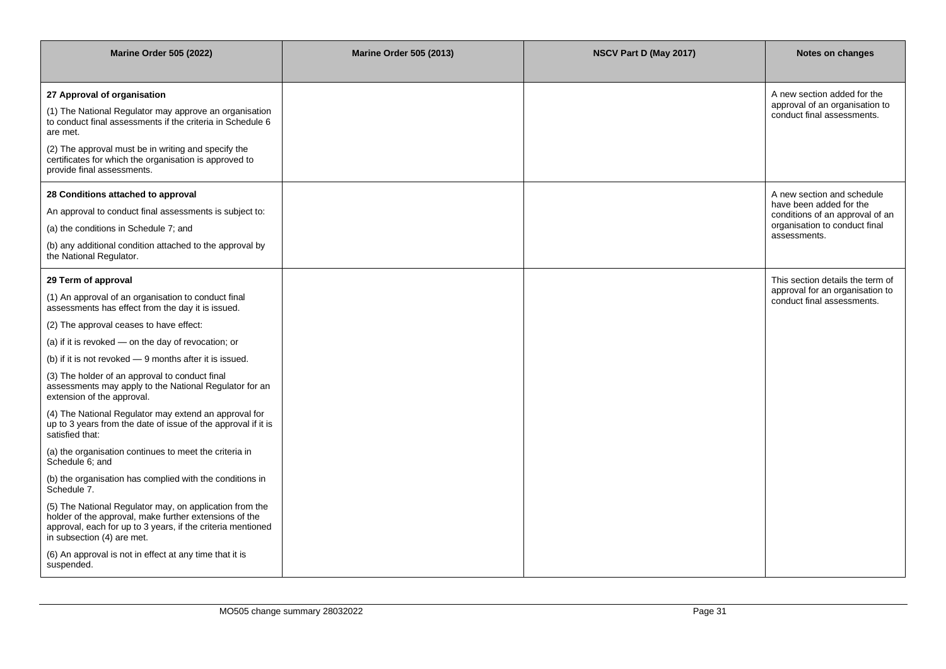| <b>Marine Order 505 (2022)</b>                                                                                                                                                                                                                                                                                                                                                                                                                                                                                                                                                                                                                                                                                                                                                                                                                                                                                                                                                                                                         | <b>Marine Order 505 (2013)</b> | NSCV Part D (May 2017) | Notes on changes                                                                                                                          |
|----------------------------------------------------------------------------------------------------------------------------------------------------------------------------------------------------------------------------------------------------------------------------------------------------------------------------------------------------------------------------------------------------------------------------------------------------------------------------------------------------------------------------------------------------------------------------------------------------------------------------------------------------------------------------------------------------------------------------------------------------------------------------------------------------------------------------------------------------------------------------------------------------------------------------------------------------------------------------------------------------------------------------------------|--------------------------------|------------------------|-------------------------------------------------------------------------------------------------------------------------------------------|
| 27 Approval of organisation<br>(1) The National Regulator may approve an organisation<br>to conduct final assessments if the criteria in Schedule 6<br>are met.<br>(2) The approval must be in writing and specify the<br>certificates for which the organisation is approved to<br>provide final assessments.                                                                                                                                                                                                                                                                                                                                                                                                                                                                                                                                                                                                                                                                                                                         |                                |                        | A new section added for the<br>approval of an organisation to<br>conduct final assessments.                                               |
| 28 Conditions attached to approval<br>An approval to conduct final assessments is subject to:<br>(a) the conditions in Schedule 7; and<br>(b) any additional condition attached to the approval by<br>the National Regulator.                                                                                                                                                                                                                                                                                                                                                                                                                                                                                                                                                                                                                                                                                                                                                                                                          |                                |                        | A new section and schedule<br>have been added for the<br>conditions of an approval of an<br>organisation to conduct final<br>assessments. |
| 29 Term of approval<br>(1) An approval of an organisation to conduct final<br>assessments has effect from the day it is issued.<br>(2) The approval ceases to have effect:<br>(a) if it is revoked - on the day of revocation; or<br>(b) if it is not revoked - 9 months after it is issued.<br>(3) The holder of an approval to conduct final<br>assessments may apply to the National Regulator for an<br>extension of the approval.<br>(4) The National Regulator may extend an approval for<br>up to 3 years from the date of issue of the approval if it is<br>satisfied that:<br>(a) the organisation continues to meet the criteria in<br>Schedule 6; and<br>(b) the organisation has complied with the conditions in<br>Schedule 7.<br>(5) The National Regulator may, on application from the<br>holder of the approval, make further extensions of the<br>approval, each for up to 3 years, if the criteria mentioned<br>in subsection (4) are met.<br>(6) An approval is not in effect at any time that it is<br>suspended. |                                |                        | This section details the term of<br>approval for an organisation to<br>conduct final assessments.                                         |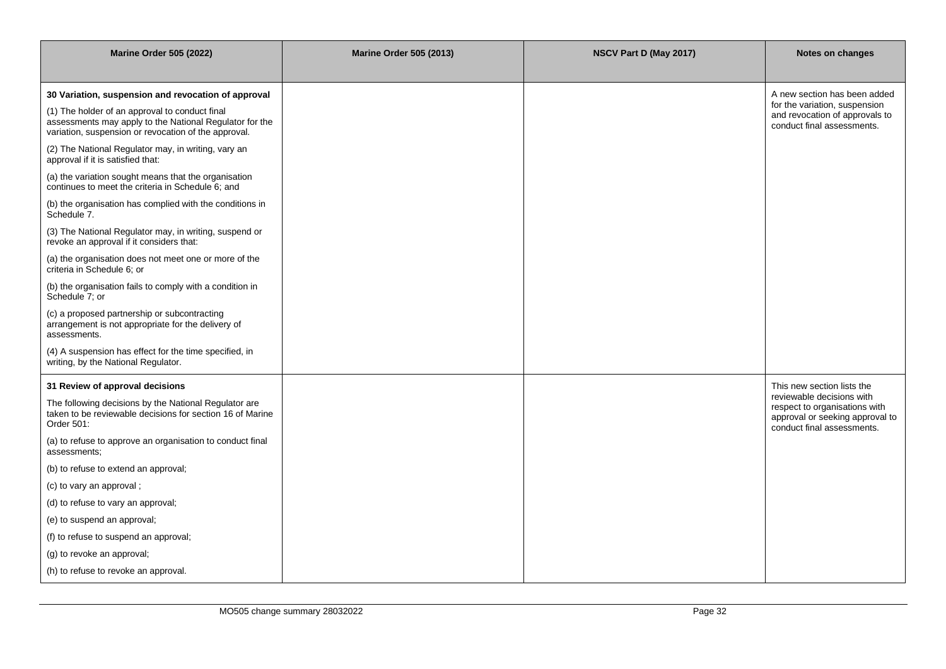| <b>Marine Order 505 (2022)</b>                                                                                                                                    | <b>Marine Order 505 (2013)</b> | NSCV Part D (May 2017) | Notes on changes                                                                                                            |
|-------------------------------------------------------------------------------------------------------------------------------------------------------------------|--------------------------------|------------------------|-----------------------------------------------------------------------------------------------------------------------------|
| 30 Variation, suspension and revocation of approval                                                                                                               |                                |                        | A new section has been added                                                                                                |
| (1) The holder of an approval to conduct final<br>assessments may apply to the National Regulator for the<br>variation, suspension or revocation of the approval. |                                |                        | for the variation, suspension<br>and revocation of approvals to<br>conduct final assessments.                               |
| (2) The National Regulator may, in writing, vary an<br>approval if it is satisfied that:                                                                          |                                |                        |                                                                                                                             |
| (a) the variation sought means that the organisation<br>continues to meet the criteria in Schedule 6; and                                                         |                                |                        |                                                                                                                             |
| (b) the organisation has complied with the conditions in<br>Schedule 7.                                                                                           |                                |                        |                                                                                                                             |
| (3) The National Regulator may, in writing, suspend or<br>revoke an approval if it considers that:                                                                |                                |                        |                                                                                                                             |
| (a) the organisation does not meet one or more of the<br>criteria in Schedule 6; or                                                                               |                                |                        |                                                                                                                             |
| (b) the organisation fails to comply with a condition in<br>Schedule 7; or                                                                                        |                                |                        |                                                                                                                             |
| (c) a proposed partnership or subcontracting<br>arrangement is not appropriate for the delivery of<br>assessments.                                                |                                |                        |                                                                                                                             |
| (4) A suspension has effect for the time specified, in<br>writing, by the National Regulator.                                                                     |                                |                        |                                                                                                                             |
| 31 Review of approval decisions                                                                                                                                   |                                |                        | This new section lists the                                                                                                  |
| The following decisions by the National Regulator are<br>taken to be reviewable decisions for section 16 of Marine<br>Order 501:                                  |                                |                        | reviewable decisions with<br>respect to organisations with<br>approval or seeking approval to<br>conduct final assessments. |
| (a) to refuse to approve an organisation to conduct final<br>assessments;                                                                                         |                                |                        |                                                                                                                             |
| (b) to refuse to extend an approval;                                                                                                                              |                                |                        |                                                                                                                             |
| (c) to vary an approval;                                                                                                                                          |                                |                        |                                                                                                                             |
| (d) to refuse to vary an approval;                                                                                                                                |                                |                        |                                                                                                                             |
| (e) to suspend an approval;                                                                                                                                       |                                |                        |                                                                                                                             |
| (f) to refuse to suspend an approval;                                                                                                                             |                                |                        |                                                                                                                             |
| (g) to revoke an approval;                                                                                                                                        |                                |                        |                                                                                                                             |
| (h) to refuse to revoke an approval.                                                                                                                              |                                |                        |                                                                                                                             |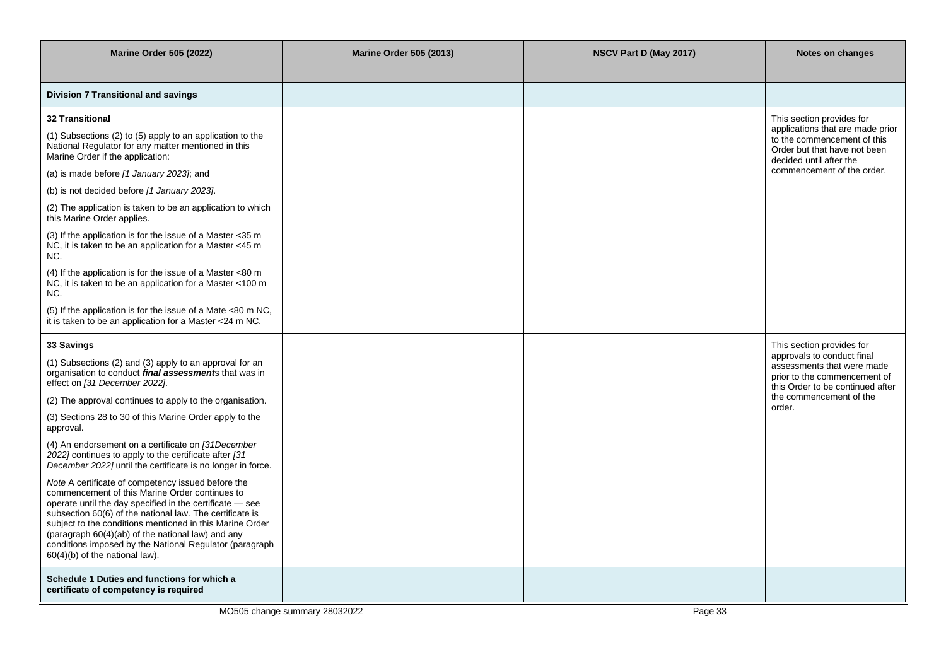| <b>Marine Order 505 (2022)</b>                                                                                                                                                                                                                                                                                                                                                                                                             | <b>Marine Order 505 (2013)</b> | NSCV Part D (May 2017) | Notes on changes                                                                                                             |
|--------------------------------------------------------------------------------------------------------------------------------------------------------------------------------------------------------------------------------------------------------------------------------------------------------------------------------------------------------------------------------------------------------------------------------------------|--------------------------------|------------------------|------------------------------------------------------------------------------------------------------------------------------|
| Division 7 Transitional and savings                                                                                                                                                                                                                                                                                                                                                                                                        |                                |                        |                                                                                                                              |
| <b>32 Transitional</b>                                                                                                                                                                                                                                                                                                                                                                                                                     |                                |                        | This section provides for                                                                                                    |
| (1) Subsections (2) to (5) apply to an application to the<br>National Regulator for any matter mentioned in this<br>Marine Order if the application:                                                                                                                                                                                                                                                                                       |                                |                        | applications that are made prior<br>to the commencement of this<br>Order but that have not been<br>decided until after the   |
| (a) is made before [1 January 2023]; and                                                                                                                                                                                                                                                                                                                                                                                                   |                                |                        | commencement of the order.                                                                                                   |
| (b) is not decided before [1 January 2023].                                                                                                                                                                                                                                                                                                                                                                                                |                                |                        |                                                                                                                              |
| (2) The application is taken to be an application to which<br>this Marine Order applies.                                                                                                                                                                                                                                                                                                                                                   |                                |                        |                                                                                                                              |
| (3) If the application is for the issue of a Master <35 m<br>NC, it is taken to be an application for a Master <45 m<br>NC.                                                                                                                                                                                                                                                                                                                |                                |                        |                                                                                                                              |
| (4) If the application is for the issue of a Master <80 m<br>NC, it is taken to be an application for a Master <100 m<br>NC.                                                                                                                                                                                                                                                                                                               |                                |                        |                                                                                                                              |
| (5) If the application is for the issue of a Mate <80 m NC,<br>it is taken to be an application for a Master <24 m NC.                                                                                                                                                                                                                                                                                                                     |                                |                        |                                                                                                                              |
| 33 Savings                                                                                                                                                                                                                                                                                                                                                                                                                                 |                                |                        | This section provides for                                                                                                    |
| (1) Subsections (2) and (3) apply to an approval for an<br>organisation to conduct <i>final assessment</i> s that was in<br>effect on [31 December 2022].                                                                                                                                                                                                                                                                                  |                                |                        | approvals to conduct final<br>assessments that were made<br>prior to the commencement of<br>this Order to be continued after |
| (2) The approval continues to apply to the organisation.                                                                                                                                                                                                                                                                                                                                                                                   |                                |                        | the commencement of the<br>order.                                                                                            |
| (3) Sections 28 to 30 of this Marine Order apply to the<br>approval.                                                                                                                                                                                                                                                                                                                                                                       |                                |                        |                                                                                                                              |
| (4) An endorsement on a certificate on [31December<br>$2022$ ] continues to apply to the certificate after [31<br>December 2022] until the certificate is no longer in force.                                                                                                                                                                                                                                                              |                                |                        |                                                                                                                              |
| Note A certificate of competency issued before the<br>commencement of this Marine Order continues to<br>operate until the day specified in the certificate - see<br>subsection 60(6) of the national law. The certificate is<br>subject to the conditions mentioned in this Marine Order<br>(paragraph 60(4)(ab) of the national law) and any<br>conditions imposed by the National Regulator (paragraph<br>60(4)(b) of the national law). |                                |                        |                                                                                                                              |
| Schedule 1 Duties and functions for which a<br>certificate of competency is required                                                                                                                                                                                                                                                                                                                                                       |                                |                        |                                                                                                                              |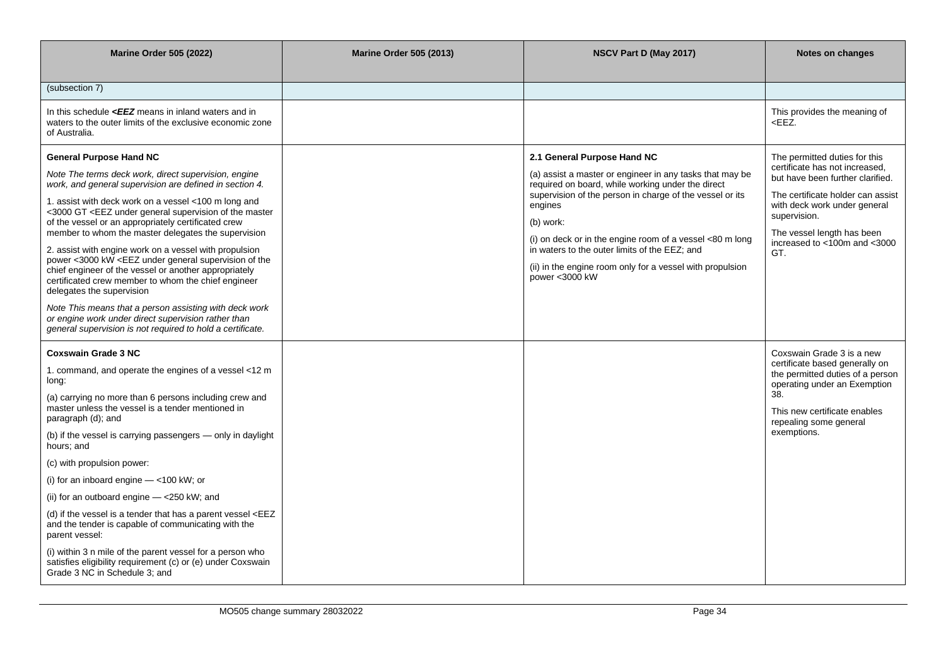| <b>Marine Order 505 (2022)</b>                                                                                                                                                                                                                                                                                                                                                                                                                                                                                                                                                                                                                                                                                                                                                                                                                                                                                                                                                                                                                                                                                                                                                                                             | <b>Marine Order 505 (2013)</b> | NSCV Part D (May 2017)                                                                                                                                                                                                                                                                                                                        | <b>Notes on changes</b>                                                                                                                                                                                                                                       |
|----------------------------------------------------------------------------------------------------------------------------------------------------------------------------------------------------------------------------------------------------------------------------------------------------------------------------------------------------------------------------------------------------------------------------------------------------------------------------------------------------------------------------------------------------------------------------------------------------------------------------------------------------------------------------------------------------------------------------------------------------------------------------------------------------------------------------------------------------------------------------------------------------------------------------------------------------------------------------------------------------------------------------------------------------------------------------------------------------------------------------------------------------------------------------------------------------------------------------|--------------------------------|-----------------------------------------------------------------------------------------------------------------------------------------------------------------------------------------------------------------------------------------------------------------------------------------------------------------------------------------------|---------------------------------------------------------------------------------------------------------------------------------------------------------------------------------------------------------------------------------------------------------------|
|                                                                                                                                                                                                                                                                                                                                                                                                                                                                                                                                                                                                                                                                                                                                                                                                                                                                                                                                                                                                                                                                                                                                                                                                                            |                                |                                                                                                                                                                                                                                                                                                                                               |                                                                                                                                                                                                                                                               |
| (subsection 7)                                                                                                                                                                                                                                                                                                                                                                                                                                                                                                                                                                                                                                                                                                                                                                                                                                                                                                                                                                                                                                                                                                                                                                                                             |                                |                                                                                                                                                                                                                                                                                                                                               |                                                                                                                                                                                                                                                               |
| In this schedule $\leq$ <b>EZ</b> means in inland waters and in<br>waters to the outer limits of the exclusive economic zone<br>of Australia.                                                                                                                                                                                                                                                                                                                                                                                                                                                                                                                                                                                                                                                                                                                                                                                                                                                                                                                                                                                                                                                                              |                                |                                                                                                                                                                                                                                                                                                                                               | This provides the meaning of<br><eez.< td=""></eez.<>                                                                                                                                                                                                         |
| <b>General Purpose Hand NC</b><br>Note The terms deck work, direct supervision, engine<br>work, and general supervision are defined in section 4.<br>1. assist with deck work on a vessel <100 m long and<br><3000 GT <eez general="" master<br="" of="" supervision="" the="" under="">of the vessel or an appropriately certificated crew<br/>member to whom the master delegates the supervision<br/>2. assist with engine work on a vessel with propulsion<br/>power &lt;3000 kW <eez general="" of="" supervision="" td="" the<="" under=""><td></td><td>2.1 General Purpose Hand NC<br/>(a) assist a master or engineer in any tasks that may be<br/>required on board, while working under the direct<br/>supervision of the person in charge of the vessel or its<br/>engines<br/>(b) work:<br/>(i) on deck or in the engine room of a vessel &lt;80 m long<br/>in waters to the outer limits of the EEZ; and</td><td>The permitted duties for this<br/>certificate has not increased.<br/>but have been further clarified.<br/>The certificate holder can assist<br/>with deck work under general<br/>supervision.<br/>The vessel length has been<br/>increased to &lt;100m and &lt;3000<br/>GT.</td></eez></eez> |                                | 2.1 General Purpose Hand NC<br>(a) assist a master or engineer in any tasks that may be<br>required on board, while working under the direct<br>supervision of the person in charge of the vessel or its<br>engines<br>(b) work:<br>(i) on deck or in the engine room of a vessel <80 m long<br>in waters to the outer limits of the EEZ; and | The permitted duties for this<br>certificate has not increased.<br>but have been further clarified.<br>The certificate holder can assist<br>with deck work under general<br>supervision.<br>The vessel length has been<br>increased to <100m and <3000<br>GT. |
| chief engineer of the vessel or another appropriately<br>certificated crew member to whom the chief engineer<br>delegates the supervision                                                                                                                                                                                                                                                                                                                                                                                                                                                                                                                                                                                                                                                                                                                                                                                                                                                                                                                                                                                                                                                                                  |                                | (ii) in the engine room only for a vessel with propulsion<br>power <3000 kW                                                                                                                                                                                                                                                                   |                                                                                                                                                                                                                                                               |
| Note This means that a person assisting with deck work<br>or engine work under direct supervision rather than<br>general supervision is not required to hold a certificate.                                                                                                                                                                                                                                                                                                                                                                                                                                                                                                                                                                                                                                                                                                                                                                                                                                                                                                                                                                                                                                                |                                |                                                                                                                                                                                                                                                                                                                                               |                                                                                                                                                                                                                                                               |
| <b>Coxswain Grade 3 NC</b>                                                                                                                                                                                                                                                                                                                                                                                                                                                                                                                                                                                                                                                                                                                                                                                                                                                                                                                                                                                                                                                                                                                                                                                                 |                                |                                                                                                                                                                                                                                                                                                                                               | Coxswain Grade 3 is a new                                                                                                                                                                                                                                     |
| 1. command, and operate the engines of a vessel <12 m<br>long:                                                                                                                                                                                                                                                                                                                                                                                                                                                                                                                                                                                                                                                                                                                                                                                                                                                                                                                                                                                                                                                                                                                                                             |                                |                                                                                                                                                                                                                                                                                                                                               | certificate based generally on<br>the permitted duties of a person<br>operating under an Exemption                                                                                                                                                            |
| (a) carrying no more than 6 persons including crew and<br>master unless the vessel is a tender mentioned in<br>paragraph (d); and                                                                                                                                                                                                                                                                                                                                                                                                                                                                                                                                                                                                                                                                                                                                                                                                                                                                                                                                                                                                                                                                                          |                                |                                                                                                                                                                                                                                                                                                                                               | 38.<br>This new certificate enables<br>repealing some general                                                                                                                                                                                                 |
| (b) if the vessel is carrying passengers - only in daylight<br>hours; and                                                                                                                                                                                                                                                                                                                                                                                                                                                                                                                                                                                                                                                                                                                                                                                                                                                                                                                                                                                                                                                                                                                                                  |                                |                                                                                                                                                                                                                                                                                                                                               | exemptions.                                                                                                                                                                                                                                                   |
| (c) with propulsion power:                                                                                                                                                                                                                                                                                                                                                                                                                                                                                                                                                                                                                                                                                                                                                                                                                                                                                                                                                                                                                                                                                                                                                                                                 |                                |                                                                                                                                                                                                                                                                                                                                               |                                                                                                                                                                                                                                                               |
| (i) for an inboard engine $-$ <100 kW; or                                                                                                                                                                                                                                                                                                                                                                                                                                                                                                                                                                                                                                                                                                                                                                                                                                                                                                                                                                                                                                                                                                                                                                                  |                                |                                                                                                                                                                                                                                                                                                                                               |                                                                                                                                                                                                                                                               |
| (ii) for an outboard engine $-$ <250 kW; and                                                                                                                                                                                                                                                                                                                                                                                                                                                                                                                                                                                                                                                                                                                                                                                                                                                                                                                                                                                                                                                                                                                                                                               |                                |                                                                                                                                                                                                                                                                                                                                               |                                                                                                                                                                                                                                                               |
| (d) if the vessel is a tender that has a parent vessel <eez<br>and the tender is capable of communicating with the<br/>parent vessel:</eez<br>                                                                                                                                                                                                                                                                                                                                                                                                                                                                                                                                                                                                                                                                                                                                                                                                                                                                                                                                                                                                                                                                             |                                |                                                                                                                                                                                                                                                                                                                                               |                                                                                                                                                                                                                                                               |
| (i) within 3 n mile of the parent vessel for a person who<br>satisfies eligibility requirement (c) or (e) under Coxswain<br>Grade 3 NC in Schedule 3; and                                                                                                                                                                                                                                                                                                                                                                                                                                                                                                                                                                                                                                                                                                                                                                                                                                                                                                                                                                                                                                                                  |                                |                                                                                                                                                                                                                                                                                                                                               |                                                                                                                                                                                                                                                               |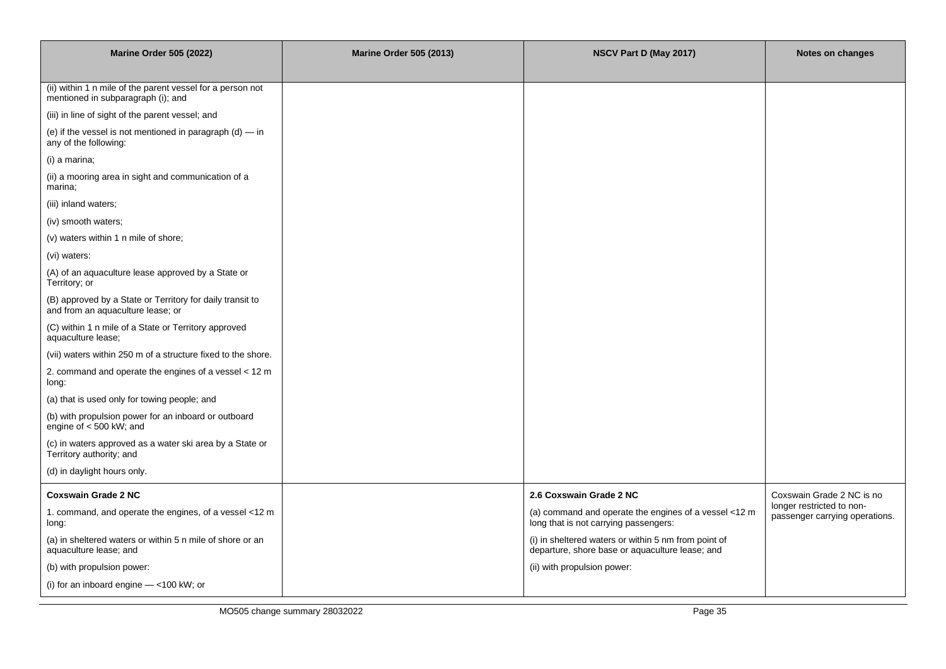| <b>Marine Order 505 (2022)</b>                                                                   | <b>Marine Order 505 (2013)</b> | NSCV Part D (May 2017)                                                                                  | Notes on changes                                            |
|--------------------------------------------------------------------------------------------------|--------------------------------|---------------------------------------------------------------------------------------------------------|-------------------------------------------------------------|
|                                                                                                  |                                |                                                                                                         |                                                             |
| (ii) within 1 n mile of the parent vessel for a person not<br>mentioned in subparagraph (i); and |                                |                                                                                                         |                                                             |
| (iii) in line of sight of the parent vessel; and                                                 |                                |                                                                                                         |                                                             |
| (e) if the vessel is not mentioned in paragraph $(d)$ — in<br>any of the following:              |                                |                                                                                                         |                                                             |
| (i) a marina;                                                                                    |                                |                                                                                                         |                                                             |
| (ii) a mooring area in sight and communication of a<br>marina;                                   |                                |                                                                                                         |                                                             |
| (iii) inland waters;                                                                             |                                |                                                                                                         |                                                             |
| (iv) smooth waters;                                                                              |                                |                                                                                                         |                                                             |
| (v) waters within 1 n mile of shore;                                                             |                                |                                                                                                         |                                                             |
| (vi) waters:                                                                                     |                                |                                                                                                         |                                                             |
| (A) of an aquaculture lease approved by a State or<br>Territory; or                              |                                |                                                                                                         |                                                             |
| (B) approved by a State or Territory for daily transit to<br>and from an aquaculture lease; or   |                                |                                                                                                         |                                                             |
| (C) within 1 n mile of a State or Territory approved<br>aquaculture lease;                       |                                |                                                                                                         |                                                             |
| (vii) waters within 250 m of a structure fixed to the shore.                                     |                                |                                                                                                         |                                                             |
| 2. command and operate the engines of a vessel < 12 m<br>long:                                   |                                |                                                                                                         |                                                             |
| (a) that is used only for towing people; and                                                     |                                |                                                                                                         |                                                             |
| (b) with propulsion power for an inboard or outboard<br>engine of $<$ 500 kW; and                |                                |                                                                                                         |                                                             |
| (c) in waters approved as a water ski area by a State or<br>Territory authority; and             |                                |                                                                                                         |                                                             |
| (d) in daylight hours only.                                                                      |                                |                                                                                                         |                                                             |
| <b>Coxswain Grade 2 NC</b>                                                                       |                                | 2.6 Coxswain Grade 2 NC                                                                                 | Coxswain Grade 2 NC is no                                   |
| 1. command, and operate the engines, of a vessel <12 m<br>long:                                  |                                | (a) command and operate the engines of a vessel <12 m<br>long that is not carrying passengers:          | longer restricted to non-<br>passenger carrying operations. |
| (a) in sheltered waters or within 5 n mile of shore or an<br>aquaculture lease; and              |                                | (i) in sheltered waters or within 5 nm from point of<br>departure, shore base or aquaculture lease; and |                                                             |
| (b) with propulsion power:                                                                       |                                | (ii) with propulsion power:                                                                             |                                                             |
| (i) for an inboard engine - <100 kW; or                                                          |                                |                                                                                                         |                                                             |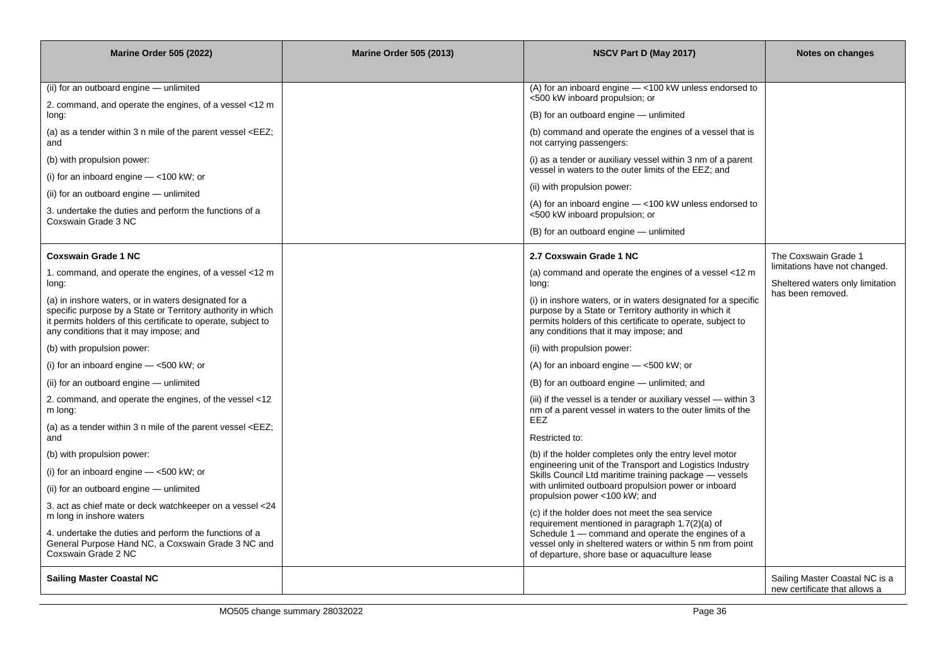| <b>Marine Order 505 (2022)</b>                                                                                                                                                                                                 | <b>Marine Order 505 (2013)</b> | NSCV Part D (May 2017)                                                                                                                                                                                                         | Notes on changes                                                                       |
|--------------------------------------------------------------------------------------------------------------------------------------------------------------------------------------------------------------------------------|--------------------------------|--------------------------------------------------------------------------------------------------------------------------------------------------------------------------------------------------------------------------------|----------------------------------------------------------------------------------------|
|                                                                                                                                                                                                                                |                                |                                                                                                                                                                                                                                |                                                                                        |
| (ii) for an outboard engine - unlimited                                                                                                                                                                                        |                                | (A) for an inboard engine - < 100 kW unless endorsed to                                                                                                                                                                        |                                                                                        |
| 2. command, and operate the engines, of a vessel <12 m<br>long:                                                                                                                                                                |                                | <500 kW inboard propulsion; or<br>(B) for an outboard engine - unlimited                                                                                                                                                       |                                                                                        |
| (a) as a tender within 3 n mile of the parent vessel <eez;<br>and</eez;<br>                                                                                                                                                    |                                | (b) command and operate the engines of a vessel that is<br>not carrying passengers:                                                                                                                                            |                                                                                        |
| (b) with propulsion power:                                                                                                                                                                                                     |                                | (i) as a tender or auxiliary vessel within 3 nm of a parent<br>vessel in waters to the outer limits of the EEZ; and                                                                                                            |                                                                                        |
| (i) for an inboard engine $-$ <100 kW; or                                                                                                                                                                                      |                                |                                                                                                                                                                                                                                |                                                                                        |
| (ii) for an outboard engine - unlimited                                                                                                                                                                                        |                                | (ii) with propulsion power:                                                                                                                                                                                                    |                                                                                        |
| 3. undertake the duties and perform the functions of a<br>Coxswain Grade 3 NC                                                                                                                                                  |                                | (A) for an inboard engine $-$ <100 kW unless endorsed to<br><500 kW inboard propulsion; or                                                                                                                                     |                                                                                        |
|                                                                                                                                                                                                                                |                                | (B) for an outboard engine - unlimited                                                                                                                                                                                         |                                                                                        |
| <b>Coxswain Grade 1 NC</b>                                                                                                                                                                                                     |                                | 2.7 Coxswain Grade 1 NC                                                                                                                                                                                                        | The Coxswain Grade 1                                                                   |
| 1. command, and operate the engines, of a vessel <12 m<br>long:                                                                                                                                                                |                                | (a) command and operate the engines of a vessel <12 m<br>long:                                                                                                                                                                 | limitations have not changed.<br>Sheltered waters only limitation<br>has been removed. |
| (a) in inshore waters, or in waters designated for a<br>specific purpose by a State or Territory authority in which<br>it permits holders of this certificate to operate, subject to<br>any conditions that it may impose; and |                                | (i) in inshore waters, or in waters designated for a specific<br>purpose by a State or Territory authority in which it<br>permits holders of this certificate to operate, subject to<br>any conditions that it may impose; and |                                                                                        |
| (b) with propulsion power:                                                                                                                                                                                                     |                                | (ii) with propulsion power:                                                                                                                                                                                                    |                                                                                        |
| (i) for an inboard engine $-$ <500 kW; or                                                                                                                                                                                      |                                | (A) for an inboard engine $-$ <500 kW; or                                                                                                                                                                                      |                                                                                        |
| (ii) for an outboard engine - unlimited                                                                                                                                                                                        |                                | (B) for an outboard engine — unlimited; and                                                                                                                                                                                    |                                                                                        |
| 2. command, and operate the engines, of the vessel <12<br>m long:                                                                                                                                                              |                                | (iii) if the vessel is a tender or auxiliary vessel — within 3<br>nm of a parent vessel in waters to the outer limits of the                                                                                                   |                                                                                        |
| (a) as a tender within 3 n mile of the parent vessel <eez;<br>and</eez;<br>                                                                                                                                                    |                                | <b>EEZ</b><br>Restricted to:                                                                                                                                                                                                   |                                                                                        |
| (b) with propulsion power:                                                                                                                                                                                                     |                                | (b) if the holder completes only the entry level motor                                                                                                                                                                         |                                                                                        |
| (i) for an inboard engine $-$ <500 kW; or                                                                                                                                                                                      |                                | engineering unit of the Transport and Logistics Industry<br>Skills Council Ltd maritime training package - vessels                                                                                                             |                                                                                        |
| (ii) for an outboard engine - unlimited                                                                                                                                                                                        |                                | with unlimited outboard propulsion power or inboard                                                                                                                                                                            |                                                                                        |
| 3. act as chief mate or deck watchkeeper on a vessel <24                                                                                                                                                                       |                                | propulsion power <100 kW; and                                                                                                                                                                                                  |                                                                                        |
| m long in inshore waters                                                                                                                                                                                                       |                                | (c) if the holder does not meet the sea service<br>requirement mentioned in paragraph 1.7(2)(a) of                                                                                                                             |                                                                                        |
| 4. undertake the duties and perform the functions of a<br>General Purpose Hand NC, a Coxswain Grade 3 NC and<br>Coxswain Grade 2 NC                                                                                            |                                | Schedule 1 - command and operate the engines of a<br>vessel only in sheltered waters or within 5 nm from point<br>of departure, shore base or aquaculture lease                                                                |                                                                                        |
| <b>Sailing Master Coastal NC</b>                                                                                                                                                                                               |                                |                                                                                                                                                                                                                                | Sailing Master Coastal NC is a<br>new certificate that allows a                        |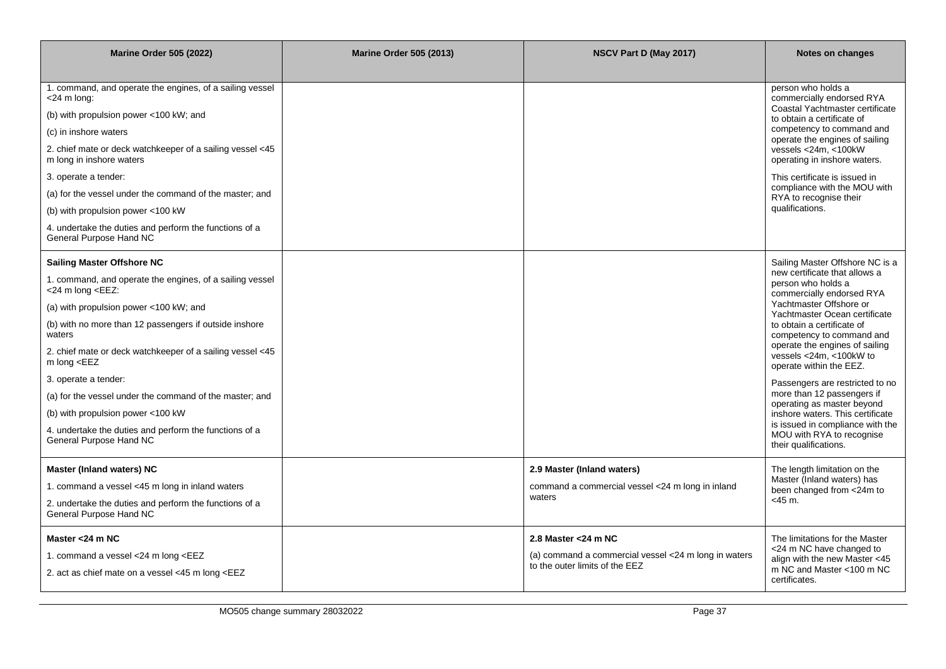| <b>Marine Order 505 (2022)</b>                                                                                                                                                                                                                                                                                                                             | <b>Marine Order 505 (2013)</b> | NSCV Part D (May 2017)                                                                 | Notes on changes                                                                                        |
|------------------------------------------------------------------------------------------------------------------------------------------------------------------------------------------------------------------------------------------------------------------------------------------------------------------------------------------------------------|--------------------------------|----------------------------------------------------------------------------------------|---------------------------------------------------------------------------------------------------------|
|                                                                                                                                                                                                                                                                                                                                                            |                                |                                                                                        |                                                                                                         |
| 1. command, and operate the engines, of a sailing vessel<br><24 m long:                                                                                                                                                                                                                                                                                    |                                |                                                                                        | person who holds a<br>commercially endorsed RYA                                                         |
| (b) with propulsion power <100 kW; and                                                                                                                                                                                                                                                                                                                     |                                |                                                                                        | Coastal Yachtmaster certificate<br>to obtain a certificate of                                           |
| (c) in inshore waters                                                                                                                                                                                                                                                                                                                                      |                                |                                                                                        | competency to command and<br>operate the engines of sailing                                             |
| 2. chief mate or deck watchkeeper of a sailing vessel <45<br>m long in inshore waters                                                                                                                                                                                                                                                                      |                                |                                                                                        | vessels <24m, <100kW<br>operating in inshore waters.                                                    |
| 3. operate a tender:                                                                                                                                                                                                                                                                                                                                       |                                |                                                                                        | This certificate is issued in                                                                           |
| (a) for the vessel under the command of the master; and                                                                                                                                                                                                                                                                                                    |                                |                                                                                        | compliance with the MOU with<br>RYA to recognise their                                                  |
| (b) with propulsion power <100 kW                                                                                                                                                                                                                                                                                                                          |                                |                                                                                        | qualifications.                                                                                         |
| 4. undertake the duties and perform the functions of a<br>General Purpose Hand NC                                                                                                                                                                                                                                                                          |                                |                                                                                        |                                                                                                         |
| <b>Sailing Master Offshore NC</b>                                                                                                                                                                                                                                                                                                                          |                                |                                                                                        | Sailing Master Offshore NC is a                                                                         |
| 1. command, and operate the engines, of a sailing vessel<br><24 m long <eez:< td=""><td></td><td></td><td>new certificate that allows a<br/>person who holds a<br/>commercially endorsed RYA</td></eez:<>                                                                                                                                                  |                                |                                                                                        | new certificate that allows a<br>person who holds a<br>commercially endorsed RYA                        |
| (a) with propulsion power <100 kW; and                                                                                                                                                                                                                                                                                                                     |                                |                                                                                        | Yachtmaster Offshore or<br>Yachtmaster Ocean certificate                                                |
| (b) with no more than 12 passengers if outside inshore<br>waters                                                                                                                                                                                                                                                                                           |                                |                                                                                        | to obtain a certificate of<br>competency to command and                                                 |
| 2. chief mate or deck watchkeeper of a sailing vessel <45<br>m long $\leq$ EEZ                                                                                                                                                                                                                                                                             |                                |                                                                                        | operate the engines of sailing<br>vessels <24m, <100kW to<br>operate within the EEZ.                    |
| 3. operate a tender:                                                                                                                                                                                                                                                                                                                                       |                                |                                                                                        | Passengers are restricted to no                                                                         |
| (a) for the vessel under the command of the master; and                                                                                                                                                                                                                                                                                                    |                                |                                                                                        | more than 12 passengers if<br>operating as master beyond                                                |
| (b) with propulsion power <100 kW                                                                                                                                                                                                                                                                                                                          |                                |                                                                                        | inshore waters. This certificate                                                                        |
| 4. undertake the duties and perform the functions of a<br>General Purpose Hand NC                                                                                                                                                                                                                                                                          |                                |                                                                                        | is issued in compliance with the<br>MOU with RYA to recognise<br>their qualifications.                  |
| Master (Inland waters) NC                                                                                                                                                                                                                                                                                                                                  |                                | 2.9 Master (Inland waters)                                                             | The length limitation on the                                                                            |
| 1. command a vessel <45 m long in inland waters                                                                                                                                                                                                                                                                                                            |                                | command a commercial vessel <24 m long in inland                                       | Master (Inland waters) has<br>been changed from <24m to                                                 |
| 2. undertake the duties and perform the functions of a<br>General Purpose Hand NC                                                                                                                                                                                                                                                                          |                                | waters                                                                                 | <45 m.                                                                                                  |
| Master <24 m NC                                                                                                                                                                                                                                                                                                                                            |                                | 2.8 Master < 24 m NC                                                                   | The limitations for the Master                                                                          |
| 1. command a vessel <24 m long <eez<br>2. act as chief mate on a vessel &lt;45 m long <eez< td=""><td></td><td>(a) command a commercial vessel &lt;24 m long in waters<br/>to the outer limits of the EEZ</td><td>&lt;24 m NC have changed to<br/>align with the new Master &lt;45<br/>m NC and Master &lt;100 m NC<br/>certificates.</td></eez<></eez<br> |                                | (a) command a commercial vessel <24 m long in waters<br>to the outer limits of the EEZ | <24 m NC have changed to<br>align with the new Master <45<br>m NC and Master <100 m NC<br>certificates. |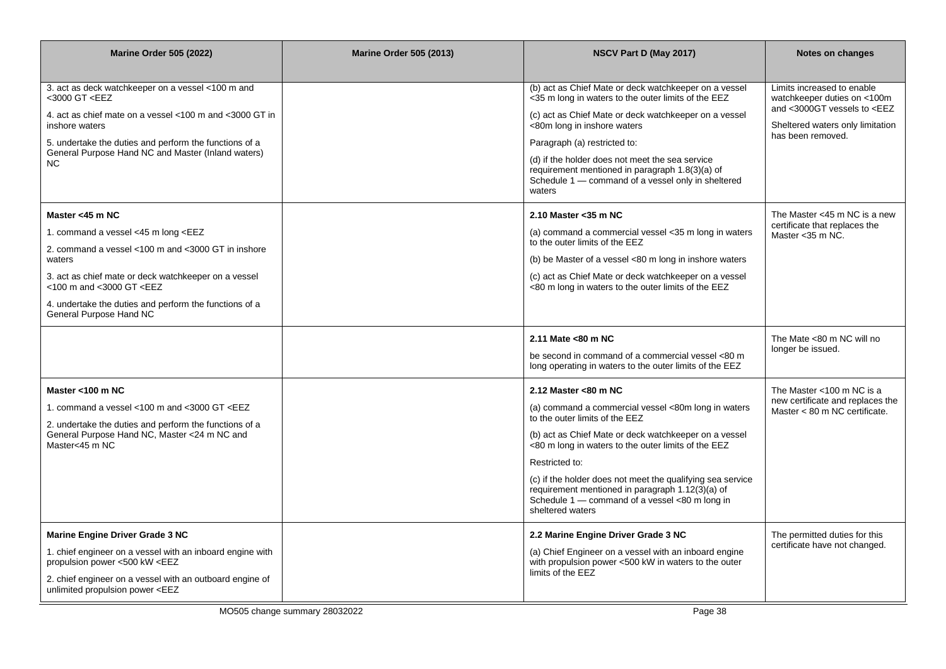| <b>Marine Order 505 (2022)</b>                                                                                                                                                                                                                                                                                                                                                                                                                                                                                                        | <b>Marine Order 505 (2013)</b> | NSCV Part D (May 2017)                                                                                                                                                                                                                                                                                                                                                                                                                  | Notes on changes                                                                                                                                            |
|---------------------------------------------------------------------------------------------------------------------------------------------------------------------------------------------------------------------------------------------------------------------------------------------------------------------------------------------------------------------------------------------------------------------------------------------------------------------------------------------------------------------------------------|--------------------------------|-----------------------------------------------------------------------------------------------------------------------------------------------------------------------------------------------------------------------------------------------------------------------------------------------------------------------------------------------------------------------------------------------------------------------------------------|-------------------------------------------------------------------------------------------------------------------------------------------------------------|
| 3. act as deck watchkeeper on a vessel <100 m and<br><3000 GT <eez<br>4. act as chief mate on a vessel &lt;100 m and &lt;3000 GT in<br/>inshore waters<br/>5. undertake the duties and perform the functions of a<br/>General Purpose Hand NC and Master (Inland waters)<br/>NC.</eez<br>                                                                                                                                                                                                                                             |                                | (b) act as Chief Mate or deck watchkeeper on a vessel<br><35 m long in waters to the outer limits of the EEZ<br>(c) act as Chief Mate or deck watchkeeper on a vessel<br><80m long in inshore waters<br>Paragraph (a) restricted to:<br>(d) if the holder does not meet the sea service<br>requirement mentioned in paragraph 1.8(3)(a) of<br>Schedule 1 – command of a vessel only in sheltered<br>waters                              | Limits increased to enable<br>watchkeeper duties on <100m<br>and <3000GT vessels to <eez<br>Sheltered waters only limitation<br/>has been removed.</eez<br> |
| Master <45 m NC<br>1. command a vessel <45 m long <eez<br>2. command a vessel &lt;100 m and &lt;3000 GT in inshore<br/>waters<br/>3. act as chief mate or deck watchkeeper on a vessel<br/>&lt;100 m and &lt;3000 GT <eez<br>4. undertake the duties and perform the functions of a<br/>General Purpose Hand NC</eez<br></eez<br>                                                                                                                                                                                                     |                                | 2.10 Master < $35 \text{ m}$ NC<br>(a) command a commercial vessel <35 m long in waters<br>to the outer limits of the EEZ<br>(b) be Master of a vessel <80 m long in inshore waters<br>(c) act as Chief Mate or deck watchkeeper on a vessel<br><80 m long in waters to the outer limits of the EEZ                                                                                                                                     | The Master <45 m NC is a new<br>certificate that replaces the<br>Master < 35 m NC.                                                                          |
|                                                                                                                                                                                                                                                                                                                                                                                                                                                                                                                                       |                                | 2.11 Mate <80 m NC<br>be second in command of a commercial vessel <80 m<br>long operating in waters to the outer limits of the EEZ                                                                                                                                                                                                                                                                                                      | The Mate <80 m NC will no<br>longer be issued.                                                                                                              |
| Master <100 m NC<br>1. command a vessel <100 m and <3000 GT <eez<br>2. undertake the duties and perform the functions of a<br/>General Purpose Hand NC, Master &lt;24 m NC and<br/>Master&lt;45 m NC</eez<br>                                                                                                                                                                                                                                                                                                                         |                                | 2.12 Master <80 m NC<br>(a) command a commercial vessel <80m long in waters<br>to the outer limits of the EEZ<br>(b) act as Chief Mate or deck watchkeeper on a vessel<br><80 m long in waters to the outer limits of the EEZ<br>Restricted to:<br>(c) if the holder does not meet the qualifying sea service<br>requirement mentioned in paragraph 1.12(3)(a) of<br>Schedule 1 - command of a vessel <80 m long in<br>sheltered waters | The Master $<$ 100 m NC is a<br>new certificate and replaces the<br>Master $< 80$ m NC certificate.                                                         |
| <b>Marine Engine Driver Grade 3 NC</b><br>1. chief engineer on a vessel with an inboard engine with<br>propulsion power <500 kW <eez<br>2. chief engineer on a vessel with an outboard engine of<br/>unlimited propulsion power <eez< td=""><td></td><td>2.2 Marine Engine Driver Grade 3 NC<br/>(a) Chief Engineer on a vessel with an inboard engine<br/>with propulsion power &lt;500 kW in waters to the outer<br/>limits of the EEZ</td><td>The permitted duties for this<br/>certificate have not changed.</td></eez<></eez<br> |                                | 2.2 Marine Engine Driver Grade 3 NC<br>(a) Chief Engineer on a vessel with an inboard engine<br>with propulsion power <500 kW in waters to the outer<br>limits of the EEZ                                                                                                                                                                                                                                                               | The permitted duties for this<br>certificate have not changed.                                                                                              |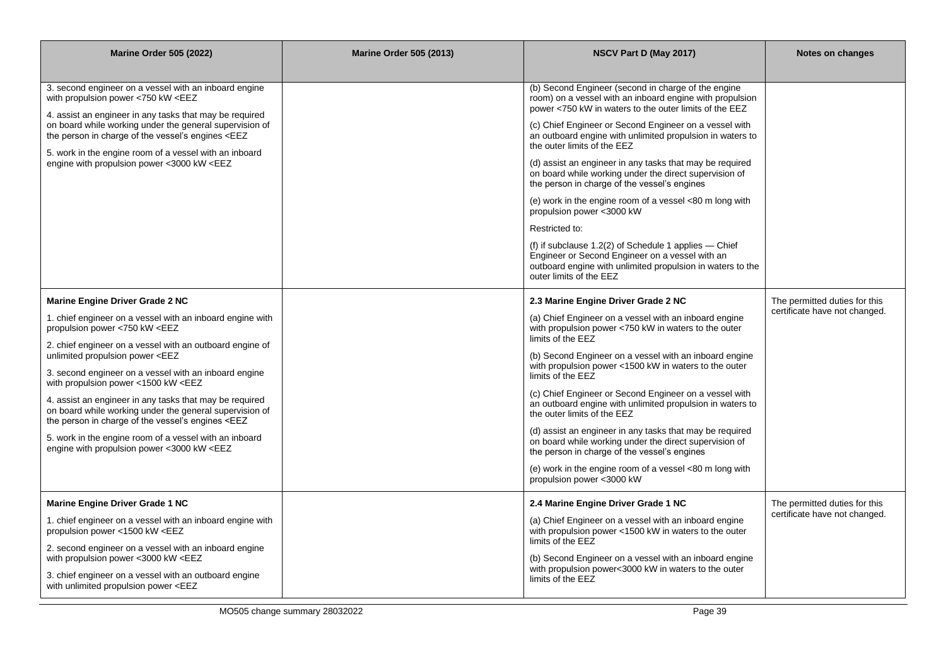| <b>Marine Order 505 (2022)</b>                                                                                                                                                                                                                                                                                                                                                                                                                                                                                                                                                                                                                                                                                                                                                                                                                                                                                                                                                                                                                                                                                                                                                                                                                                                                                                                                                                                                                                                                                                         | <b>Marine Order 505 (2013)</b> | NSCV Part D (May 2017)                                                                                                                                                                                                                                                                                                                                                                                                                                                                                                                                                                                                                                                                                                                                                                                                 | Notes on changes                                               |
|----------------------------------------------------------------------------------------------------------------------------------------------------------------------------------------------------------------------------------------------------------------------------------------------------------------------------------------------------------------------------------------------------------------------------------------------------------------------------------------------------------------------------------------------------------------------------------------------------------------------------------------------------------------------------------------------------------------------------------------------------------------------------------------------------------------------------------------------------------------------------------------------------------------------------------------------------------------------------------------------------------------------------------------------------------------------------------------------------------------------------------------------------------------------------------------------------------------------------------------------------------------------------------------------------------------------------------------------------------------------------------------------------------------------------------------------------------------------------------------------------------------------------------------|--------------------------------|------------------------------------------------------------------------------------------------------------------------------------------------------------------------------------------------------------------------------------------------------------------------------------------------------------------------------------------------------------------------------------------------------------------------------------------------------------------------------------------------------------------------------------------------------------------------------------------------------------------------------------------------------------------------------------------------------------------------------------------------------------------------------------------------------------------------|----------------------------------------------------------------|
| 3. second engineer on a vessel with an inboard engine<br>with propulsion power <750 kW <eez<br>4. assist an engineer in any tasks that may be required<br/>on board while working under the general supervision of<br/>the person in charge of the vessel's engines <eez<br>5. work in the engine room of a vessel with an inboard<br/>engine with propulsion power &lt;3000 kW <eez< td=""><td></td><td>(b) Second Engineer (second in charge of the engine<br/>room) on a vessel with an inboard engine with propulsion<br/>power &lt;750 kW in waters to the outer limits of the EEZ<br/>(c) Chief Engineer or Second Engineer on a vessel with<br/>an outboard engine with unlimited propulsion in waters to<br/>the outer limits of the EEZ<br/>(d) assist an engineer in any tasks that may be required<br/>on board while working under the direct supervision of<br/>the person in charge of the vessel's engines<br/>(e) work in the engine room of a vessel &lt;80 m long with<br/>propulsion power &lt;3000 kW<br/>Restricted to:<br/>(f) if subclause <math>1.2(2)</math> of Schedule 1 applies — Chief<br/>Engineer or Second Engineer on a vessel with an<br/>outboard engine with unlimited propulsion in waters to the<br/>outer limits of the EEZ</td><td></td></eez<></eez<br></eez<br>                                                                                                                                                                                                                              |                                | (b) Second Engineer (second in charge of the engine<br>room) on a vessel with an inboard engine with propulsion<br>power <750 kW in waters to the outer limits of the EEZ<br>(c) Chief Engineer or Second Engineer on a vessel with<br>an outboard engine with unlimited propulsion in waters to<br>the outer limits of the EEZ<br>(d) assist an engineer in any tasks that may be required<br>on board while working under the direct supervision of<br>the person in charge of the vessel's engines<br>(e) work in the engine room of a vessel <80 m long with<br>propulsion power <3000 kW<br>Restricted to:<br>(f) if subclause $1.2(2)$ of Schedule 1 applies — Chief<br>Engineer or Second Engineer on a vessel with an<br>outboard engine with unlimited propulsion in waters to the<br>outer limits of the EEZ |                                                                |
| Marine Engine Driver Grade 2 NC<br>1. chief engineer on a vessel with an inboard engine with<br>propulsion power <750 kW <eez<br>2. chief engineer on a vessel with an outboard engine of<br/>unlimited propulsion power <eez<br>3. second engineer on a vessel with an inboard engine<br/>with propulsion power &lt;1500 kW <eez<br>4. assist an engineer in any tasks that may be required<br/>on board while working under the general supervision of<br/>the person in charge of the vessel's engines <eez<br>5. work in the engine room of a vessel with an inboard<br/>engine with propulsion power &lt;3000 kW <eez< td=""><td></td><td>2.3 Marine Engine Driver Grade 2 NC<br/>(a) Chief Engineer on a vessel with an inboard engine<br/>with propulsion power &lt;750 kW in waters to the outer<br/>limits of the EEZ<br/>(b) Second Engineer on a vessel with an inboard engine<br/>with propulsion power &lt;1500 kW in waters to the outer<br/>limits of the EEZ<br/>(c) Chief Engineer or Second Engineer on a vessel with<br/>an outboard engine with unlimited propulsion in waters to<br/>the outer limits of the EEZ<br/>(d) assist an engineer in any tasks that may be required<br/>on board while working under the direct supervision of<br/>the person in charge of the vessel's engines<br/>(e) work in the engine room of a vessel &lt;80 m long with<br/>propulsion power &lt;3000 kW</td><td>The permitted duties for this<br/>certificate have not changed.</td></eez<></eez<br></eez<br></eez<br></eez<br> |                                | 2.3 Marine Engine Driver Grade 2 NC<br>(a) Chief Engineer on a vessel with an inboard engine<br>with propulsion power <750 kW in waters to the outer<br>limits of the EEZ<br>(b) Second Engineer on a vessel with an inboard engine<br>with propulsion power <1500 kW in waters to the outer<br>limits of the EEZ<br>(c) Chief Engineer or Second Engineer on a vessel with<br>an outboard engine with unlimited propulsion in waters to<br>the outer limits of the EEZ<br>(d) assist an engineer in any tasks that may be required<br>on board while working under the direct supervision of<br>the person in charge of the vessel's engines<br>(e) work in the engine room of a vessel <80 m long with<br>propulsion power <3000 kW                                                                                  | The permitted duties for this<br>certificate have not changed. |
| Marine Engine Driver Grade 1 NC<br>1. chief engineer on a vessel with an inboard engine with<br>propulsion power <1500 kW <eez<br>2. second engineer on a vessel with an inboard engine<br/>with propulsion power &lt;3000 kW <eez<br>3. chief engineer on a vessel with an outboard engine<br/>with unlimited propulsion power <eez< td=""><td></td><td>2.4 Marine Engine Driver Grade 1 NC<br/>(a) Chief Engineer on a vessel with an inboard engine<br/>with propulsion power &lt;1500 kW in waters to the outer<br/>limits of the EEZ<br/>(b) Second Engineer on a vessel with an inboard engine<br/>with propulsion power&lt;3000 kW in waters to the outer<br/>limits of the EEZ</td><td>The permitted duties for this<br/>certificate have not changed.</td></eez<></eez<br></eez<br>                                                                                                                                                                                                                                                                                                                                                                                                                                                                                                                                                                                                                                                                                                                                           |                                | 2.4 Marine Engine Driver Grade 1 NC<br>(a) Chief Engineer on a vessel with an inboard engine<br>with propulsion power <1500 kW in waters to the outer<br>limits of the EEZ<br>(b) Second Engineer on a vessel with an inboard engine<br>with propulsion power<3000 kW in waters to the outer<br>limits of the EEZ                                                                                                                                                                                                                                                                                                                                                                                                                                                                                                      | The permitted duties for this<br>certificate have not changed. |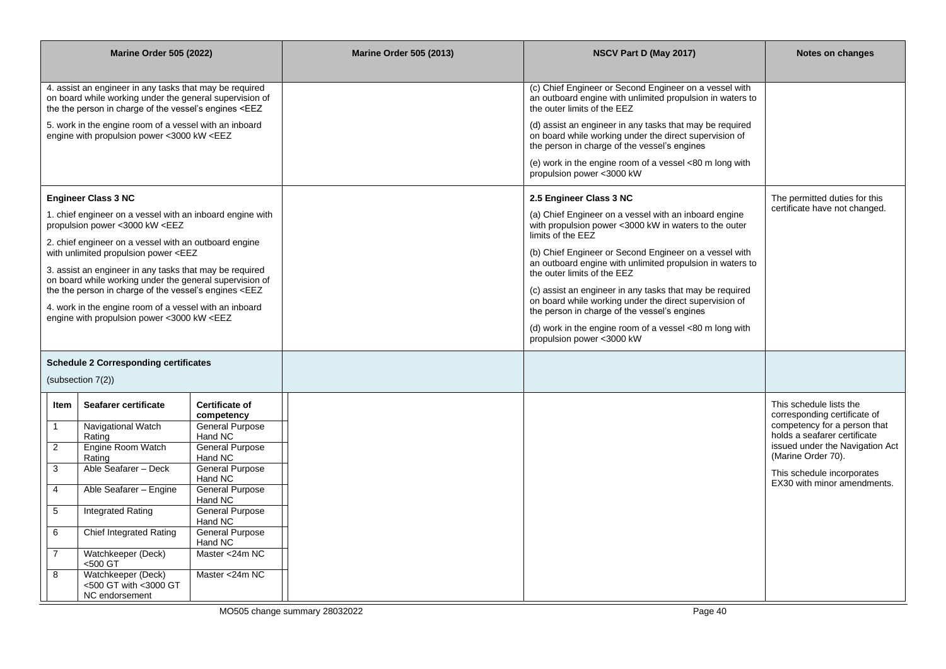|                            | <b>Marine Order 505 (2022)</b>                                                                                                                                                                                                                                                                                                                                                                                                                                                                                                                                                                                                                                                                                                                                                                                                                                                                                                                                                                                                                                                                                                                                                                                                                                              |                                                                                                                                                                                                                                                                                                       | <b>Marine Order 505 (2013)</b> | NSCV Part D (May 2017)                                                                                                                                                                                                                                                                                                                                                                                                                                                                                                                                                             | Notes on changes                                                                                                                                                                                                                              |
|----------------------------|-----------------------------------------------------------------------------------------------------------------------------------------------------------------------------------------------------------------------------------------------------------------------------------------------------------------------------------------------------------------------------------------------------------------------------------------------------------------------------------------------------------------------------------------------------------------------------------------------------------------------------------------------------------------------------------------------------------------------------------------------------------------------------------------------------------------------------------------------------------------------------------------------------------------------------------------------------------------------------------------------------------------------------------------------------------------------------------------------------------------------------------------------------------------------------------------------------------------------------------------------------------------------------|-------------------------------------------------------------------------------------------------------------------------------------------------------------------------------------------------------------------------------------------------------------------------------------------------------|--------------------------------|------------------------------------------------------------------------------------------------------------------------------------------------------------------------------------------------------------------------------------------------------------------------------------------------------------------------------------------------------------------------------------------------------------------------------------------------------------------------------------------------------------------------------------------------------------------------------------|-----------------------------------------------------------------------------------------------------------------------------------------------------------------------------------------------------------------------------------------------|
|                            | 4. assist an engineer in any tasks that may be required<br>on board while working under the general supervision of<br>the the person in charge of the vessel's engines <eez<br>5. work in the engine room of a vessel with an inboard<br/>engine with propulsion power &lt;3000 kW <eez< td=""><td></td><td></td><td>(c) Chief Engineer or Second Engineer on a vessel with<br/>an outboard engine with unlimited propulsion in waters to<br/>the outer limits of the EEZ<br/>(d) assist an engineer in any tasks that may be required<br/>on board while working under the direct supervision of<br/>the person in charge of the vessel's engines<br/>(e) work in the engine room of a vessel &lt;80 m long with<br/>propulsion power &lt;3000 kW</td><td></td></eez<></eez<br>                                                                                                                                                                                                                                                                                                                                                                                                                                                                                            |                                                                                                                                                                                                                                                                                                       |                                | (c) Chief Engineer or Second Engineer on a vessel with<br>an outboard engine with unlimited propulsion in waters to<br>the outer limits of the EEZ<br>(d) assist an engineer in any tasks that may be required<br>on board while working under the direct supervision of<br>the person in charge of the vessel's engines<br>(e) work in the engine room of a vessel <80 m long with<br>propulsion power <3000 kW                                                                                                                                                                   |                                                                                                                                                                                                                                               |
|                            | <b>Engineer Class 3 NC</b><br>1. chief engineer on a vessel with an inboard engine with<br>propulsion power <3000 kW <eez<br>2. chief engineer on a vessel with an outboard engine<br/>with unlimited propulsion power <eez<br>3. assist an engineer in any tasks that may be required<br/>on board while working under the general supervision of<br/>the the person in charge of the vessel's engines <eez<br>4. work in the engine room of a vessel with an inboard<br/>engine with propulsion power &lt;3000 kW <eez< td=""><td></td><td></td><td>2.5 Engineer Class 3 NC<br/>(a) Chief Engineer on a vessel with an inboard engine<br/>with propulsion power &lt;3000 kW in waters to the outer<br/>limits of the EEZ<br/>(b) Chief Engineer or Second Engineer on a vessel with<br/>an outboard engine with unlimited propulsion in waters to<br/>the outer limits of the EEZ<br/>(c) assist an engineer in any tasks that may be required<br/>on board while working under the direct supervision of<br/>the person in charge of the vessel's engines<br/>(d) work in the engine room of a vessel &lt;80 m long with<br/>propulsion power &lt;3000 kW</td><td>The permitted duties for this<br/>certificate have not changed.</td></eez<></eez<br></eez<br></eez<br> |                                                                                                                                                                                                                                                                                                       |                                | 2.5 Engineer Class 3 NC<br>(a) Chief Engineer on a vessel with an inboard engine<br>with propulsion power <3000 kW in waters to the outer<br>limits of the EEZ<br>(b) Chief Engineer or Second Engineer on a vessel with<br>an outboard engine with unlimited propulsion in waters to<br>the outer limits of the EEZ<br>(c) assist an engineer in any tasks that may be required<br>on board while working under the direct supervision of<br>the person in charge of the vessel's engines<br>(d) work in the engine room of a vessel <80 m long with<br>propulsion power <3000 kW | The permitted duties for this<br>certificate have not changed.                                                                                                                                                                                |
|                            | <b>Schedule 2 Corresponding certificates</b><br>(subsection 7(2))                                                                                                                                                                                                                                                                                                                                                                                                                                                                                                                                                                                                                                                                                                                                                                                                                                                                                                                                                                                                                                                                                                                                                                                                           |                                                                                                                                                                                                                                                                                                       |                                |                                                                                                                                                                                                                                                                                                                                                                                                                                                                                                                                                                                    |                                                                                                                                                                                                                                               |
| 2<br>3<br>4<br>5<br>6<br>8 | Seafarer certificate<br>Item<br>Navigational Watch<br>Rating<br>Engine Room Watch<br>Rating<br>Able Seafarer - Deck<br>Able Seafarer - Engine<br><b>Integrated Rating</b><br><b>Chief Integrated Rating</b><br>Watchkeeper (Deck)<br><500 GT<br>Watchkeeper (Deck)<br><500 GT with <3000 GT<br>NC endorsement                                                                                                                                                                                                                                                                                                                                                                                                                                                                                                                                                                                                                                                                                                                                                                                                                                                                                                                                                               | <b>Certificate of</b><br>competency<br><b>General Purpose</b><br>Hand NC<br><b>General Purpose</b><br>Hand NC<br><b>General Purpose</b><br>Hand NC<br><b>General Purpose</b><br>Hand NC<br><b>General Purpose</b><br>Hand NC<br><b>General Purpose</b><br>Hand NC<br>Master <24m NC<br>Master <24m NC |                                |                                                                                                                                                                                                                                                                                                                                                                                                                                                                                                                                                                                    | This schedule lists the<br>corresponding certificate of<br>competency for a person that<br>holds a seafarer certificate<br>issued under the Navigation Act<br>(Marine Order 70).<br>This schedule incorporates<br>EX30 with minor amendments. |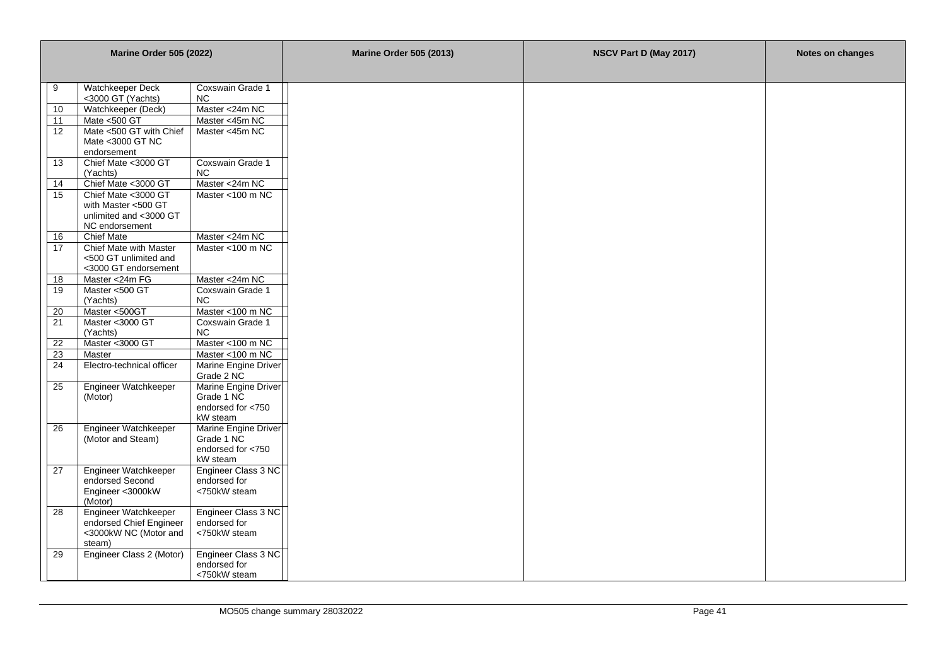| <b>Marine Order 505 (2022)</b> |                                                                                        |                                                                     | <b>Marine Order 505 (2013)</b> | NSCV Part D (May 2017) | Notes on changes |
|--------------------------------|----------------------------------------------------------------------------------------|---------------------------------------------------------------------|--------------------------------|------------------------|------------------|
|                                |                                                                                        |                                                                     |                                |                        |                  |
| 9                              | Watchkeeper Deck                                                                       | Coxswain Grade 1                                                    |                                |                        |                  |
|                                | <3000 GT (Yachts)                                                                      | NC.                                                                 |                                |                        |                  |
| 10                             | Watchkeeper (Deck)                                                                     | Master <24m NC                                                      |                                |                        |                  |
| 11                             | Mate <500 GT                                                                           | Master <45m NC                                                      |                                |                        |                  |
| 12                             | Mate <500 GT with Chief<br>Mate <3000 GT NC<br>endorsement                             | Master <45m NC                                                      |                                |                        |                  |
| 13                             | Chief Mate <3000 GT<br>(Yachts)                                                        | Coxswain Grade 1<br>NC.                                             |                                |                        |                  |
| 14                             | Chief Mate <3000 GT                                                                    | Master <24m NC                                                      |                                |                        |                  |
| 15                             | Chief Mate <3000 GT<br>with Master <500 GT<br>unlimited and <3000 GT<br>NC endorsement | Master <100 m NC                                                    |                                |                        |                  |
| 16                             | <b>Chief Mate</b>                                                                      | Master <24m NC                                                      |                                |                        |                  |
| 17                             | Chief Mate with Master<br><500 GT unlimited and<br><3000 GT endorsement                | Master <100 m NC                                                    |                                |                        |                  |
| 18                             | Master <24m FG                                                                         | Master <24m NC                                                      |                                |                        |                  |
| 19                             | Master <500 GT<br>(Yachts)                                                             | Coxswain Grade 1<br>NC.                                             |                                |                        |                  |
| 20                             | Master <500GT                                                                          | Master <100 m NC                                                    |                                |                        |                  |
| 21                             | Master <3000 GT<br>(Yachts)                                                            | Coxswain Grade 1<br>NC                                              |                                |                        |                  |
| 22                             | Master <3000 GT                                                                        | Master <100 m NC                                                    |                                |                        |                  |
| 23                             | Master                                                                                 | Master <100 m NC                                                    |                                |                        |                  |
| 24                             | Electro-technical officer                                                              | Marine Engine Driver<br>Grade 2 NC                                  |                                |                        |                  |
| 25                             | Engineer Watchkeeper<br>(Motor)                                                        | Marine Engine Driver<br>Grade 1 NC<br>endorsed for <750<br>kW steam |                                |                        |                  |
| 26                             | Engineer Watchkeeper<br>(Motor and Steam)                                              | Marine Engine Driver<br>Grade 1 NC<br>endorsed for <750<br>kW steam |                                |                        |                  |
| 27                             | Engineer Watchkeeper<br>endorsed Second<br>Engineer <3000kW<br>(Motor)                 | Engineer Class 3 NC<br>endorsed for<br><750kW steam                 |                                |                        |                  |
| 28                             | Engineer Watchkeeper<br>endorsed Chief Engineer<br><3000kW NC (Motor and<br>steam)     | Engineer Class 3 NC<br>endorsed for<br><750kW steam                 |                                |                        |                  |
| 29                             | Engineer Class 2 (Motor)                                                               | Engineer Class 3 NC<br>endorsed for<br><750kW steam                 |                                |                        |                  |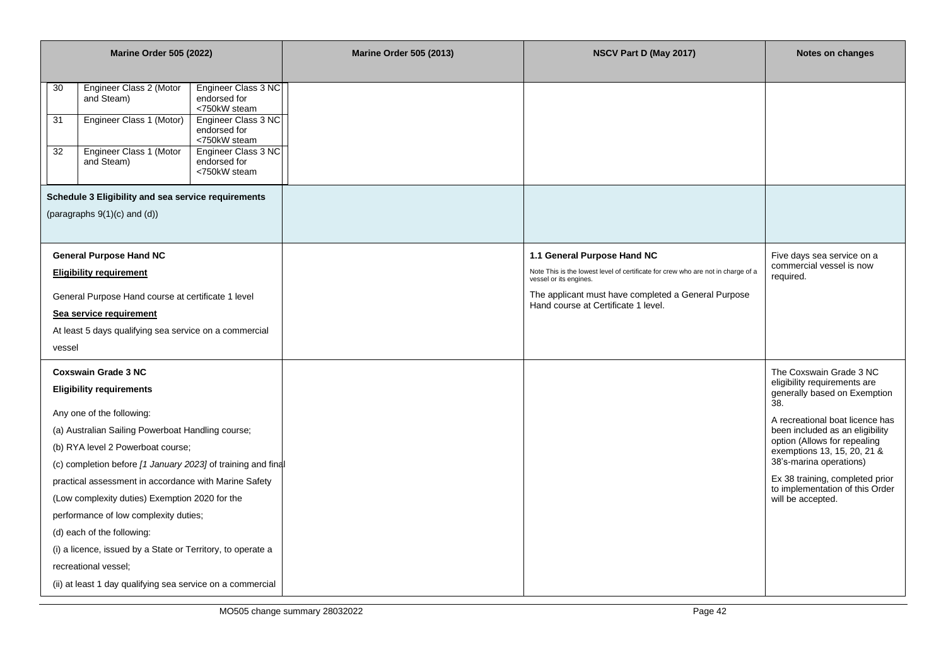|                      | <b>Marine Order 505 (2022)</b>                                                                                                                                                                                                                                                                                                                                                                                                                                                                        |                                                                                                                                                                   | <b>Marine Order 505 (2013)</b> | NSCV Part D (May 2017)                                                                                                                                                                                                                  | Notes on changes                                                                                                                                                                                                                                                                                                                                          |
|----------------------|-------------------------------------------------------------------------------------------------------------------------------------------------------------------------------------------------------------------------------------------------------------------------------------------------------------------------------------------------------------------------------------------------------------------------------------------------------------------------------------------------------|-------------------------------------------------------------------------------------------------------------------------------------------------------------------|--------------------------------|-----------------------------------------------------------------------------------------------------------------------------------------------------------------------------------------------------------------------------------------|-----------------------------------------------------------------------------------------------------------------------------------------------------------------------------------------------------------------------------------------------------------------------------------------------------------------------------------------------------------|
| 30<br>31<br>32       | Engineer Class 2 (Motor<br>and Steam)<br>Engineer Class 1 (Motor)<br>Engineer Class 1 (Motor<br>and Steam)<br>Schedule 3 Eligibility and sea service requirements<br>(paragraphs $9(1)(c)$ and $(d)$ )                                                                                                                                                                                                                                                                                                | Engineer Class 3 NC<br>endorsed for<br><750kW steam<br>Engineer Class 3 NC<br>endorsed for<br><750kW steam<br>Engineer Class 3 NC<br>endorsed for<br><750kW steam |                                |                                                                                                                                                                                                                                         |                                                                                                                                                                                                                                                                                                                                                           |
|                      |                                                                                                                                                                                                                                                                                                                                                                                                                                                                                                       |                                                                                                                                                                   |                                |                                                                                                                                                                                                                                         |                                                                                                                                                                                                                                                                                                                                                           |
| vessel               | <b>General Purpose Hand NC</b><br><b>Eligibility requirement</b><br>General Purpose Hand course at certificate 1 level<br>Sea service requirement<br>At least 5 days qualifying sea service on a commercial                                                                                                                                                                                                                                                                                           |                                                                                                                                                                   |                                | 1.1 General Purpose Hand NC<br>Note This is the lowest level of certificate for crew who are not in charge of a<br>vessel or its engines.<br>The applicant must have completed a General Purpose<br>Hand course at Certificate 1 level. | Five days sea service on a<br>commercial vessel is now<br>required.                                                                                                                                                                                                                                                                                       |
|                      | <b>Coxswain Grade 3 NC</b><br><b>Eligibility requirements</b><br>Any one of the following:<br>(a) Australian Sailing Powerboat Handling course;<br>(b) RYA level 2 Powerboat course;<br>(c) completion before [1 January 2023] of training and final<br>practical assessment in accordance with Marine Safety<br>(Low complexity duties) Exemption 2020 for the<br>performance of low complexity duties;<br>(d) each of the following:<br>(i) a licence, issued by a State or Territory, to operate a |                                                                                                                                                                   |                                |                                                                                                                                                                                                                                         | The Coxswain Grade 3 NC<br>eligibility requirements are<br>generally based on Exemption<br>38.<br>A recreational boat licence has<br>been included as an eligibility<br>option (Allows for repealing<br>exemptions 13, 15, 20, 21 &<br>38's-marina operations)<br>Ex 38 training, completed prior<br>to implementation of this Order<br>will be accepted. |
| recreational vessel; | (ii) at least 1 day qualifying sea service on a commercial                                                                                                                                                                                                                                                                                                                                                                                                                                            |                                                                                                                                                                   |                                |                                                                                                                                                                                                                                         |                                                                                                                                                                                                                                                                                                                                                           |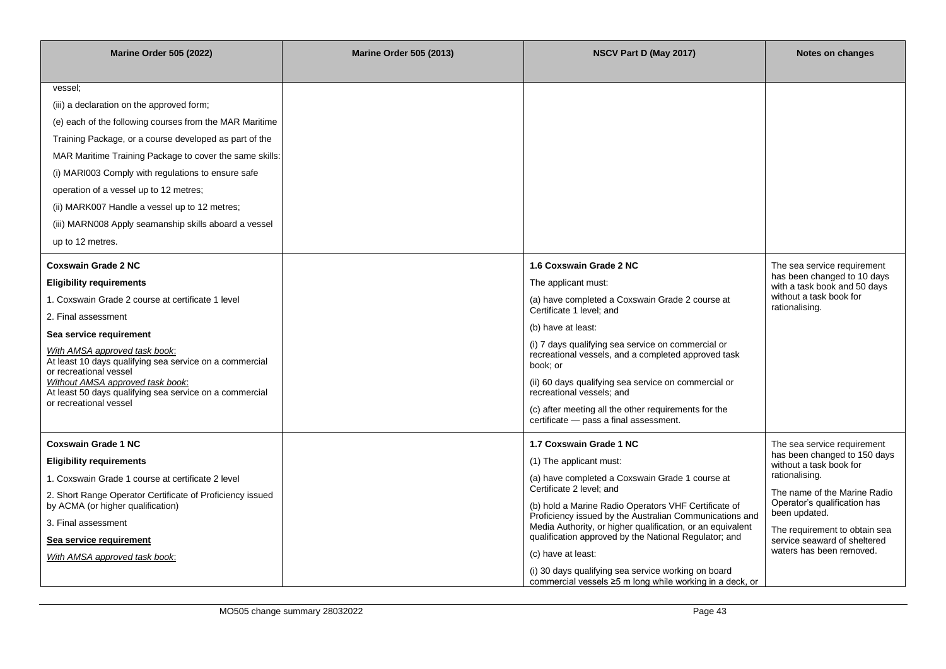| <b>Marine Order 505 (2022)</b>                                                                                                                                                                                                                                                                                                                                                                                                                                     | <b>Marine Order 505 (2013)</b> | NSCV Part D (May 2017)                                                                                                                                                                                                                                                                                                                                                                                                                                                                                               | Notes on changes                                                                                                                                                                                                                                                                       |
|--------------------------------------------------------------------------------------------------------------------------------------------------------------------------------------------------------------------------------------------------------------------------------------------------------------------------------------------------------------------------------------------------------------------------------------------------------------------|--------------------------------|----------------------------------------------------------------------------------------------------------------------------------------------------------------------------------------------------------------------------------------------------------------------------------------------------------------------------------------------------------------------------------------------------------------------------------------------------------------------------------------------------------------------|----------------------------------------------------------------------------------------------------------------------------------------------------------------------------------------------------------------------------------------------------------------------------------------|
| vessel;<br>(iii) a declaration on the approved form;<br>(e) each of the following courses from the MAR Maritime<br>Training Package, or a course developed as part of the<br>MAR Maritime Training Package to cover the same skills:<br>(i) MARI003 Comply with regulations to ensure safe<br>operation of a vessel up to 12 metres;<br>(ii) MARK007 Handle a vessel up to 12 metres;<br>(iii) MARN008 Apply seamanship skills aboard a vessel<br>up to 12 metres. |                                |                                                                                                                                                                                                                                                                                                                                                                                                                                                                                                                      |                                                                                                                                                                                                                                                                                        |
| <b>Coxswain Grade 2 NC</b><br><b>Eligibility requirements</b><br>1. Coxswain Grade 2 course at certificate 1 level<br>2. Final assessment<br>Sea service requirement<br>With AMSA approved task book:<br>At least 10 days qualifying sea service on a commercial<br>or recreational vessel<br>Without AMSA approved task book:<br>At least 50 days qualifying sea service on a commercial<br>or recreational vessel                                                |                                | 1.6 Coxswain Grade 2 NC<br>The applicant must:<br>(a) have completed a Coxswain Grade 2 course at<br>Certificate 1 level; and<br>(b) have at least:<br>(i) 7 days qualifying sea service on commercial or<br>recreational vessels, and a completed approved task<br>book; or<br>(ii) 60 days qualifying sea service on commercial or<br>recreational vessels; and<br>(c) after meeting all the other requirements for the<br>certificate - pass a final assessment.                                                  | The sea service requirement<br>has been changed to 10 days<br>with a task book and 50 days<br>without a task book for<br>rationalising.                                                                                                                                                |
| <b>Coxswain Grade 1 NC</b><br><b>Eligibility requirements</b><br>1. Coxswain Grade 1 course at certificate 2 level<br>2. Short Range Operator Certificate of Proficiency issued<br>by ACMA (or higher qualification)<br>3. Final assessment<br>Sea service requirement<br>With AMSA approved task book:                                                                                                                                                            |                                | 1.7 Coxswain Grade 1 NC<br>(1) The applicant must:<br>(a) have completed a Coxswain Grade 1 course at<br>Certificate 2 level; and<br>(b) hold a Marine Radio Operators VHF Certificate of<br>Proficiency issued by the Australian Communications and<br>Media Authority, or higher qualification, or an equivalent<br>qualification approved by the National Regulator; and<br>(c) have at least:<br>(i) 30 days qualifying sea service working on board<br>commercial vessels ≥5 m long while working in a deck, or | The sea service requirement<br>has been changed to 150 days<br>without a task book for<br>rationalising.<br>The name of the Marine Radio<br>Operator's qualification has<br>been updated.<br>The requirement to obtain sea<br>service seaward of sheltered<br>waters has been removed. |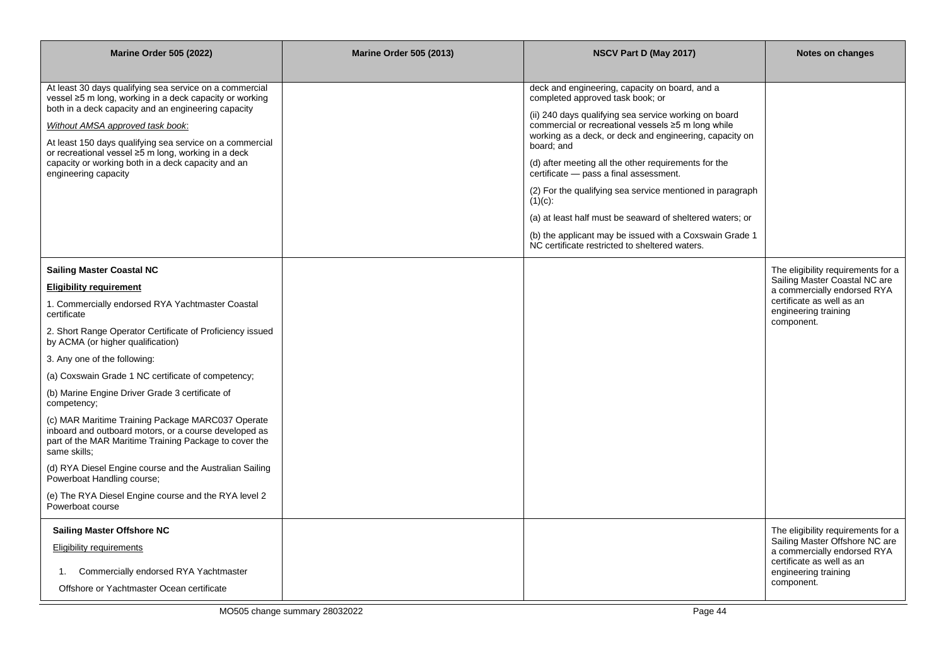| <b>Marine Order 505 (2022)</b>                                                                                                                                                       | <b>Marine Order 505 (2013)</b> | NSCV Part D (May 2017)                                                                                                                                                 | Notes on changes                                                |
|--------------------------------------------------------------------------------------------------------------------------------------------------------------------------------------|--------------------------------|------------------------------------------------------------------------------------------------------------------------------------------------------------------------|-----------------------------------------------------------------|
|                                                                                                                                                                                      |                                |                                                                                                                                                                        |                                                                 |
| At least 30 days qualifying sea service on a commercial<br>vessel ≥5 m long, working in a deck capacity or working                                                                   |                                | deck and engineering, capacity on board, and a<br>completed approved task book; or                                                                                     |                                                                 |
| both in a deck capacity and an engineering capacity<br>Without AMSA approved task book:                                                                                              |                                | (ii) 240 days qualifying sea service working on board<br>commercial or recreational vessels ≥5 m long while<br>working as a deck, or deck and engineering, capacity on |                                                                 |
| At least 150 days qualifying sea service on a commercial<br>or recreational vessel ≥5 m long, working in a deck                                                                      |                                | board: and                                                                                                                                                             |                                                                 |
| capacity or working both in a deck capacity and an<br>engineering capacity                                                                                                           |                                | (d) after meeting all the other requirements for the<br>certificate - pass a final assessment.                                                                         |                                                                 |
|                                                                                                                                                                                      |                                | (2) For the qualifying sea service mentioned in paragraph<br>$(1)(c)$ :                                                                                                |                                                                 |
|                                                                                                                                                                                      |                                | (a) at least half must be seaward of sheltered waters; or                                                                                                              |                                                                 |
|                                                                                                                                                                                      |                                | (b) the applicant may be issued with a Coxswain Grade 1<br>NC certificate restricted to sheltered waters.                                                              |                                                                 |
| Sailing Master Coastal NC                                                                                                                                                            |                                |                                                                                                                                                                        | The eligibility requirements for a                              |
| <b>Eligibility requirement</b>                                                                                                                                                       |                                |                                                                                                                                                                        | Sailing Master Coastal NC are<br>a commercially endorsed RYA    |
| 1. Commercially endorsed RYA Yachtmaster Coastal<br>certificate                                                                                                                      |                                |                                                                                                                                                                        | certificate as well as an<br>engineering training<br>component. |
| 2. Short Range Operator Certificate of Proficiency issued<br>by ACMA (or higher qualification)                                                                                       |                                |                                                                                                                                                                        |                                                                 |
| 3. Any one of the following:                                                                                                                                                         |                                |                                                                                                                                                                        |                                                                 |
| (a) Coxswain Grade 1 NC certificate of competency;                                                                                                                                   |                                |                                                                                                                                                                        |                                                                 |
| (b) Marine Engine Driver Grade 3 certificate of<br>competency;                                                                                                                       |                                |                                                                                                                                                                        |                                                                 |
| (c) MAR Maritime Training Package MARC037 Operate<br>inboard and outboard motors, or a course developed as<br>part of the MAR Maritime Training Package to cover the<br>same skills; |                                |                                                                                                                                                                        |                                                                 |
| (d) RYA Diesel Engine course and the Australian Sailing<br>Powerboat Handling course;                                                                                                |                                |                                                                                                                                                                        |                                                                 |
| (e) The RYA Diesel Engine course and the RYA level 2<br>Powerboat course                                                                                                             |                                |                                                                                                                                                                        |                                                                 |
| <b>Sailing Master Offshore NC</b>                                                                                                                                                    |                                |                                                                                                                                                                        | The eligibility requirements for a                              |
| Eligibility requirements                                                                                                                                                             |                                |                                                                                                                                                                        | Sailing Master Offshore NC are<br>a commercially endorsed RYA   |
| Commercially endorsed RYA Yachtmaster<br>1.                                                                                                                                          |                                |                                                                                                                                                                        | certificate as well as an<br>engineering training               |
| Offshore or Yachtmaster Ocean certificate                                                                                                                                            |                                |                                                                                                                                                                        | component.                                                      |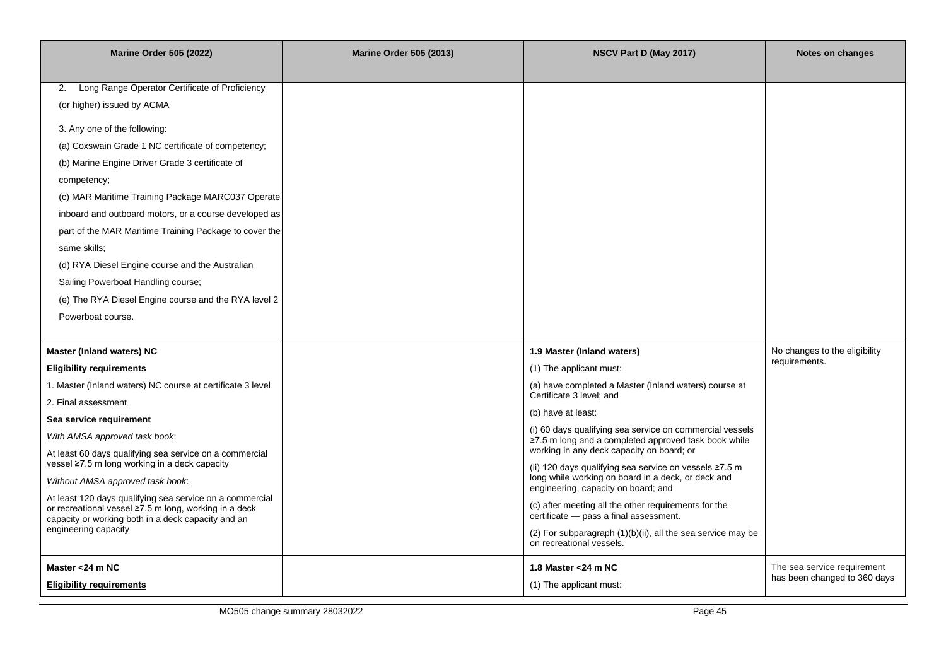| <b>Marine Order 505 (2022)</b>                                                                                                                                                                                                                                                                                                                                                                                                                                                                                                                                                                           | <b>Marine Order 505 (2013)</b> | NSCV Part D (May 2017)                                                                                                                                                                                                                                                                                                                                                                        | Notes on changes                                            |
|----------------------------------------------------------------------------------------------------------------------------------------------------------------------------------------------------------------------------------------------------------------------------------------------------------------------------------------------------------------------------------------------------------------------------------------------------------------------------------------------------------------------------------------------------------------------------------------------------------|--------------------------------|-----------------------------------------------------------------------------------------------------------------------------------------------------------------------------------------------------------------------------------------------------------------------------------------------------------------------------------------------------------------------------------------------|-------------------------------------------------------------|
| Long Range Operator Certificate of Proficiency<br>2.<br>(or higher) issued by ACMA<br>3. Any one of the following:<br>(a) Coxswain Grade 1 NC certificate of competency;<br>(b) Marine Engine Driver Grade 3 certificate of<br>competency;<br>(c) MAR Maritime Training Package MARC037 Operate<br>inboard and outboard motors, or a course developed as<br>part of the MAR Maritime Training Package to cover the<br>same skills;<br>(d) RYA Diesel Engine course and the Australian<br>Sailing Powerboat Handling course;<br>(e) The RYA Diesel Engine course and the RYA level 2<br>Powerboat course. |                                |                                                                                                                                                                                                                                                                                                                                                                                               |                                                             |
| Master (Inland waters) NC<br><b>Eligibility requirements</b><br>1. Master (Inland waters) NC course at certificate 3 level<br>2. Final assessment<br>Sea service requirement<br>With AMSA approved task book:                                                                                                                                                                                                                                                                                                                                                                                            |                                | 1.9 Master (Inland waters)<br>(1) The applicant must:<br>(a) have completed a Master (Inland waters) course at<br>Certificate 3 level; and<br>(b) have at least:<br>(i) 60 days qualifying sea service on commercial vessels<br>$\ge$ 7.5 m long and a completed approved task book while                                                                                                     | No changes to the eligibility<br>requirements.              |
| At least 60 days qualifying sea service on a commercial<br>vessel ≥7.5 m long working in a deck capacity<br>Without AMSA approved task book:<br>At least 120 days qualifying sea service on a commercial<br>or recreational vessel ≥7.5 m long, working in a deck<br>capacity or working both in a deck capacity and an<br>engineering capacity                                                                                                                                                                                                                                                          |                                | working in any deck capacity on board; or<br>(ii) 120 days qualifying sea service on vessels ≥7.5 m<br>long while working on board in a deck, or deck and<br>engineering, capacity on board; and<br>(c) after meeting all the other requirements for the<br>certificate - pass a final assessment.<br>(2) For subparagraph (1)(b)(ii), all the sea service may be<br>on recreational vessels. |                                                             |
| Master <24 m NC<br><b>Eligibility requirements</b>                                                                                                                                                                                                                                                                                                                                                                                                                                                                                                                                                       |                                | 1.8 Master < 24 m NC<br>(1) The applicant must:                                                                                                                                                                                                                                                                                                                                               | The sea service requirement<br>has been changed to 360 days |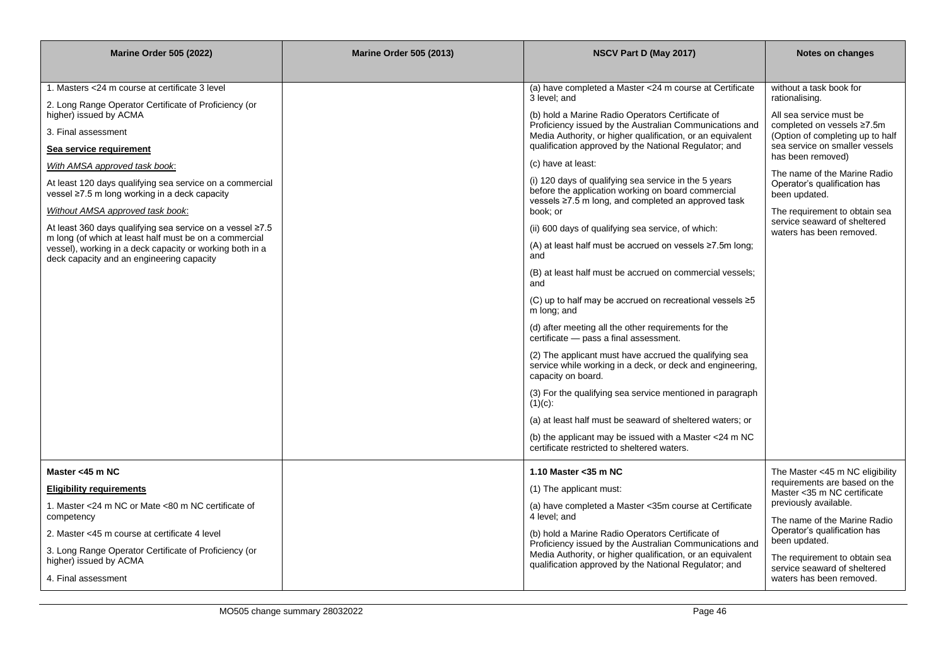| <b>Marine Order 505 (2022)</b>                                                                                      | <b>Marine Order 505 (2013)</b> | NSCV Part D (May 2017)                                                                                                                    | Notes on changes                                                                          |
|---------------------------------------------------------------------------------------------------------------------|--------------------------------|-------------------------------------------------------------------------------------------------------------------------------------------|-------------------------------------------------------------------------------------------|
|                                                                                                                     |                                |                                                                                                                                           |                                                                                           |
| 1. Masters <24 m course at certificate 3 level                                                                      |                                | (a) have completed a Master <24 m course at Certificate<br>3 level: and                                                                   | without a task book for<br>rationalising.                                                 |
| 2. Long Range Operator Certificate of Proficiency (or<br>higher) issued by ACMA                                     |                                | (b) hold a Marine Radio Operators Certificate of<br>Proficiency issued by the Australian Communications and                               | All sea service must be<br>completed on vessels ≥7.5m                                     |
| 3. Final assessment                                                                                                 |                                | Media Authority, or higher qualification, or an equivalent<br>qualification approved by the National Regulator; and                       | (Option of completing up to half<br>sea service on smaller vessels                        |
| Sea service requirement<br>With AMSA approved task book:                                                            |                                | (c) have at least:                                                                                                                        | has been removed)                                                                         |
| At least 120 days qualifying sea service on a commercial<br>vessel ≥7.5 m long working in a deck capacity           |                                | (i) 120 days of qualifying sea service in the 5 years<br>before the application working on board commercial                               | The name of the Marine Radio<br>Operator's qualification has<br>been updated.             |
| Without AMSA approved task book:                                                                                    |                                | vessels ≥7.5 m long, and completed an approved task<br>book; or                                                                           | The requirement to obtain sea<br>service seaward of sheltered                             |
| At least 360 days qualifying sea service on a vessel ≥7.5<br>m long (of which at least half must be on a commercial |                                | (ii) 600 days of qualifying sea service, of which:                                                                                        | waters has been removed.                                                                  |
| vessel), working in a deck capacity or working both in a<br>deck capacity and an engineering capacity               |                                | (A) at least half must be accrued on vessels $\geq 7.5$ m long;<br>and                                                                    |                                                                                           |
|                                                                                                                     |                                | (B) at least half must be accrued on commercial vessels;<br>and                                                                           |                                                                                           |
|                                                                                                                     |                                | (C) up to half may be accrued on recreational vessels $\geq 5$<br>m long; and                                                             |                                                                                           |
|                                                                                                                     |                                | (d) after meeting all the other requirements for the<br>certificate - pass a final assessment.                                            |                                                                                           |
|                                                                                                                     |                                | (2) The applicant must have accrued the qualifying sea<br>service while working in a deck, or deck and engineering,<br>capacity on board. |                                                                                           |
|                                                                                                                     |                                | (3) For the qualifying sea service mentioned in paragraph<br>$(1)(c)$ :                                                                   |                                                                                           |
|                                                                                                                     |                                | (a) at least half must be seaward of sheltered waters; or                                                                                 |                                                                                           |
|                                                                                                                     |                                | (b) the applicant may be issued with a Master $<$ 24 m NC<br>certificate restricted to sheltered waters.                                  |                                                                                           |
| Master <45 m NC                                                                                                     |                                | 1.10 Master < 35 m NC                                                                                                                     | The Master <45 m NC eligibility                                                           |
| <b>Eligibility requirements</b>                                                                                     |                                | (1) The applicant must:                                                                                                                   | requirements are based on the<br>Master < 35 m NC certificate                             |
| 1. Master <24 m NC or Mate <80 m NC certificate of<br>competency                                                    |                                | (a) have completed a Master < 35m course at Certificate<br>4 level; and                                                                   | previously available.                                                                     |
| 2. Master <45 m course at certificate 4 level                                                                       |                                | (b) hold a Marine Radio Operators Certificate of                                                                                          | The name of the Marine Radio<br>Operator's qualification has                              |
| 3. Long Range Operator Certificate of Proficiency (or                                                               |                                | Proficiency issued by the Australian Communications and<br>Media Authority, or higher qualification, or an equivalent                     | been updated.                                                                             |
| higher) issued by ACMA<br>4. Final assessment                                                                       |                                | qualification approved by the National Regulator; and                                                                                     | The requirement to obtain sea<br>service seaward of sheltered<br>waters has been removed. |
|                                                                                                                     |                                |                                                                                                                                           |                                                                                           |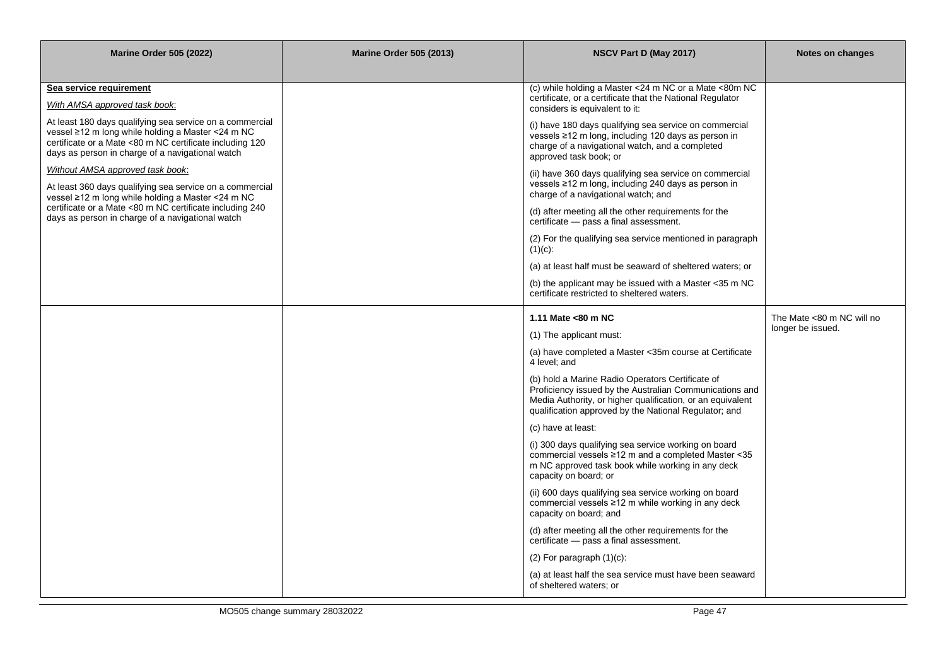| <b>Marine Order 505 (2022)</b>                                                                                                                                                                                                | <b>Marine Order 505 (2013)</b> | NSCV Part D (May 2017)                                                                                                                                                                                                             | Notes on changes          |
|-------------------------------------------------------------------------------------------------------------------------------------------------------------------------------------------------------------------------------|--------------------------------|------------------------------------------------------------------------------------------------------------------------------------------------------------------------------------------------------------------------------------|---------------------------|
|                                                                                                                                                                                                                               |                                |                                                                                                                                                                                                                                    |                           |
| Sea service requirement                                                                                                                                                                                                       |                                | (c) while holding a Master <24 m NC or a Mate <80m NC<br>certificate, or a certificate that the National Regulator                                                                                                                 |                           |
| With AMSA approved task book.                                                                                                                                                                                                 |                                | considers is equivalent to it:                                                                                                                                                                                                     |                           |
| At least 180 days qualifying sea service on a commercial<br>vessel ≥12 m long while holding a Master <24 m NC<br>certificate or a Mate <80 m NC certificate including 120<br>days as person in charge of a navigational watch |                                | (i) have 180 days qualifying sea service on commercial<br>vessels ≥12 m long, including 120 days as person in<br>charge of a navigational watch, and a completed<br>approved task book; or                                         |                           |
| Without AMSA approved task book:<br>At least 360 days qualifying sea service on a commercial<br>vessel ≥12 m long while holding a Master <24 m NC                                                                             |                                | (ii) have 360 days qualifying sea service on commercial<br>vessels ≥12 m long, including 240 days as person in<br>charge of a navigational watch; and                                                                              |                           |
| certificate or a Mate <80 m NC certificate including 240<br>days as person in charge of a navigational watch                                                                                                                  |                                | (d) after meeting all the other requirements for the<br>certificate - pass a final assessment.                                                                                                                                     |                           |
|                                                                                                                                                                                                                               |                                | (2) For the qualifying sea service mentioned in paragraph<br>$(1)(c)$ :                                                                                                                                                            |                           |
|                                                                                                                                                                                                                               |                                | (a) at least half must be seaward of sheltered waters; or                                                                                                                                                                          |                           |
|                                                                                                                                                                                                                               |                                | (b) the applicant may be issued with a Master $<$ 35 m NC<br>certificate restricted to sheltered waters.                                                                                                                           |                           |
|                                                                                                                                                                                                                               |                                | 1.11 Mate <80 m NC                                                                                                                                                                                                                 | The Mate <80 m NC will no |
|                                                                                                                                                                                                                               |                                | (1) The applicant must:                                                                                                                                                                                                            | longer be issued.         |
|                                                                                                                                                                                                                               |                                | (a) have completed a Master < 35m course at Certificate<br>4 level; and                                                                                                                                                            |                           |
|                                                                                                                                                                                                                               |                                | (b) hold a Marine Radio Operators Certificate of<br>Proficiency issued by the Australian Communications and<br>Media Authority, or higher qualification, or an equivalent<br>qualification approved by the National Regulator; and |                           |
|                                                                                                                                                                                                                               |                                | (c) have at least:                                                                                                                                                                                                                 |                           |
|                                                                                                                                                                                                                               |                                | (i) 300 days qualifying sea service working on board<br>commercial vessels ≥12 m and a completed Master <35<br>m NC approved task book while working in any deck<br>capacity on board; or                                          |                           |
|                                                                                                                                                                                                                               |                                | (ii) 600 days qualifying sea service working on board<br>commercial vessels ≥12 m while working in any deck<br>capacity on board; and                                                                                              |                           |
|                                                                                                                                                                                                                               |                                | (d) after meeting all the other requirements for the<br>certificate - pass a final assessment.                                                                                                                                     |                           |
|                                                                                                                                                                                                                               |                                | $(2)$ For paragraph $(1)(c)$ :                                                                                                                                                                                                     |                           |
|                                                                                                                                                                                                                               |                                | (a) at least half the sea service must have been seaward<br>of sheltered waters; or                                                                                                                                                |                           |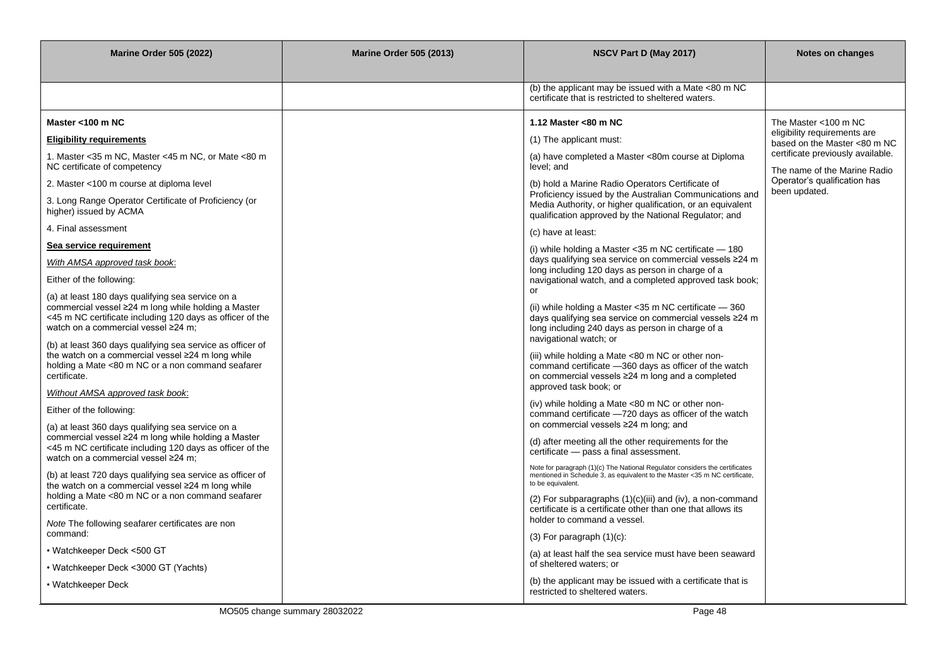| <b>Marine Order 505 (2022)</b>                                                                                                                                                                               | <b>Marine Order 505 (2013)</b> | NSCV Part D (May 2017)                                                                                                                                                                                             | Notes on changes                                                  |
|--------------------------------------------------------------------------------------------------------------------------------------------------------------------------------------------------------------|--------------------------------|--------------------------------------------------------------------------------------------------------------------------------------------------------------------------------------------------------------------|-------------------------------------------------------------------|
|                                                                                                                                                                                                              |                                |                                                                                                                                                                                                                    |                                                                   |
|                                                                                                                                                                                                              |                                | (b) the applicant may be issued with a Mate $<80$ m NC<br>certificate that is restricted to sheltered waters.                                                                                                      |                                                                   |
| Master <100 m NC                                                                                                                                                                                             |                                | 1.12 Master <80 m NC                                                                                                                                                                                               | The Master <100 m NC                                              |
| <b>Eligibility requirements</b>                                                                                                                                                                              |                                | (1) The applicant must:                                                                                                                                                                                            | eligibility requirements are<br>based on the Master <80 m NC      |
| 1. Master <35 m NC, Master <45 m NC, or Mate <80 m<br>NC certificate of competency                                                                                                                           |                                | (a) have completed a Master <80m course at Diploma<br>level; and                                                                                                                                                   | certificate previously available.<br>The name of the Marine Radio |
| 2. Master <100 m course at diploma level                                                                                                                                                                     |                                | (b) hold a Marine Radio Operators Certificate of                                                                                                                                                                   | Operator's qualification has<br>been updated.                     |
| 3. Long Range Operator Certificate of Proficiency (or<br>higher) issued by ACMA                                                                                                                              |                                | Proficiency issued by the Australian Communications and<br>Media Authority, or higher qualification, or an equivalent<br>qualification approved by the National Regulator; and                                     |                                                                   |
| 4. Final assessment                                                                                                                                                                                          |                                | (c) have at least:                                                                                                                                                                                                 |                                                                   |
| Sea service requirement                                                                                                                                                                                      |                                | (i) while holding a Master <35 m NC certificate - 180                                                                                                                                                              |                                                                   |
| With AMSA approved task book:                                                                                                                                                                                |                                | days qualifying sea service on commercial vessels ≥24 m<br>long including 120 days as person in charge of a                                                                                                        |                                                                   |
| Either of the following:                                                                                                                                                                                     |                                | navigational watch, and a completed approved task book;                                                                                                                                                            |                                                                   |
| (a) at least 180 days qualifying sea service on a<br>commercial vessel ≥24 m long while holding a Master<br><45 m NC certificate including 120 days as officer of the<br>watch on a commercial vessel ≥24 m; |                                | or<br>(ii) while holding a Master $<$ 35 m NC certificate $-$ 360<br>days qualifying sea service on commercial vessels ≥24 m<br>long including 240 days as person in charge of a                                   |                                                                   |
| (b) at least 360 days qualifying sea service as officer of<br>the watch on a commercial vessel ≥24 m long while<br>holding a Mate <80 m NC or a non command seafarer<br>certificate.                         |                                | navigational watch; or<br>(iii) while holding a Mate <80 m NC or other non-<br>command certificate -360 days as officer of the watch<br>on commercial vessels ≥24 m long and a completed<br>approved task book; or |                                                                   |
| Without AMSA approved task book:                                                                                                                                                                             |                                | (iv) while holding a Mate <80 m NC or other non-                                                                                                                                                                   |                                                                   |
| Either of the following:<br>(a) at least 360 days qualifying sea service on a                                                                                                                                |                                | command certificate -720 days as officer of the watch<br>on commercial vessels ≥24 m long; and                                                                                                                     |                                                                   |
| commercial vessel ≥24 m long while holding a Master<br><45 m NC certificate including 120 days as officer of the<br>watch on a commercial vessel ≥24 m;                                                      |                                | (d) after meeting all the other requirements for the<br>certificate - pass a final assessment.                                                                                                                     |                                                                   |
| (b) at least 720 days qualifying sea service as officer of<br>the watch on a commercial vessel ≥24 m long while                                                                                              |                                | Note for paragraph (1)(c) The National Regulator considers the certificates<br>mentioned in Schedule 3, as equivalent to the Master <35 m NC certificate,<br>to be equivalent.                                     |                                                                   |
| holding a Mate <80 m NC or a non command seafarer<br>certificate.                                                                                                                                            |                                | (2) For subparagraphs (1)(c)(iii) and (iv), a non-command<br>certificate is a certificate other than one that allows its                                                                                           |                                                                   |
| Note The following seafarer certificates are non<br>command:                                                                                                                                                 |                                | holder to command a vessel.                                                                                                                                                                                        |                                                                   |
|                                                                                                                                                                                                              |                                | $(3)$ For paragraph $(1)(c)$ :                                                                                                                                                                                     |                                                                   |
| • Watchkeeper Deck <500 GT                                                                                                                                                                                   |                                | (a) at least half the sea service must have been seaward<br>of sheltered waters; or                                                                                                                                |                                                                   |
| • Watchkeeper Deck <3000 GT (Yachts)<br>• Watchkeeper Deck                                                                                                                                                   |                                | (b) the applicant may be issued with a certificate that is<br>restricted to sheltered waters.                                                                                                                      |                                                                   |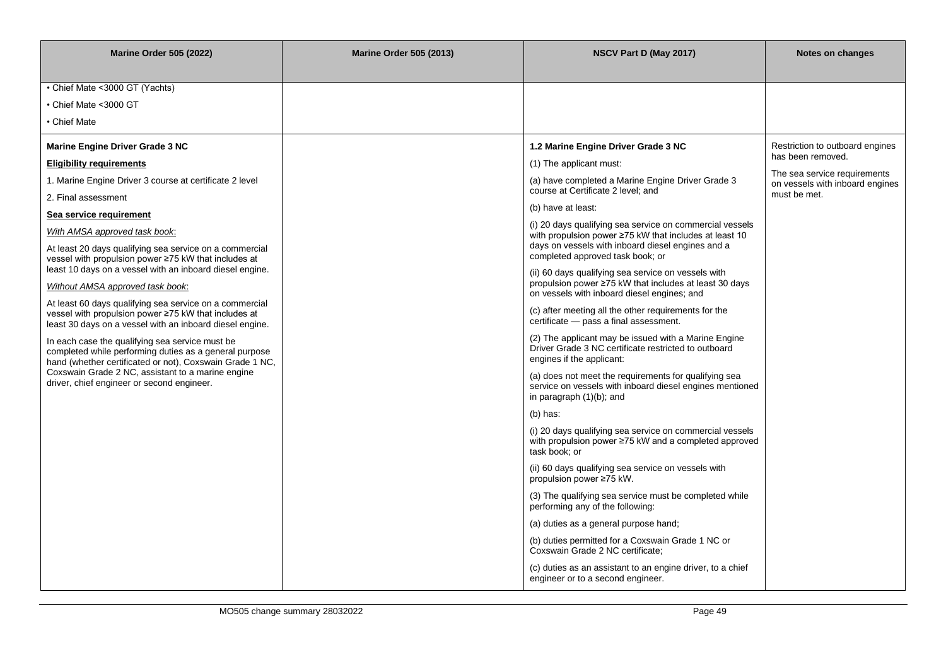| <b>Marine Order 505 (2022)</b>                                                                                                                                                                                                                                                                                                                                                                                                                                                                                                                                                                                                                                                                                                                                                                                                                                                                                                                                                    | <b>Marine Order 505 (2013)</b> | NSCV Part D (May 2017)                                                                                                                                                                                                                                                                                                                                                                                                                                                                                                                                                                                                                                                                                                                                                                                                                                                                                                                                                                                                                                                                                                                                                                                | Notes on changes                                                                                                                        |
|-----------------------------------------------------------------------------------------------------------------------------------------------------------------------------------------------------------------------------------------------------------------------------------------------------------------------------------------------------------------------------------------------------------------------------------------------------------------------------------------------------------------------------------------------------------------------------------------------------------------------------------------------------------------------------------------------------------------------------------------------------------------------------------------------------------------------------------------------------------------------------------------------------------------------------------------------------------------------------------|--------------------------------|-------------------------------------------------------------------------------------------------------------------------------------------------------------------------------------------------------------------------------------------------------------------------------------------------------------------------------------------------------------------------------------------------------------------------------------------------------------------------------------------------------------------------------------------------------------------------------------------------------------------------------------------------------------------------------------------------------------------------------------------------------------------------------------------------------------------------------------------------------------------------------------------------------------------------------------------------------------------------------------------------------------------------------------------------------------------------------------------------------------------------------------------------------------------------------------------------------|-----------------------------------------------------------------------------------------------------------------------------------------|
| • Chief Mate < 3000 GT (Yachts)<br>• Chief Mate <3000 GT<br>• Chief Mate<br><b>Marine Engine Driver Grade 3 NC</b><br><b>Eligibility requirements</b><br>1. Marine Engine Driver 3 course at certificate 2 level<br>2. Final assessment<br>Sea service requirement<br>With AMSA approved task book:<br>At least 20 days qualifying sea service on a commercial<br>vessel with propulsion power ≥75 kW that includes at<br>least 10 days on a vessel with an inboard diesel engine.<br>Without AMSA approved task book:<br>At least 60 days qualifying sea service on a commercial<br>vessel with propulsion power ≥75 kW that includes at<br>least 30 days on a vessel with an inboard diesel engine.<br>In each case the qualifying sea service must be<br>completed while performing duties as a general purpose<br>hand (whether certificated or not), Coxswain Grade 1 NC,<br>Coxswain Grade 2 NC, assistant to a marine engine<br>driver, chief engineer or second engineer. |                                | 1.2 Marine Engine Driver Grade 3 NC<br>(1) The applicant must:<br>(a) have completed a Marine Engine Driver Grade 3<br>course at Certificate 2 level; and<br>(b) have at least:<br>(i) 20 days qualifying sea service on commercial vessels<br>with propulsion power ≥75 kW that includes at least 10<br>days on vessels with inboard diesel engines and a<br>completed approved task book; or<br>(ii) 60 days qualifying sea service on vessels with<br>propulsion power ≥75 kW that includes at least 30 days<br>on vessels with inboard diesel engines; and<br>(c) after meeting all the other requirements for the<br>certificate - pass a final assessment.<br>(2) The applicant may be issued with a Marine Engine<br>Driver Grade 3 NC certificate restricted to outboard<br>engines if the applicant:<br>(a) does not meet the requirements for qualifying sea<br>service on vessels with inboard diesel engines mentioned<br>in paragraph (1)(b); and<br>$(b)$ has:<br>(i) 20 days qualifying sea service on commercial vessels<br>with propulsion power ≥75 kW and a completed approved<br>task book: or<br>(ii) 60 days qualifying sea service on vessels with<br>propulsion power ≥75 kW. | Restriction to outboard engines<br>has been removed.<br>The sea service requirements<br>on vessels with inboard engines<br>must be met. |
|                                                                                                                                                                                                                                                                                                                                                                                                                                                                                                                                                                                                                                                                                                                                                                                                                                                                                                                                                                                   |                                |                                                                                                                                                                                                                                                                                                                                                                                                                                                                                                                                                                                                                                                                                                                                                                                                                                                                                                                                                                                                                                                                                                                                                                                                       |                                                                                                                                         |
|                                                                                                                                                                                                                                                                                                                                                                                                                                                                                                                                                                                                                                                                                                                                                                                                                                                                                                                                                                                   |                                |                                                                                                                                                                                                                                                                                                                                                                                                                                                                                                                                                                                                                                                                                                                                                                                                                                                                                                                                                                                                                                                                                                                                                                                                       |                                                                                                                                         |
|                                                                                                                                                                                                                                                                                                                                                                                                                                                                                                                                                                                                                                                                                                                                                                                                                                                                                                                                                                                   |                                |                                                                                                                                                                                                                                                                                                                                                                                                                                                                                                                                                                                                                                                                                                                                                                                                                                                                                                                                                                                                                                                                                                                                                                                                       |                                                                                                                                         |
|                                                                                                                                                                                                                                                                                                                                                                                                                                                                                                                                                                                                                                                                                                                                                                                                                                                                                                                                                                                   |                                |                                                                                                                                                                                                                                                                                                                                                                                                                                                                                                                                                                                                                                                                                                                                                                                                                                                                                                                                                                                                                                                                                                                                                                                                       |                                                                                                                                         |
|                                                                                                                                                                                                                                                                                                                                                                                                                                                                                                                                                                                                                                                                                                                                                                                                                                                                                                                                                                                   |                                | (3) The qualifying sea service must be completed while<br>performing any of the following:                                                                                                                                                                                                                                                                                                                                                                                                                                                                                                                                                                                                                                                                                                                                                                                                                                                                                                                                                                                                                                                                                                            |                                                                                                                                         |
|                                                                                                                                                                                                                                                                                                                                                                                                                                                                                                                                                                                                                                                                                                                                                                                                                                                                                                                                                                                   |                                | (a) duties as a general purpose hand;<br>(b) duties permitted for a Coxswain Grade 1 NC or<br>Coxswain Grade 2 NC certificate;                                                                                                                                                                                                                                                                                                                                                                                                                                                                                                                                                                                                                                                                                                                                                                                                                                                                                                                                                                                                                                                                        |                                                                                                                                         |
|                                                                                                                                                                                                                                                                                                                                                                                                                                                                                                                                                                                                                                                                                                                                                                                                                                                                                                                                                                                   |                                | (c) duties as an assistant to an engine driver, to a chief<br>engineer or to a second engineer.                                                                                                                                                                                                                                                                                                                                                                                                                                                                                                                                                                                                                                                                                                                                                                                                                                                                                                                                                                                                                                                                                                       |                                                                                                                                         |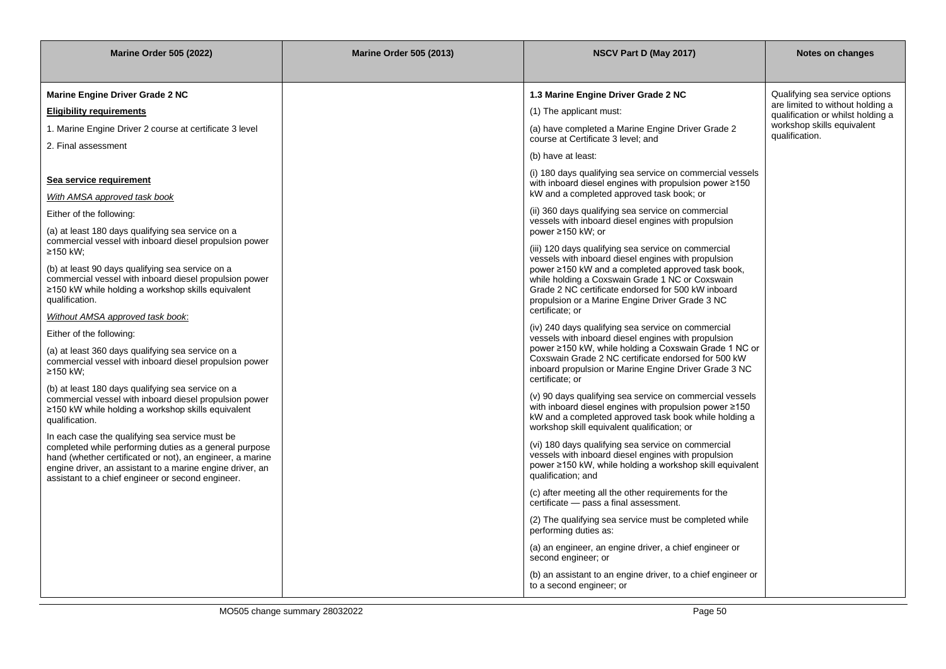| <b>Marine Order 505 (2022)</b>                                                                                                                                                                                                                                                           | <b>Marine Order 505 (2013)</b> |                                                                                                                                                                                                                                                                                                                                                | Notes on changes                                                      |
|------------------------------------------------------------------------------------------------------------------------------------------------------------------------------------------------------------------------------------------------------------------------------------------|--------------------------------|------------------------------------------------------------------------------------------------------------------------------------------------------------------------------------------------------------------------------------------------------------------------------------------------------------------------------------------------|-----------------------------------------------------------------------|
| <b>Marine Engine Driver Grade 2 NC</b>                                                                                                                                                                                                                                                   |                                | 1.3 Marine Engine Driver Grade 2 NC                                                                                                                                                                                                                                                                                                            | Qualifying sea service options                                        |
| <b>Eligibility requirements</b>                                                                                                                                                                                                                                                          |                                | (1) The applicant must:                                                                                                                                                                                                                                                                                                                        | are limited to without holding a<br>qualification or whilst holding a |
| 1. Marine Engine Driver 2 course at certificate 3 level<br>2. Final assessment                                                                                                                                                                                                           |                                | (a) have completed a Marine Engine Driver Grade 2<br>course at Certificate 3 level; and                                                                                                                                                                                                                                                        | workshop skills equivalent<br>qualification.                          |
|                                                                                                                                                                                                                                                                                          |                                | (b) have at least:                                                                                                                                                                                                                                                                                                                             |                                                                       |
| Sea service requirement<br>With AMSA approved task book                                                                                                                                                                                                                                  |                                | (i) 180 days qualifying sea service on commercial vessels<br>with inboard diesel engines with propulsion power $\geq 150$<br>kW and a completed approved task book; or                                                                                                                                                                         |                                                                       |
| Either of the following:<br>(a) at least 180 days qualifying sea service on a                                                                                                                                                                                                            |                                | (ii) 360 days qualifying sea service on commercial<br>vessels with inboard diesel engines with propulsion<br>power ≥150 kW; or                                                                                                                                                                                                                 |                                                                       |
| commercial vessel with inboard diesel propulsion power<br>≥150 kW;<br>(b) at least 90 days qualifying sea service on a<br>commercial vessel with inboard diesel propulsion power<br>≥150 kW while holding a workshop skills equivalent<br>qualification.                                 |                                | (iii) 120 days qualifying sea service on commercial<br>vessels with inboard diesel engines with propulsion<br>power ≥150 kW and a completed approved task book,<br>while holding a Coxswain Grade 1 NC or Coxswain<br>Grade 2 NC certificate endorsed for 500 kW inboard<br>propulsion or a Marine Engine Driver Grade 3 NC<br>certificate; or |                                                                       |
| Without AMSA approved task book:                                                                                                                                                                                                                                                         |                                | (iv) 240 days qualifying sea service on commercial                                                                                                                                                                                                                                                                                             |                                                                       |
| Either of the following:<br>(a) at least 360 days qualifying sea service on a<br>commercial vessel with inboard diesel propulsion power<br>≥150 kW;                                                                                                                                      |                                | vessels with inboard diesel engines with propulsion<br>power ≥150 kW, while holding a Coxswain Grade 1 NC or<br>Coxswain Grade 2 NC certificate endorsed for 500 kW<br>inboard propulsion or Marine Engine Driver Grade 3 NC<br>certificate; or                                                                                                |                                                                       |
| (b) at least 180 days qualifying sea service on a<br>commercial vessel with inboard diesel propulsion power<br>≥150 kW while holding a workshop skills equivalent<br>qualification.                                                                                                      |                                | (v) 90 days qualifying sea service on commercial vessels<br>with inboard diesel engines with propulsion power ≥150<br>kW and a completed approved task book while holding a<br>workshop skill equivalent qualification; or                                                                                                                     |                                                                       |
| In each case the qualifying sea service must be<br>completed while performing duties as a general purpose<br>hand (whether certificated or not), an engineer, a marine<br>engine driver, an assistant to a marine engine driver, an<br>assistant to a chief engineer or second engineer. |                                | (vi) 180 days qualifying sea service on commercial<br>vessels with inboard diesel engines with propulsion<br>power ≥150 kW, while holding a workshop skill equivalent<br>qualification; and                                                                                                                                                    |                                                                       |
|                                                                                                                                                                                                                                                                                          |                                | (c) after meeting all the other requirements for the<br>certificate - pass a final assessment.                                                                                                                                                                                                                                                 |                                                                       |
|                                                                                                                                                                                                                                                                                          |                                | (2) The qualifying sea service must be completed while<br>performing duties as:                                                                                                                                                                                                                                                                |                                                                       |
|                                                                                                                                                                                                                                                                                          |                                | (a) an engineer, an engine driver, a chief engineer or<br>second engineer; or                                                                                                                                                                                                                                                                  |                                                                       |
|                                                                                                                                                                                                                                                                                          |                                | (b) an assistant to an engine driver, to a chief engineer or<br>to a second engineer; or                                                                                                                                                                                                                                                       |                                                                       |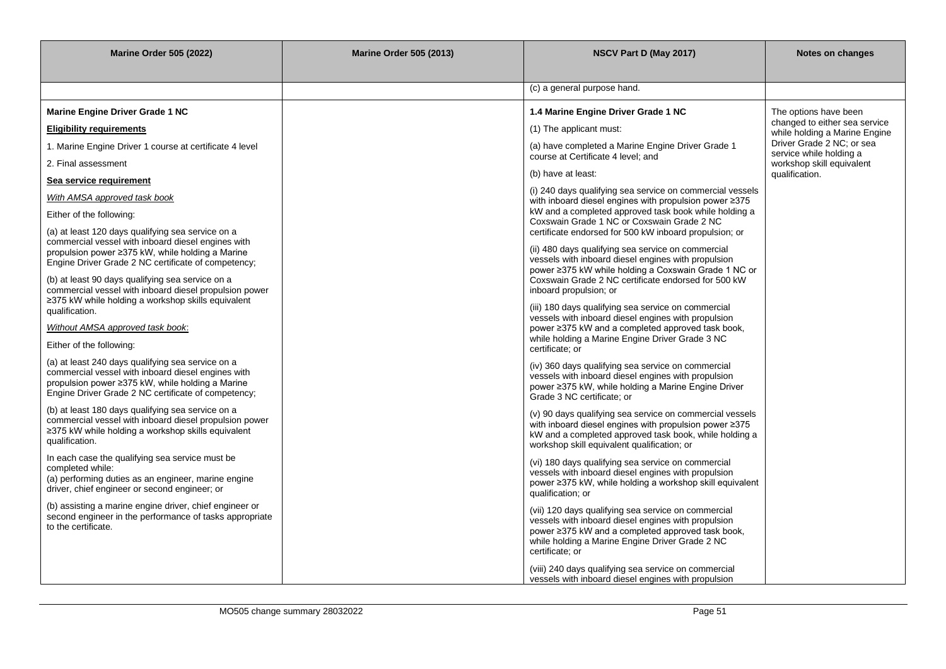| <b>Marine Order 505 (2022)</b>                                                                              | <b>Marine Order 505 (2013)</b> | NSCV Part D (May 2017)                                                                                              | Notes on changes                                               |
|-------------------------------------------------------------------------------------------------------------|--------------------------------|---------------------------------------------------------------------------------------------------------------------|----------------------------------------------------------------|
|                                                                                                             |                                |                                                                                                                     |                                                                |
|                                                                                                             |                                | (c) a general purpose hand.                                                                                         |                                                                |
| <b>Marine Engine Driver Grade 1 NC</b>                                                                      |                                | 1.4 Marine Engine Driver Grade 1 NC                                                                                 | The options have been                                          |
| <b>Eligibility requirements</b>                                                                             |                                | (1) The applicant must:                                                                                             | changed to either sea service<br>while holding a Marine Engine |
| 1. Marine Engine Driver 1 course at certificate 4 level                                                     |                                | (a) have completed a Marine Engine Driver Grade 1                                                                   | Driver Grade 2 NC; or sea<br>service while holding a           |
| 2. Final assessment                                                                                         |                                | course at Certificate 4 level: and                                                                                  | workshop skill equivalent                                      |
| Sea service requirement                                                                                     |                                | (b) have at least:                                                                                                  | qualification.                                                 |
| With AMSA approved task book                                                                                |                                | (i) 240 days qualifying sea service on commercial vessels<br>with inboard diesel engines with propulsion power ≥375 |                                                                |
| Either of the following:                                                                                    |                                | kW and a completed approved task book while holding a<br>Coxswain Grade 1 NC or Coxswain Grade 2 NC                 |                                                                |
| (a) at least 120 days qualifying sea service on a<br>commercial vessel with inboard diesel engines with     |                                | certificate endorsed for 500 kW inboard propulsion; or                                                              |                                                                |
| propulsion power ≥375 kW, while holding a Marine                                                            |                                | (ii) 480 days qualifying sea service on commercial<br>vessels with inboard diesel engines with propulsion           |                                                                |
| Engine Driver Grade 2 NC certificate of competency;                                                         |                                | power ≥375 kW while holding a Coxswain Grade 1 NC or                                                                |                                                                |
| (b) at least 90 days qualifying sea service on a<br>commercial vessel with inboard diesel propulsion power  |                                | Coxswain Grade 2 NC certificate endorsed for 500 kW<br>inboard propulsion; or                                       |                                                                |
| ≥375 kW while holding a workshop skills equivalent<br>qualification.                                        |                                | (iii) 180 days qualifying sea service on commercial                                                                 |                                                                |
| Without AMSA approved task book:                                                                            |                                | vessels with inboard diesel engines with propulsion<br>power ≥375 kW and a completed approved task book,            |                                                                |
| Either of the following:                                                                                    |                                | while holding a Marine Engine Driver Grade 3 NC<br>certificate; or                                                  |                                                                |
| (a) at least 240 days qualifying sea service on a                                                           |                                | (iv) 360 days qualifying sea service on commercial                                                                  |                                                                |
| commercial vessel with inboard diesel engines with<br>propulsion power ≥375 kW, while holding a Marine      |                                | vessels with inboard diesel engines with propulsion                                                                 |                                                                |
| Engine Driver Grade 2 NC certificate of competency;                                                         |                                | power ≥375 kW, while holding a Marine Engine Driver<br>Grade 3 NC certificate: or                                   |                                                                |
| (b) at least 180 days qualifying sea service on a<br>commercial vessel with inboard diesel propulsion power |                                | (v) 90 days qualifying sea service on commercial vessels                                                            |                                                                |
| ≥375 kW while holding a workshop skills equivalent                                                          |                                | with inboard diesel engines with propulsion power ≥375<br>kW and a completed approved task book, while holding a    |                                                                |
| qualification.                                                                                              |                                | workshop skill equivalent qualification; or                                                                         |                                                                |
| In each case the qualifying sea service must be<br>completed while:                                         |                                | (vi) 180 days qualifying sea service on commercial<br>vessels with inboard diesel engines with propulsion           |                                                                |
| (a) performing duties as an engineer, marine engine<br>driver, chief engineer or second engineer; or        |                                | power ≥375 kW, while holding a workshop skill equivalent                                                            |                                                                |
| (b) assisting a marine engine driver, chief engineer or                                                     |                                | qualification; or                                                                                                   |                                                                |
| second engineer in the performance of tasks appropriate<br>to the certificate.                              |                                | (vii) 120 days qualifying sea service on commercial<br>vessels with inboard diesel engines with propulsion          |                                                                |
|                                                                                                             |                                | power ≥375 kW and a completed approved task book,<br>while holding a Marine Engine Driver Grade 2 NC                |                                                                |
|                                                                                                             |                                | certificate; or                                                                                                     |                                                                |
|                                                                                                             |                                | (viii) 240 days qualifying sea service on commercial<br>vessels with inboard diesel engines with propulsion         |                                                                |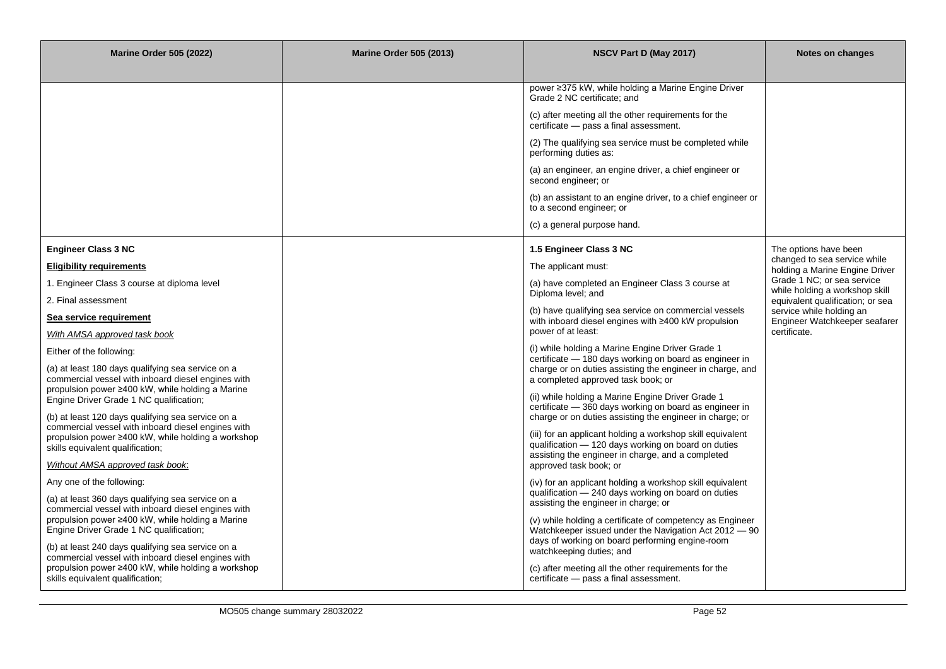| <b>Marine Order 505 (2022)</b>                                                                           | <b>Marine Order 505 (2013)</b> | NSCV Part D (May 2017)                                                                                             | Notes on changes                                               |
|----------------------------------------------------------------------------------------------------------|--------------------------------|--------------------------------------------------------------------------------------------------------------------|----------------------------------------------------------------|
|                                                                                                          |                                |                                                                                                                    |                                                                |
|                                                                                                          |                                | power ≥375 kW, while holding a Marine Engine Driver<br>Grade 2 NC certificate; and                                 |                                                                |
|                                                                                                          |                                | (c) after meeting all the other requirements for the<br>certificate - pass a final assessment.                     |                                                                |
|                                                                                                          |                                | (2) The qualifying sea service must be completed while<br>performing duties as:                                    |                                                                |
|                                                                                                          |                                | (a) an engineer, an engine driver, a chief engineer or<br>second engineer; or                                      |                                                                |
|                                                                                                          |                                | (b) an assistant to an engine driver, to a chief engineer or<br>to a second engineer; or                           |                                                                |
|                                                                                                          |                                | (c) a general purpose hand.                                                                                        |                                                                |
| <b>Engineer Class 3 NC</b>                                                                               |                                | 1.5 Engineer Class 3 NC                                                                                            | The options have been                                          |
| <b>Eligibility requirements</b>                                                                          |                                | The applicant must:                                                                                                | changed to sea service while<br>holding a Marine Engine Driver |
| 1. Engineer Class 3 course at diploma level                                                              |                                | (a) have completed an Engineer Class 3 course at<br>Diploma level; and                                             | Grade 1 NC; or sea service<br>while holding a workshop skill   |
| 2. Final assessment                                                                                      |                                |                                                                                                                    | equivalent qualification; or sea                               |
| Sea service requirement                                                                                  |                                | (b) have qualifying sea service on commercial vessels<br>with inboard diesel engines with ≥400 kW propulsion       | service while holding an<br>Engineer Watchkeeper seafarer      |
| With AMSA approved task book                                                                             |                                | power of at least:                                                                                                 | certificate.                                                   |
| Either of the following:                                                                                 |                                | (i) while holding a Marine Engine Driver Grade 1<br>certificate – 180 days working on board as engineer in         |                                                                |
| (a) at least 180 days qualifying sea service on a<br>commercial vessel with inboard diesel engines with  |                                | charge or on duties assisting the engineer in charge, and<br>a completed approved task book; or                    |                                                                |
| propulsion power ≥400 kW, while holding a Marine<br>Engine Driver Grade 1 NC qualification;              |                                | (ii) while holding a Marine Engine Driver Grade 1                                                                  |                                                                |
| (b) at least 120 days qualifying sea service on a                                                        |                                | certificate - 360 days working on board as engineer in<br>charge or on duties assisting the engineer in charge; or |                                                                |
| commercial vessel with inboard diesel engines with                                                       |                                | (iii) for an applicant holding a workshop skill equivalent                                                         |                                                                |
| propulsion power ≥400 kW, while holding a workshop<br>skills equivalent qualification;                   |                                | qualification - 120 days working on board on duties                                                                |                                                                |
| Without AMSA approved task book:                                                                         |                                | assisting the engineer in charge, and a completed<br>approved task book; or                                        |                                                                |
| Any one of the following:                                                                                |                                | (iv) for an applicant holding a workshop skill equivalent                                                          |                                                                |
| (a) at least 360 days qualifying sea service on a                                                        |                                | qualification - 240 days working on board on duties<br>assisting the engineer in charge; or                        |                                                                |
| commercial vessel with inboard diesel engines with<br>propulsion power ≥400 kW, while holding a Marine   |                                | (v) while holding a certificate of competency as Engineer                                                          |                                                                |
| Engine Driver Grade 1 NC qualification;                                                                  |                                | Watchkeeper issued under the Navigation Act 2012 - 90                                                              |                                                                |
| (b) at least 240 days qualifying sea service on a                                                        |                                | days of working on board performing engine-room<br>watchkeeping duties; and                                        |                                                                |
| commercial vessel with inboard diesel engines with<br>propulsion power ≥400 kW, while holding a workshop |                                | (c) after meeting all the other requirements for the                                                               |                                                                |
| skills equivalent qualification;                                                                         |                                | certificate - pass a final assessment.                                                                             |                                                                |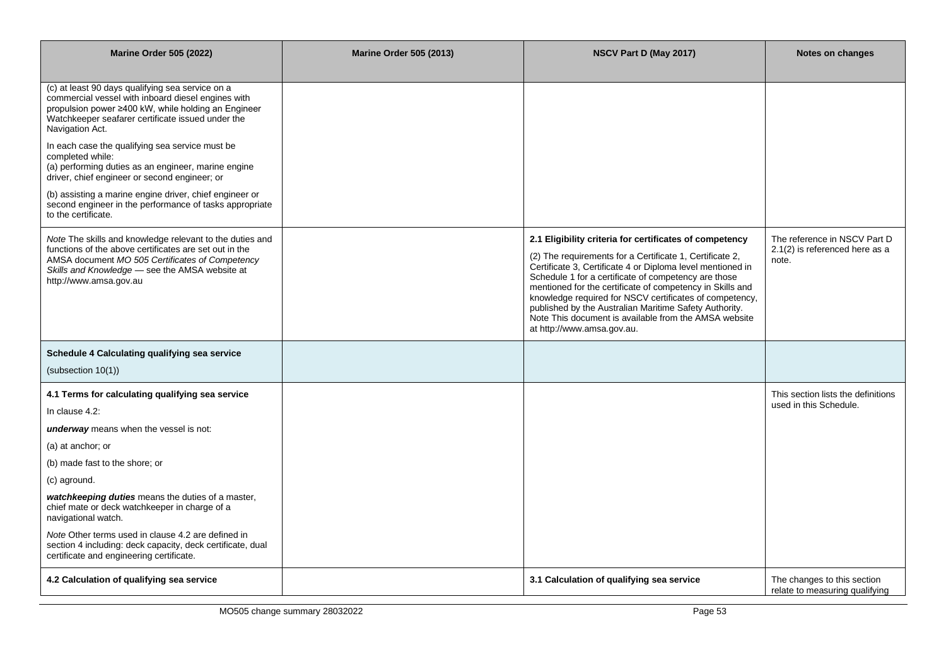| <b>Marine Order 505 (2022)</b>                                                                                                                                                                                                                                                                                                                                                                                                                                                                                                                                    | <b>Marine Order 505 (2013)</b> | NSCV Part D (May 2017)                                                                                                                                                                                                                                                                                                                                                                                                                                                                                             | Notes on changes                                                        |
|-------------------------------------------------------------------------------------------------------------------------------------------------------------------------------------------------------------------------------------------------------------------------------------------------------------------------------------------------------------------------------------------------------------------------------------------------------------------------------------------------------------------------------------------------------------------|--------------------------------|--------------------------------------------------------------------------------------------------------------------------------------------------------------------------------------------------------------------------------------------------------------------------------------------------------------------------------------------------------------------------------------------------------------------------------------------------------------------------------------------------------------------|-------------------------------------------------------------------------|
| (c) at least 90 days qualifying sea service on a<br>commercial vessel with inboard diesel engines with<br>propulsion power ≥400 kW, while holding an Engineer<br>Watchkeeper seafarer certificate issued under the<br>Navigation Act.<br>In each case the qualifying sea service must be<br>completed while:<br>(a) performing duties as an engineer, marine engine<br>driver, chief engineer or second engineer; or<br>(b) assisting a marine engine driver, chief engineer or<br>second engineer in the performance of tasks appropriate<br>to the certificate. |                                |                                                                                                                                                                                                                                                                                                                                                                                                                                                                                                                    |                                                                         |
| Note The skills and knowledge relevant to the duties and<br>functions of the above certificates are set out in the<br>AMSA document MO 505 Certificates of Competency<br>Skills and Knowledge - see the AMSA website at<br>http://www.amsa.gov.au                                                                                                                                                                                                                                                                                                                 |                                | 2.1 Eligibility criteria for certificates of competency<br>(2) The requirements for a Certificate 1, Certificate 2,<br>Certificate 3, Certificate 4 or Diploma level mentioned in<br>Schedule 1 for a certificate of competency are those<br>mentioned for the certificate of competency in Skills and<br>knowledge required for NSCV certificates of competency,<br>published by the Australian Maritime Safety Authority.<br>Note This document is available from the AMSA website<br>at http://www.amsa.gov.au. | The reference in NSCV Part D<br>2.1(2) is referenced here as a<br>note. |
| Schedule 4 Calculating qualifying sea service<br>(subsection 10(1))                                                                                                                                                                                                                                                                                                                                                                                                                                                                                               |                                |                                                                                                                                                                                                                                                                                                                                                                                                                                                                                                                    |                                                                         |
| 4.1 Terms for calculating qualifying sea service<br>In clause 4.2:<br><b>underway</b> means when the vessel is not:<br>(a) at anchor; or<br>(b) made fast to the shore; or<br>(c) aground.<br>watchkeeping duties means the duties of a master,<br>chief mate or deck watchkeeper in charge of a<br>navigational watch.<br>Note Other terms used in clause 4.2 are defined in<br>section 4 including: deck capacity, deck certificate, dual<br>certificate and engineering certificate.                                                                           |                                |                                                                                                                                                                                                                                                                                                                                                                                                                                                                                                                    | This section lists the definitions<br>used in this Schedule.            |
| 4.2 Calculation of qualifying sea service                                                                                                                                                                                                                                                                                                                                                                                                                                                                                                                         |                                | 3.1 Calculation of qualifying sea service                                                                                                                                                                                                                                                                                                                                                                                                                                                                          | The changes to this section<br>relate to measuring qualifying           |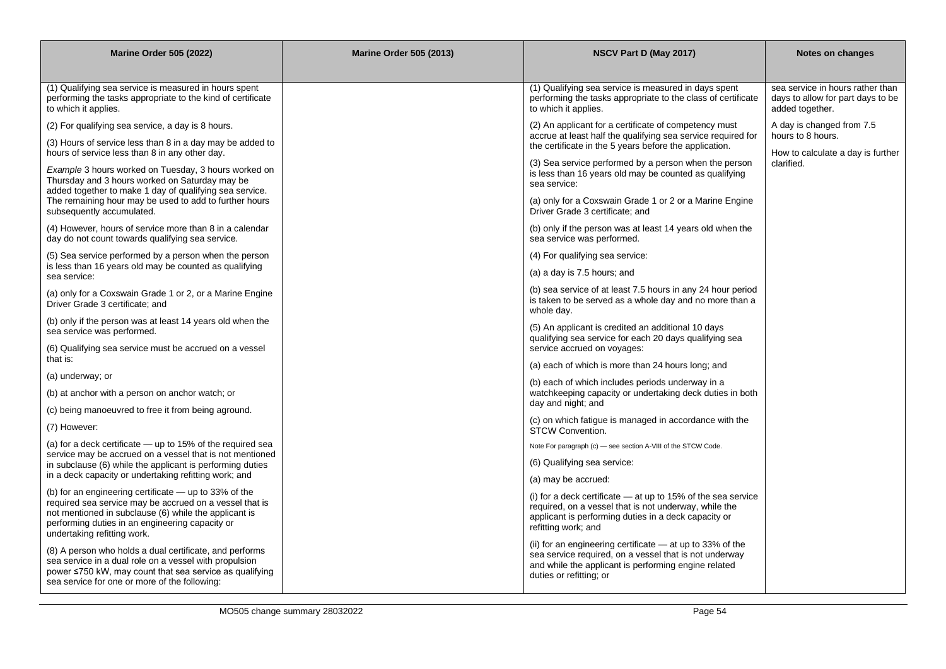| <b>Marine Order 505 (2022)</b>                                                                                                                                                                                                                              | <b>Marine Order 505 (2013)</b> | NSCV Part D (May 2017)                                                                                                                                                                                 | Notes on changes                                                                         |
|-------------------------------------------------------------------------------------------------------------------------------------------------------------------------------------------------------------------------------------------------------------|--------------------------------|--------------------------------------------------------------------------------------------------------------------------------------------------------------------------------------------------------|------------------------------------------------------------------------------------------|
|                                                                                                                                                                                                                                                             |                                |                                                                                                                                                                                                        |                                                                                          |
| (1) Qualifying sea service is measured in hours spent<br>performing the tasks appropriate to the kind of certificate<br>to which it applies.                                                                                                                |                                | (1) Qualifying sea service is measured in days spent<br>performing the tasks appropriate to the class of certificate<br>to which it applies.                                                           | sea service in hours rather than<br>days to allow for part days to be<br>added together. |
| (2) For qualifying sea service, a day is 8 hours.                                                                                                                                                                                                           |                                | (2) An applicant for a certificate of competency must                                                                                                                                                  | A day is changed from 7.5                                                                |
| (3) Hours of service less than 8 in a day may be added to<br>hours of service less than 8 in any other day.                                                                                                                                                 |                                | accrue at least half the qualifying sea service required for<br>the certificate in the 5 years before the application.                                                                                 | hours to 8 hours.<br>How to calculate a day is further                                   |
| Example 3 hours worked on Tuesday, 3 hours worked on<br>Thursday and 3 hours worked on Saturday may be<br>added together to make 1 day of qualifying sea service.                                                                                           |                                | (3) Sea service performed by a person when the person<br>is less than 16 years old may be counted as qualifying<br>sea service:                                                                        | clarified.                                                                               |
| The remaining hour may be used to add to further hours<br>subsequently accumulated.                                                                                                                                                                         |                                | (a) only for a Coxswain Grade 1 or 2 or a Marine Engine<br>Driver Grade 3 certificate; and                                                                                                             |                                                                                          |
| (4) However, hours of service more than 8 in a calendar<br>day do not count towards qualifying sea service.                                                                                                                                                 |                                | (b) only if the person was at least 14 years old when the<br>sea service was performed.                                                                                                                |                                                                                          |
| (5) Sea service performed by a person when the person                                                                                                                                                                                                       |                                | (4) For qualifying sea service:                                                                                                                                                                        |                                                                                          |
| is less than 16 years old may be counted as qualifying<br>sea service:                                                                                                                                                                                      |                                | (a) a day is 7.5 hours; and                                                                                                                                                                            |                                                                                          |
| (a) only for a Coxswain Grade 1 or 2, or a Marine Engine<br>Driver Grade 3 certificate; and                                                                                                                                                                 |                                | (b) sea service of at least 7.5 hours in any 24 hour period<br>is taken to be served as a whole day and no more than a<br>whole day.                                                                   |                                                                                          |
| (b) only if the person was at least 14 years old when the                                                                                                                                                                                                   |                                | (5) An applicant is credited an additional 10 days                                                                                                                                                     |                                                                                          |
| sea service was performed.<br>(6) Qualifying sea service must be accrued on a vessel                                                                                                                                                                        |                                | qualifying sea service for each 20 days qualifying sea<br>service accrued on voyages:                                                                                                                  |                                                                                          |
| that is:                                                                                                                                                                                                                                                    |                                | (a) each of which is more than 24 hours long; and                                                                                                                                                      |                                                                                          |
| (a) underway; or                                                                                                                                                                                                                                            |                                | (b) each of which includes periods underway in a                                                                                                                                                       |                                                                                          |
| (b) at anchor with a person on anchor watch; or                                                                                                                                                                                                             |                                | watchkeeping capacity or undertaking deck duties in both<br>day and night; and                                                                                                                         |                                                                                          |
| (c) being manoeuvred to free it from being aground.                                                                                                                                                                                                         |                                | (c) on which fatigue is managed in accordance with the                                                                                                                                                 |                                                                                          |
| (7) However:                                                                                                                                                                                                                                                |                                | STCW Convention.                                                                                                                                                                                       |                                                                                          |
| (a) for a deck certificate - up to 15% of the required sea<br>service may be accrued on a vessel that is not mentioned                                                                                                                                      |                                | Note For paragraph (c) - see section A-VIII of the STCW Code.                                                                                                                                          |                                                                                          |
| in subclause (6) while the applicant is performing duties                                                                                                                                                                                                   |                                | (6) Qualifying sea service:                                                                                                                                                                            |                                                                                          |
| in a deck capacity or undertaking refitting work; and                                                                                                                                                                                                       |                                | (a) may be accrued:                                                                                                                                                                                    |                                                                                          |
| (b) for an engineering certificate - up to 33% of the<br>required sea service may be accrued on a vessel that is<br>not mentioned in subclause (6) while the applicant is<br>performing duties in an engineering capacity or<br>undertaking refitting work. |                                | (i) for a deck certificate $-$ at up to 15% of the sea service<br>required, on a vessel that is not underway, while the<br>applicant is performing duties in a deck capacity or<br>refitting work; and |                                                                                          |
| (8) A person who holds a dual certificate, and performs<br>sea service in a dual role on a vessel with propulsion<br>power ≤750 kW, may count that sea service as qualifying<br>sea service for one or more of the following:                               |                                | (ii) for an engineering certificate – at up to 33% of the<br>sea service required, on a vessel that is not underway<br>and while the applicant is performing engine related<br>duties or refitting; or |                                                                                          |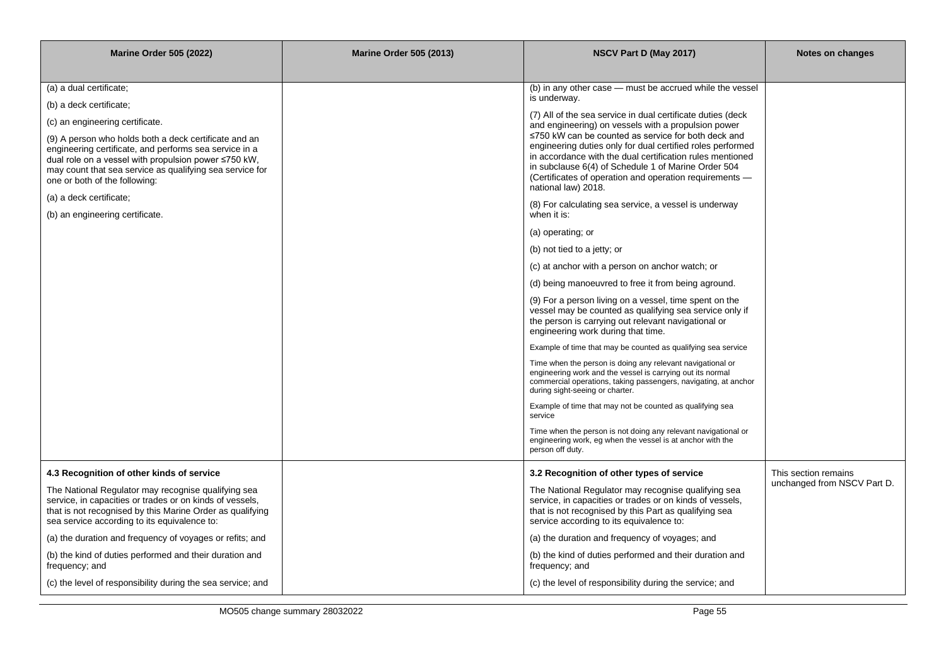| <b>Marine Order 505 (2022)</b>                                                                                                                                                                                                                                       | <b>Marine Order 505 (2013)</b> | NSCV Part D (May 2017)                                                                                                                                                                                                                                                                                                  | Notes on changes            |
|----------------------------------------------------------------------------------------------------------------------------------------------------------------------------------------------------------------------------------------------------------------------|--------------------------------|-------------------------------------------------------------------------------------------------------------------------------------------------------------------------------------------------------------------------------------------------------------------------------------------------------------------------|-----------------------------|
|                                                                                                                                                                                                                                                                      |                                |                                                                                                                                                                                                                                                                                                                         |                             |
| (a) a dual certificate;                                                                                                                                                                                                                                              |                                | (b) in any other case - must be accrued while the vessel                                                                                                                                                                                                                                                                |                             |
| (b) a deck certificate;                                                                                                                                                                                                                                              |                                | is underway.                                                                                                                                                                                                                                                                                                            |                             |
| (c) an engineering certificate.                                                                                                                                                                                                                                      |                                | (7) All of the sea service in dual certificate duties (deck)<br>and engineering) on vessels with a propulsion power                                                                                                                                                                                                     |                             |
| (9) A person who holds both a deck certificate and an<br>engineering certificate, and performs sea service in a<br>dual role on a vessel with propulsion power ≤750 kW,<br>may count that sea service as qualifying sea service for<br>one or both of the following: |                                | ≤750 kW can be counted as service for both deck and<br>engineering duties only for dual certified roles performed<br>in accordance with the dual certification rules mentioned<br>in subclause 6(4) of Schedule 1 of Marine Order 504<br>(Certificates of operation and operation requirements —<br>national law) 2018. |                             |
| (a) a deck certificate;<br>(b) an engineering certificate.                                                                                                                                                                                                           |                                | (8) For calculating sea service, a vessel is underway<br>when it is:                                                                                                                                                                                                                                                    |                             |
|                                                                                                                                                                                                                                                                      |                                | (a) operating; or                                                                                                                                                                                                                                                                                                       |                             |
|                                                                                                                                                                                                                                                                      |                                | (b) not tied to a jetty; or                                                                                                                                                                                                                                                                                             |                             |
|                                                                                                                                                                                                                                                                      |                                | (c) at anchor with a person on anchor watch; or                                                                                                                                                                                                                                                                         |                             |
|                                                                                                                                                                                                                                                                      |                                | (d) being manoeuvred to free it from being aground.                                                                                                                                                                                                                                                                     |                             |
|                                                                                                                                                                                                                                                                      |                                | (9) For a person living on a vessel, time spent on the<br>vessel may be counted as qualifying sea service only if<br>the person is carrying out relevant navigational or<br>engineering work during that time.                                                                                                          |                             |
|                                                                                                                                                                                                                                                                      |                                | Example of time that may be counted as qualifying sea service                                                                                                                                                                                                                                                           |                             |
|                                                                                                                                                                                                                                                                      |                                | Time when the person is doing any relevant navigational or<br>engineering work and the vessel is carrying out its normal<br>commercial operations, taking passengers, navigating, at anchor<br>during sight-seeing or charter.                                                                                          |                             |
|                                                                                                                                                                                                                                                                      |                                | Example of time that may not be counted as qualifying sea<br>service                                                                                                                                                                                                                                                    |                             |
|                                                                                                                                                                                                                                                                      |                                | Time when the person is not doing any relevant navigational or<br>engineering work, eg when the vessel is at anchor with the<br>person off duty.                                                                                                                                                                        |                             |
| 4.3 Recognition of other kinds of service                                                                                                                                                                                                                            |                                | 3.2 Recognition of other types of service                                                                                                                                                                                                                                                                               | This section remains        |
| The National Regulator may recognise qualifying sea<br>service, in capacities or trades or on kinds of vessels,<br>that is not recognised by this Marine Order as qualifying<br>sea service according to its equivalence to:                                         |                                | The National Regulator may recognise qualifying sea<br>service, in capacities or trades or on kinds of vessels,<br>that is not recognised by this Part as qualifying sea<br>service according to its equivalence to:                                                                                                    | unchanged from NSCV Part D. |
| (a) the duration and frequency of voyages or refits; and                                                                                                                                                                                                             |                                | (a) the duration and frequency of voyages; and                                                                                                                                                                                                                                                                          |                             |
| (b) the kind of duties performed and their duration and<br>frequency; and                                                                                                                                                                                            |                                | (b) the kind of duties performed and their duration and<br>frequency; and                                                                                                                                                                                                                                               |                             |
| (c) the level of responsibility during the sea service; and                                                                                                                                                                                                          |                                | (c) the level of responsibility during the service; and                                                                                                                                                                                                                                                                 |                             |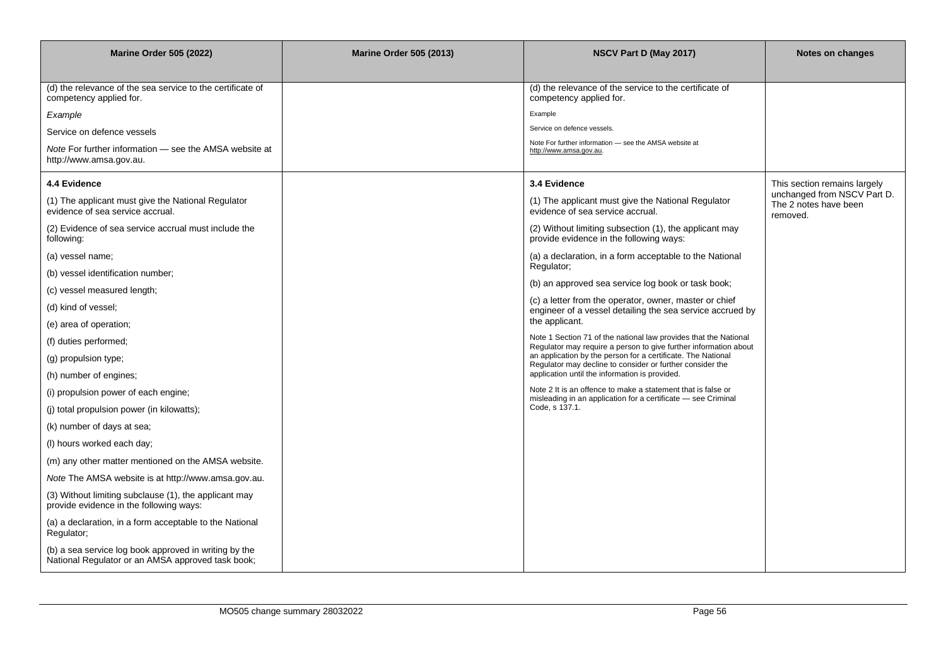| <b>Marine Order 505 (2022)</b><br><b>Marine Order 505 (2013)</b>                                           |  | NSCV Part D (May 2017)                                                                                                               | Notes on changes                                                 |
|------------------------------------------------------------------------------------------------------------|--|--------------------------------------------------------------------------------------------------------------------------------------|------------------------------------------------------------------|
|                                                                                                            |  |                                                                                                                                      |                                                                  |
| (d) the relevance of the sea service to the certificate of<br>competency applied for.                      |  | (d) the relevance of the service to the certificate of<br>competency applied for.                                                    |                                                                  |
| Example                                                                                                    |  | Example                                                                                                                              |                                                                  |
| Service on defence vessels                                                                                 |  | Service on defence vessels.                                                                                                          |                                                                  |
| Note For further information — see the AMSA website at<br>http://www.amsa.gov.au.                          |  | Note For further information - see the AMSA website at<br>http://www.amsa.gov.au.                                                    |                                                                  |
| 4.4 Evidence                                                                                               |  | 3.4 Evidence                                                                                                                         | This section remains largely                                     |
| (1) The applicant must give the National Regulator<br>evidence of sea service accrual.                     |  | (1) The applicant must give the National Regulator<br>evidence of sea service accrual.                                               | unchanged from NSCV Part D.<br>The 2 notes have been<br>removed. |
| (2) Evidence of sea service accrual must include the<br>following:                                         |  | (2) Without limiting subsection (1), the applicant may<br>provide evidence in the following ways:                                    |                                                                  |
| (a) vessel name;                                                                                           |  | (a) a declaration, in a form acceptable to the National                                                                              |                                                                  |
| (b) vessel identification number;                                                                          |  | Regulator;                                                                                                                           |                                                                  |
| (c) vessel measured length;                                                                                |  | (b) an approved sea service log book or task book;                                                                                   |                                                                  |
| (d) kind of vessel;                                                                                        |  | (c) a letter from the operator, owner, master or chief<br>engineer of a vessel detailing the sea service accrued by                  |                                                                  |
| (e) area of operation;                                                                                     |  | the applicant.                                                                                                                       |                                                                  |
| (f) duties performed;                                                                                      |  | Note 1 Section 71 of the national law provides that the National<br>Regulator may require a person to give further information about |                                                                  |
| (g) propulsion type;                                                                                       |  | an application by the person for a certificate. The National<br>Regulator may decline to consider or further consider the            |                                                                  |
| (h) number of engines;                                                                                     |  | application until the information is provided.                                                                                       |                                                                  |
| (i) propulsion power of each engine;                                                                       |  | Note 2 It is an offence to make a statement that is false or<br>misleading in an application for a certificate - see Criminal        |                                                                  |
| (i) total propulsion power (in kilowatts);                                                                 |  | Code, s 137.1.                                                                                                                       |                                                                  |
| (k) number of days at sea;                                                                                 |  |                                                                                                                                      |                                                                  |
| (I) hours worked each day;                                                                                 |  |                                                                                                                                      |                                                                  |
| (m) any other matter mentioned on the AMSA website.                                                        |  |                                                                                                                                      |                                                                  |
| Note The AMSA website is at http://www.amsa.gov.au.                                                        |  |                                                                                                                                      |                                                                  |
| (3) Without limiting subclause (1), the applicant may<br>provide evidence in the following ways:           |  |                                                                                                                                      |                                                                  |
| (a) a declaration, in a form acceptable to the National<br>Regulator;                                      |  |                                                                                                                                      |                                                                  |
| (b) a sea service log book approved in writing by the<br>National Regulator or an AMSA approved task book; |  |                                                                                                                                      |                                                                  |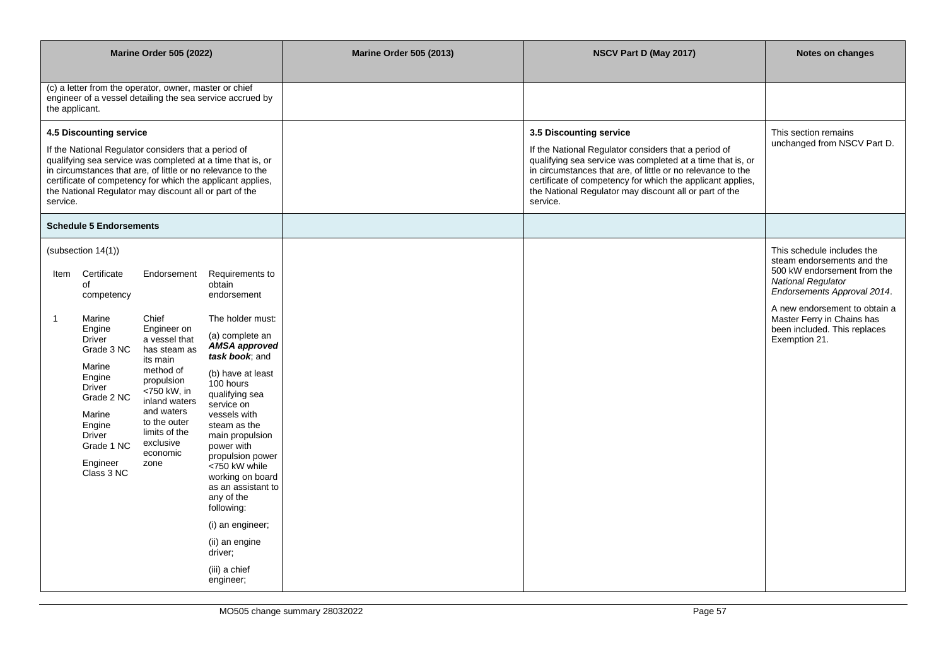| <b>Marine Order 505 (2022)</b>                                                                                                                                                                                                                                                                                                                   |                                                                                                                                                         |                                                                                                                                                                                                       | <b>Marine Order 505 (2013)</b>                                                                                                                                                                                                                                                                                                                                                  | NSCV Part D (May 2017)                                                                                                                                                                                                                                                                                                                           | Notes on changes                                    |                                                                                                                                                                                                                    |
|--------------------------------------------------------------------------------------------------------------------------------------------------------------------------------------------------------------------------------------------------------------------------------------------------------------------------------------------------|---------------------------------------------------------------------------------------------------------------------------------------------------------|-------------------------------------------------------------------------------------------------------------------------------------------------------------------------------------------------------|---------------------------------------------------------------------------------------------------------------------------------------------------------------------------------------------------------------------------------------------------------------------------------------------------------------------------------------------------------------------------------|--------------------------------------------------------------------------------------------------------------------------------------------------------------------------------------------------------------------------------------------------------------------------------------------------------------------------------------------------|-----------------------------------------------------|--------------------------------------------------------------------------------------------------------------------------------------------------------------------------------------------------------------------|
| the applicant.                                                                                                                                                                                                                                                                                                                                   |                                                                                                                                                         | (c) a letter from the operator, owner, master or chief                                                                                                                                                | engineer of a vessel detailing the sea service accrued by                                                                                                                                                                                                                                                                                                                       |                                                                                                                                                                                                                                                                                                                                                  |                                                     |                                                                                                                                                                                                                    |
| 4.5 Discounting service<br>If the National Regulator considers that a period of<br>qualifying sea service was completed at a time that is, or<br>in circumstances that are, of little or no relevance to the<br>certificate of competency for which the applicant applies,<br>the National Regulator may discount all or part of the<br>service. |                                                                                                                                                         |                                                                                                                                                                                                       |                                                                                                                                                                                                                                                                                                                                                                                 | 3.5 Discounting service<br>If the National Regulator considers that a period of<br>qualifying sea service was completed at a time that is, or<br>in circumstances that are, of little or no relevance to the<br>certificate of competency for which the applicant applies,<br>the National Regulator may discount all or part of the<br>service. | This section remains<br>unchanged from NSCV Part D. |                                                                                                                                                                                                                    |
|                                                                                                                                                                                                                                                                                                                                                  | <b>Schedule 5 Endorsements</b>                                                                                                                          |                                                                                                                                                                                                       |                                                                                                                                                                                                                                                                                                                                                                                 |                                                                                                                                                                                                                                                                                                                                                  |                                                     |                                                                                                                                                                                                                    |
| Item<br>$\overline{1}$                                                                                                                                                                                                                                                                                                                           | (subsection 14(1))<br>Certificate<br>of<br>competency<br>Marine                                                                                         | Endorsement<br>Chief                                                                                                                                                                                  | Requirements to<br>obtain<br>endorsement<br>The holder must:                                                                                                                                                                                                                                                                                                                    |                                                                                                                                                                                                                                                                                                                                                  |                                                     | This schedule includes the<br>steam endorsements and the<br>500 kW endorsement from the<br><b>National Regulator</b><br>Endorsements Approval 2014.<br>A new endorsement to obtain a<br>Master Ferry in Chains has |
|                                                                                                                                                                                                                                                                                                                                                  | Engine<br><b>Driver</b><br>Grade 3 NC<br>Marine<br>Engine<br>Driver<br>Grade 2 NC<br>Marine<br>Engine<br>Driver<br>Grade 1 NC<br>Engineer<br>Class 3 NC | Engineer on<br>a vessel that<br>has steam as<br>its main<br>method of<br>propulsion<br>$-750$ kW, in<br>inland waters<br>and waters<br>to the outer<br>limits of the<br>exclusive<br>economic<br>zone | (a) complete an<br>AMSA approved<br>task book; and<br>(b) have at least<br>100 hours<br>qualifying sea<br>service on<br>vessels with<br>steam as the<br>main propulsion<br>power with<br>propulsion power<br><750 kW while<br>working on board<br>as an assistant to<br>any of the<br>following:<br>(i) an engineer;<br>(ii) an engine<br>driver;<br>(iii) a chief<br>engineer; |                                                                                                                                                                                                                                                                                                                                                  |                                                     | been included. This replaces<br>Exemption 21.                                                                                                                                                                      |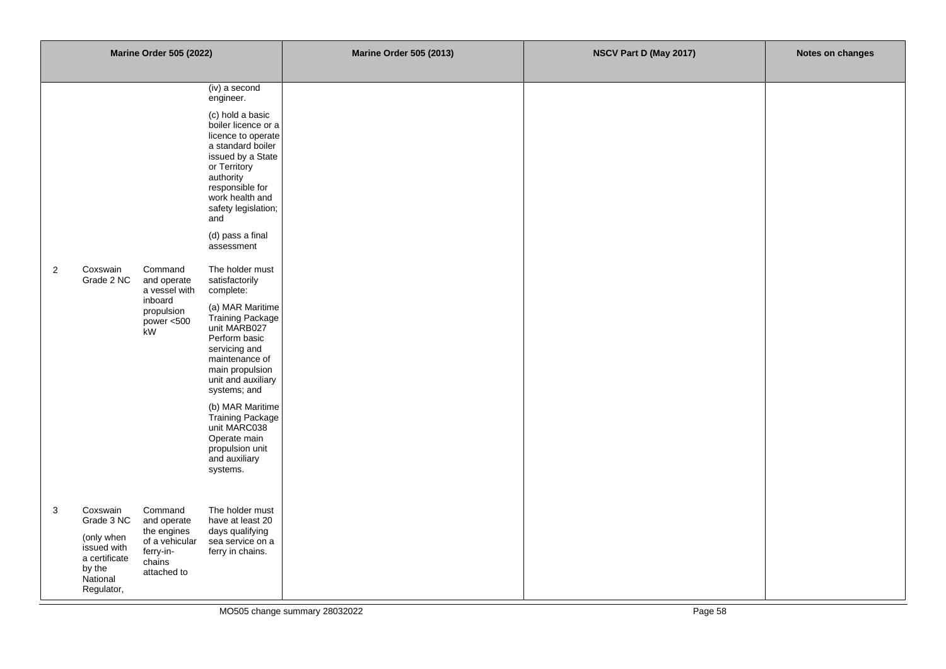| <b>Marine Order 505 (2022)</b>                                                                                                                                                                                                                                                                                                                                                                                                                                                                                                                                                                                                                                                                                                                                      | <b>Marine Order 505 (2013)</b> | NSCV Part D (May 2017) | Notes on changes |
|---------------------------------------------------------------------------------------------------------------------------------------------------------------------------------------------------------------------------------------------------------------------------------------------------------------------------------------------------------------------------------------------------------------------------------------------------------------------------------------------------------------------------------------------------------------------------------------------------------------------------------------------------------------------------------------------------------------------------------------------------------------------|--------------------------------|------------------------|------------------|
| (iv) a second<br>engineer.<br>(c) hold a basic<br>boiler licence or a<br>licence to operate<br>a standard boiler<br>issued by a State<br>or Territory<br>authority<br>responsible for<br>work health and<br>safety legislation;<br>and<br>(d) pass a final<br>assessment<br>$\overline{2}$<br>Coxswain<br>Command<br>The holder must<br>Grade 2 NC<br>and operate<br>satisfactorily<br>a vessel with<br>complete:<br>inboard<br>(a) MAR Maritime<br>propulsion<br>Training Package<br>power $< 500$<br>unit MARB027<br>.<br>kW<br>Perform basic<br>servicing and<br>maintenance of<br>main propulsion<br>unit and auxiliary<br>systems; and<br>(b) MAR Maritime<br>Training Package<br>unit MARC038<br>Operate main<br>propulsion unit<br>and auxiliary<br>systems. |                                |                        |                  |
| $\ensuremath{\mathsf{3}}$<br>Coxswain<br>Command<br>The holder must<br>Grade 3 NC<br>and operate<br>have at least 20<br>the engines<br>days qualifying<br>(only when<br>of a vehicular<br>sea service on a<br>issued with<br>ferry-in-<br>ferry in chains.<br>a certificate<br>chains<br>by the<br>attached to<br>National<br>Regulator,                                                                                                                                                                                                                                                                                                                                                                                                                            |                                |                        |                  |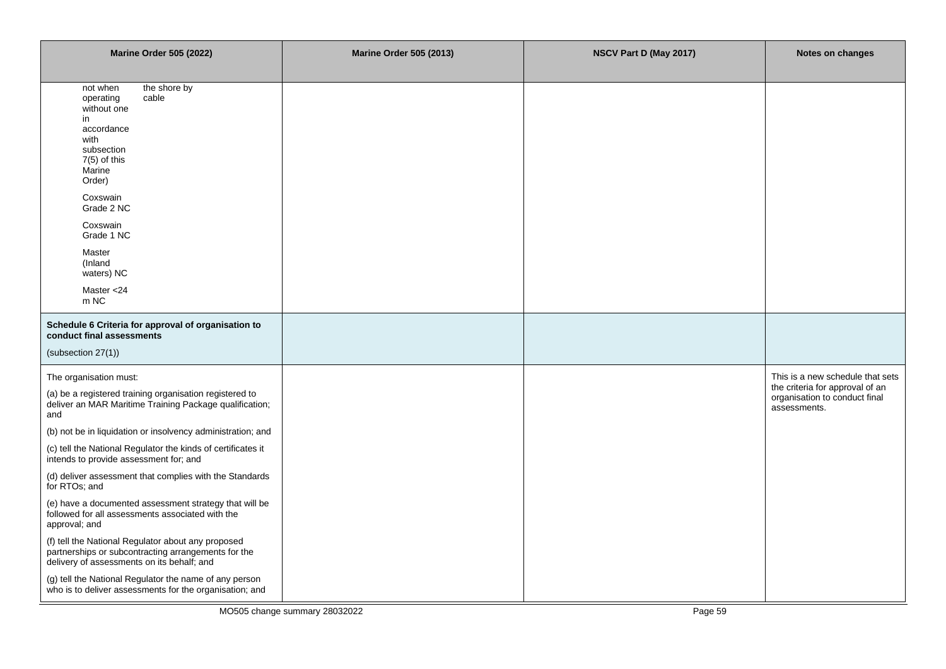| <b>Marine Order 505 (2022)</b>                                                                                                                                                                                                                                                                                                                                                                                                                                                                                                                                                                                                                                                                                                                               | <b>Marine Order 505 (2013)</b> | NSCV Part D (May 2017) | Notes on changes                                                                                                     |
|--------------------------------------------------------------------------------------------------------------------------------------------------------------------------------------------------------------------------------------------------------------------------------------------------------------------------------------------------------------------------------------------------------------------------------------------------------------------------------------------------------------------------------------------------------------------------------------------------------------------------------------------------------------------------------------------------------------------------------------------------------------|--------------------------------|------------------------|----------------------------------------------------------------------------------------------------------------------|
| not when<br>the shore by<br>operating<br>cable<br>without one<br>in<br>accordance<br>with<br>subsection<br>$7(5)$ of this<br>Marine<br>Order)<br>Coxswain<br>Grade 2 NC<br>Coxswain<br>Grade 1 NC<br>Master<br>(Inland<br>waters) NC<br>Master <24<br>m NC                                                                                                                                                                                                                                                                                                                                                                                                                                                                                                   |                                |                        |                                                                                                                      |
| Schedule 6 Criteria for approval of organisation to<br>conduct final assessments<br>(subsection 27(1))                                                                                                                                                                                                                                                                                                                                                                                                                                                                                                                                                                                                                                                       |                                |                        |                                                                                                                      |
| The organisation must:<br>(a) be a registered training organisation registered to<br>deliver an MAR Maritime Training Package qualification;<br>and<br>(b) not be in liquidation or insolvency administration; and<br>(c) tell the National Regulator the kinds of certificates it<br>intends to provide assessment for; and<br>(d) deliver assessment that complies with the Standards<br>for RTOs; and<br>(e) have a documented assessment strategy that will be<br>followed for all assessments associated with the<br>approval; and<br>(f) tell the National Regulator about any proposed<br>partnerships or subcontracting arrangements for the<br>delivery of assessments on its behalf; and<br>(g) tell the National Regulator the name of any person |                                |                        | This is a new schedule that sets<br>the criteria for approval of an<br>organisation to conduct final<br>assessments. |
| who is to deliver assessments for the organisation; and                                                                                                                                                                                                                                                                                                                                                                                                                                                                                                                                                                                                                                                                                                      |                                |                        |                                                                                                                      |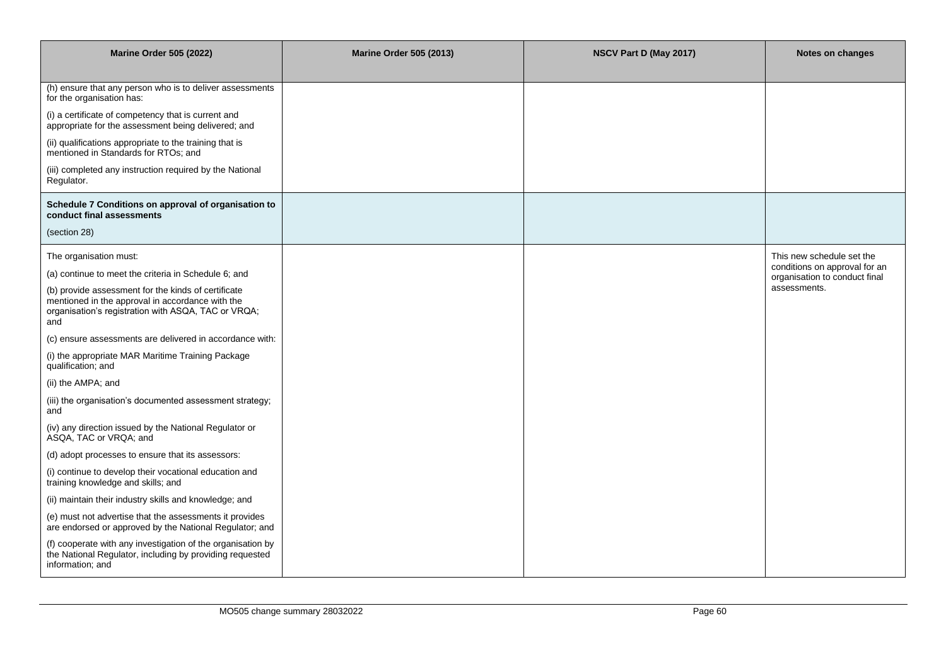| <b>Marine Order 505 (2022)</b>                                                                                                                                        | <b>Marine Order 505 (2013)</b> | NSCV Part D (May 2017) | Notes on changes                                               |
|-----------------------------------------------------------------------------------------------------------------------------------------------------------------------|--------------------------------|------------------------|----------------------------------------------------------------|
| (h) ensure that any person who is to deliver assessments<br>for the organisation has:                                                                                 |                                |                        |                                                                |
| (i) a certificate of competency that is current and<br>appropriate for the assessment being delivered; and                                                            |                                |                        |                                                                |
| (ii) qualifications appropriate to the training that is<br>mentioned in Standards for RTOs; and                                                                       |                                |                        |                                                                |
| (iii) completed any instruction required by the National<br>Regulator.                                                                                                |                                |                        |                                                                |
| Schedule 7 Conditions on approval of organisation to<br>conduct final assessments                                                                                     |                                |                        |                                                                |
| (section 28)                                                                                                                                                          |                                |                        |                                                                |
| The organisation must:                                                                                                                                                |                                |                        | This new schedule set the                                      |
| (a) continue to meet the criteria in Schedule 6; and                                                                                                                  |                                |                        | conditions on approval for an<br>organisation to conduct final |
| (b) provide assessment for the kinds of certificate<br>mentioned in the approval in accordance with the<br>organisation's registration with ASQA, TAC or VRQA;<br>and |                                |                        | assessments.                                                   |
| (c) ensure assessments are delivered in accordance with:                                                                                                              |                                |                        |                                                                |
| (i) the appropriate MAR Maritime Training Package<br>qualification; and                                                                                               |                                |                        |                                                                |
| (ii) the AMPA; and                                                                                                                                                    |                                |                        |                                                                |
| (iii) the organisation's documented assessment strategy;<br>and                                                                                                       |                                |                        |                                                                |
| (iv) any direction issued by the National Regulator or<br>ASQA, TAC or VRQA; and                                                                                      |                                |                        |                                                                |
| (d) adopt processes to ensure that its assessors:                                                                                                                     |                                |                        |                                                                |
| (i) continue to develop their vocational education and<br>training knowledge and skills; and                                                                          |                                |                        |                                                                |
| (ii) maintain their industry skills and knowledge; and                                                                                                                |                                |                        |                                                                |
| (e) must not advertise that the assessments it provides<br>are endorsed or approved by the National Regulator; and                                                    |                                |                        |                                                                |
| (f) cooperate with any investigation of the organisation by<br>the National Regulator, including by providing requested<br>information; and                           |                                |                        |                                                                |